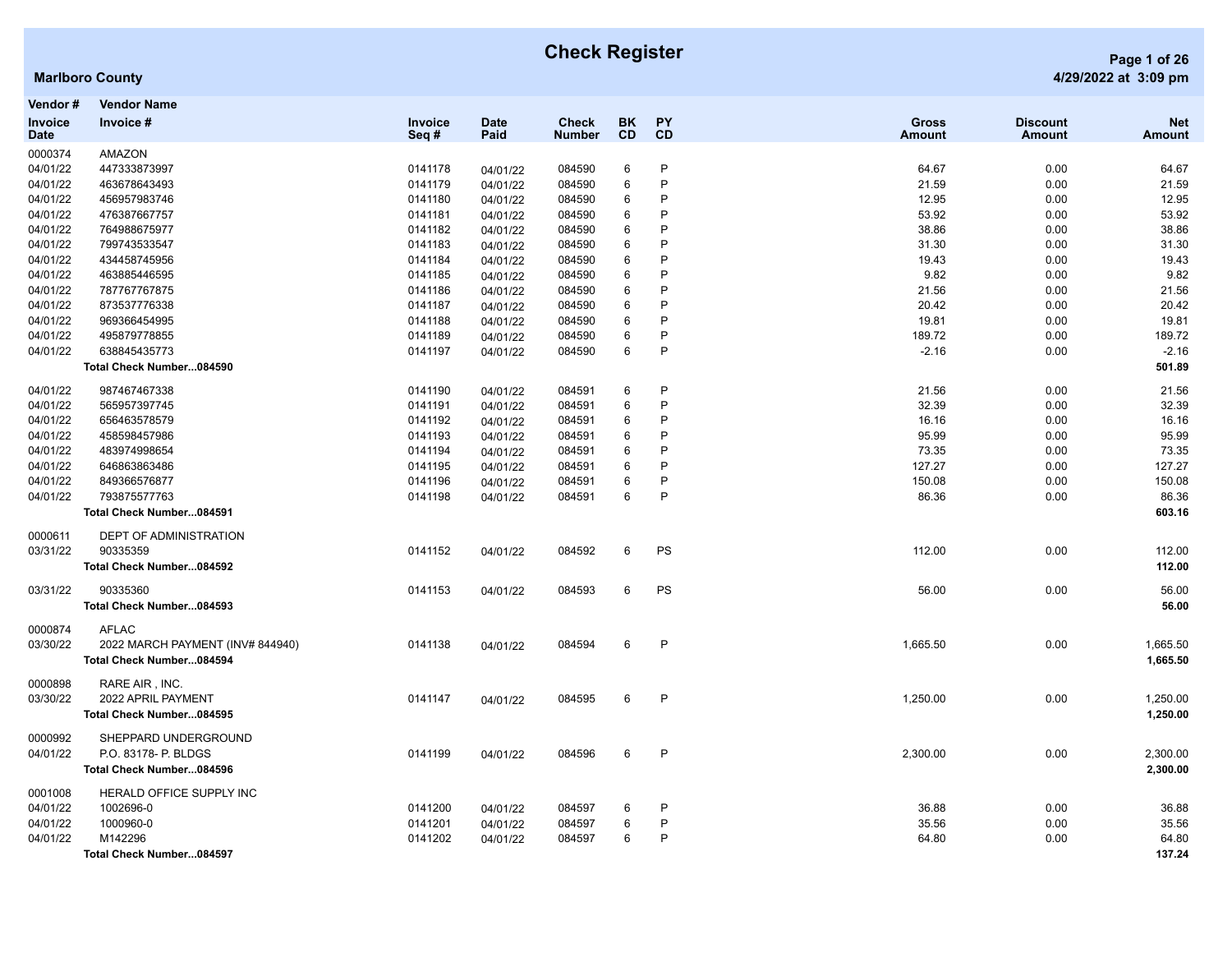## **Check Register Page 1 of 26 Page 1 of 26**

| Vendor #        | <b>Vendor Name</b>               |                 |                     |                               |                 |                 |                        |                           |                      |
|-----------------|----------------------------------|-----------------|---------------------|-------------------------------|-----------------|-----------------|------------------------|---------------------------|----------------------|
| Invoice<br>Date | Invoice #                        | Invoice<br>Seq# | <b>Date</b><br>Paid | <b>Check</b><br><b>Number</b> | BK<br><b>CD</b> | <b>PY</b><br>CD | <b>Gross</b><br>Amount | <b>Discount</b><br>Amount | <b>Net</b><br>Amount |
| 0000374         | AMAZON                           |                 |                     |                               |                 |                 |                        |                           |                      |
| 04/01/22        | 447333873997                     | 0141178         | 04/01/22            | 084590                        | 6               | P               | 64.67                  | 0.00                      | 64.67                |
| 04/01/22        | 463678643493                     | 0141179         | 04/01/22            | 084590                        | 6               | P               | 21.59                  | 0.00                      | 21.59                |
| 04/01/22        | 456957983746                     | 0141180         | 04/01/22            | 084590                        | 6               | P               | 12.95                  | 0.00                      | 12.95                |
| 04/01/22        | 476387667757                     | 0141181         | 04/01/22            | 084590                        | 6               | P               | 53.92                  | 0.00                      | 53.92                |
| 04/01/22        | 764988675977                     | 0141182         | 04/01/22            | 084590                        | 6               | P               | 38.86                  | 0.00                      | 38.86                |
| 04/01/22        | 799743533547                     | 0141183         | 04/01/22            | 084590                        | 6               | P               | 31.30                  | 0.00                      | 31.30                |
| 04/01/22        | 434458745956                     | 0141184         | 04/01/22            | 084590                        | 6               | P               | 19.43                  | 0.00                      | 19.43                |
| 04/01/22        | 463885446595                     | 0141185         | 04/01/22            | 084590                        | 6               | P               | 9.82                   | 0.00                      | 9.82                 |
| 04/01/22        | 787767767875                     | 0141186         | 04/01/22            | 084590                        | 6               | P               | 21.56                  | 0.00                      | 21.56                |
| 04/01/22        | 873537776338                     | 0141187         | 04/01/22            | 084590                        | 6               | P               | 20.42                  | 0.00                      | 20.42                |
| 04/01/22        | 969366454995                     | 0141188         | 04/01/22            | 084590                        | 6               | P               | 19.81                  | 0.00                      | 19.81                |
| 04/01/22        | 495879778855                     | 0141189         | 04/01/22            | 084590                        | 6               | P               | 189.72                 | 0.00                      | 189.72               |
| 04/01/22        | 638845435773                     | 0141197         | 04/01/22            | 084590                        | 6               | P               | $-2.16$                | 0.00                      | $-2.16$              |
|                 | Total Check Number084590         |                 |                     |                               |                 |                 |                        |                           | 501.89               |
| 04/01/22        | 987467467338                     | 0141190         | 04/01/22            | 084591                        | 6               | P               | 21.56                  | 0.00                      | 21.56                |
| 04/01/22        | 565957397745                     | 0141191         | 04/01/22            | 084591                        | 6               | P               | 32.39                  | 0.00                      | 32.39                |
| 04/01/22        | 656463578579                     | 0141192         | 04/01/22            | 084591                        | 6               | P               | 16.16                  | 0.00                      | 16.16                |
| 04/01/22        | 458598457986                     | 0141193         | 04/01/22            | 084591                        | 6               | P               | 95.99                  | 0.00                      | 95.99                |
| 04/01/22        | 483974998654                     | 0141194         | 04/01/22            | 084591                        | 6               | P               | 73.35                  | 0.00                      | 73.35                |
| 04/01/22        | 646863863486                     | 0141195         | 04/01/22            | 084591                        | 6               | P               | 127.27                 | 0.00                      | 127.27               |
| 04/01/22        | 849366576877                     | 0141196         | 04/01/22            | 084591                        | 6               | P               | 150.08                 | 0.00                      | 150.08               |
| 04/01/22        | 793875577763                     | 0141198         | 04/01/22            | 084591                        | 6               | P               | 86.36                  | 0.00                      | 86.36                |
|                 | Total Check Number084591         |                 |                     |                               |                 |                 |                        |                           | 603.16               |
| 0000611         | DEPT OF ADMINISTRATION           |                 |                     |                               |                 |                 |                        |                           |                      |
| 03/31/22        | 90335359                         | 0141152         | 04/01/22            | 084592                        | 6               | PS              | 112.00                 | 0.00                      | 112.00               |
|                 | Total Check Number084592         |                 |                     |                               |                 |                 |                        |                           | 112.00               |
| 03/31/22        | 90335360                         | 0141153         | 04/01/22            | 084593                        | 6               | PS              | 56.00                  | 0.00                      | 56.00                |
|                 | Total Check Number084593         |                 |                     |                               |                 |                 |                        |                           | 56.00                |
|                 |                                  |                 |                     |                               |                 |                 |                        |                           |                      |
| 0000874         | <b>AFLAC</b>                     |                 |                     |                               |                 |                 |                        |                           |                      |
| 03/30/22        | 2022 MARCH PAYMENT (INV# 844940) | 0141138         | 04/01/22            | 084594                        | 6               | $\mathsf{P}$    | 1,665.50               | 0.00                      | 1,665.50             |
|                 | Total Check Number084594         |                 |                     |                               |                 |                 |                        |                           | 1,665.50             |
| 0000898         | RARE AIR, INC.                   |                 |                     |                               |                 |                 |                        |                           |                      |
| 03/30/22        | 2022 APRIL PAYMENT               | 0141147         | 04/01/22            | 084595                        | 6               | P               | 1,250.00               | 0.00                      | 1,250.00             |
|                 | Total Check Number084595         |                 |                     |                               |                 |                 |                        |                           | 1,250.00             |
| 0000992         | SHEPPARD UNDERGROUND             |                 |                     |                               |                 |                 |                        |                           |                      |
| 04/01/22        | P.O. 83178- P. BLDGS             | 0141199         | 04/01/22            | 084596                        | 6               | P               | 2,300.00               | 0.00                      | 2,300.00             |
|                 | Total Check Number084596         |                 |                     |                               |                 |                 |                        |                           | 2,300.00             |
| 0001008         | HERALD OFFICE SUPPLY INC         |                 |                     |                               |                 |                 |                        |                           |                      |
| 04/01/22        | 1002696-0                        | 0141200         | 04/01/22            | 084597                        | 6               | P               | 36.88                  | 0.00                      | 36.88                |
| 04/01/22        | 1000960-0                        | 0141201         | 04/01/22            | 084597                        | 6               | P               | 35.56                  | 0.00                      | 35.56                |
| 04/01/22        | M142296                          | 0141202         | 04/01/22            | 084597                        | 6               | P               | 64.80                  | 0.00                      | 64.80                |
|                 | Total Check Number084597         |                 |                     |                               |                 |                 |                        |                           | 137.24               |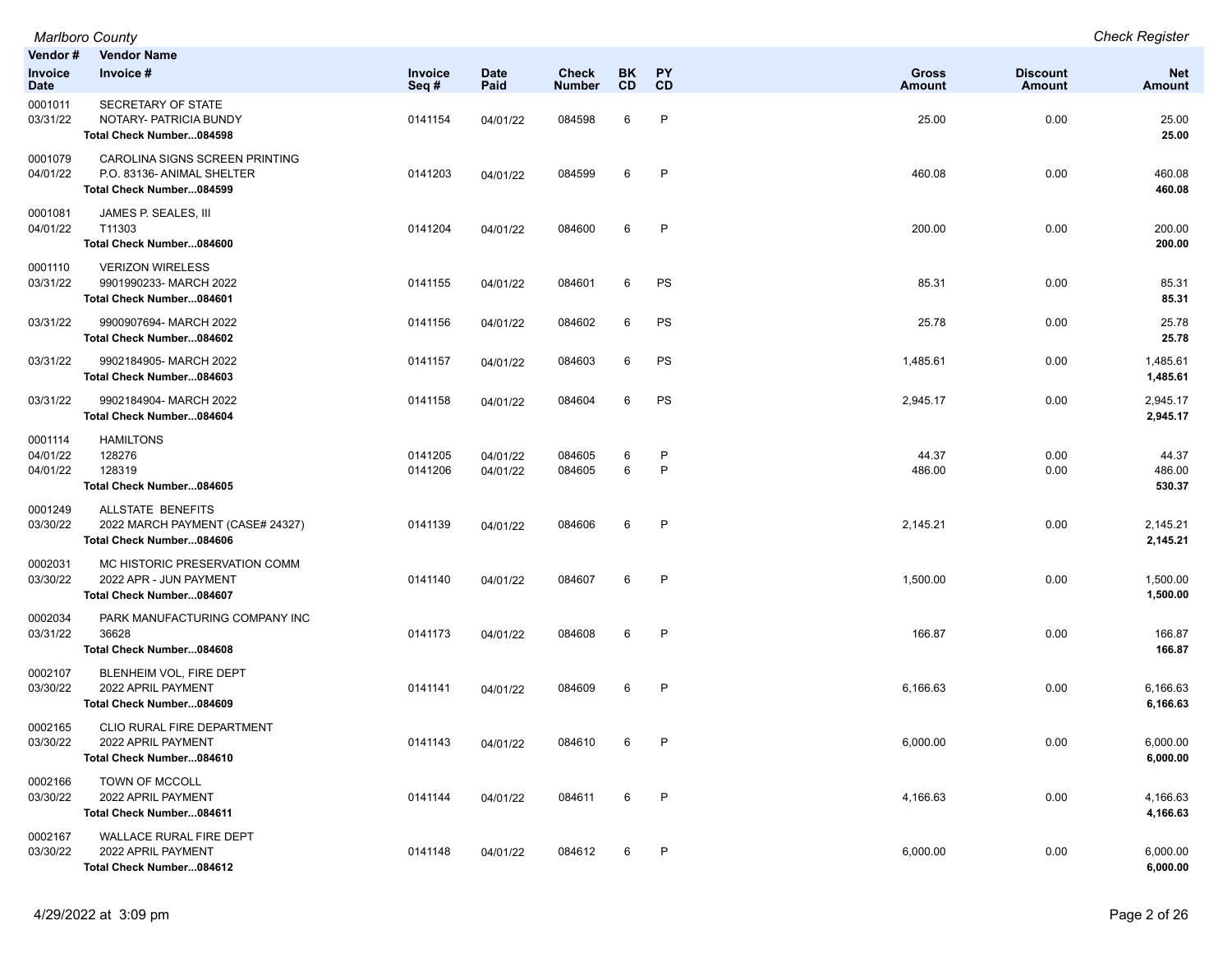| Vendor#                         | <b>Vendor Name</b>                                                                              |                    |                      |                               |          |                 |                        |                           |                           |
|---------------------------------|-------------------------------------------------------------------------------------------------|--------------------|----------------------|-------------------------------|----------|-----------------|------------------------|---------------------------|---------------------------|
| Invoice<br><b>Date</b>          | Invoice #                                                                                       | Invoice<br>Seq#    | <b>Date</b><br>Paid  | <b>Check</b><br><b>Number</b> | BK<br>CD | <b>PY</b><br>CD | <b>Gross</b><br>Amount | <b>Discount</b><br>Amount | <b>Net</b><br>Amount      |
| 0001011<br>03/31/22             | SECRETARY OF STATE<br>NOTARY- PATRICIA BUNDY<br>Total Check Number084598                        | 0141154            | 04/01/22             | 084598                        | 6        | P               | 25.00                  | 0.00                      | 25.00<br>25.00            |
| 0001079<br>04/01/22             | <b>CAROLINA SIGNS SCREEN PRINTING</b><br>P.O. 83136- ANIMAL SHELTER<br>Total Check Number084599 | 0141203            | 04/01/22             | 084599                        | 6        | $\mathsf{P}$    | 460.08                 | 0.00                      | 460.08<br>460.08          |
| 0001081<br>04/01/22             | JAMES P. SEALES, III<br>T11303<br>Total Check Number084600                                      | 0141204            | 04/01/22             | 084600                        | 6        | P               | 200.00                 | 0.00                      | 200.00<br>200.00          |
| 0001110<br>03/31/22             | <b>VERIZON WIRELESS</b><br>9901990233- MARCH 2022<br>Total Check Number084601                   | 0141155            | 04/01/22             | 084601                        | 6        | PS              | 85.31                  | 0.00                      | 85.31<br>85.31            |
| 03/31/22                        | 9900907694- MARCH 2022<br>Total Check Number084602                                              | 0141156            | 04/01/22             | 084602                        | 6        | PS              | 25.78                  | 0.00                      | 25.78<br>25.78            |
| 03/31/22                        | 9902184905-MARCH 2022<br>Total Check Number084603                                               | 0141157            | 04/01/22             | 084603                        | 6        | PS              | 1,485.61               | 0.00                      | 1,485.61<br>1,485.61      |
| 03/31/22                        | 9902184904- MARCH 2022<br>Total Check Number084604                                              | 0141158            | 04/01/22             | 084604                        | 6        | PS              | 2,945.17               | 0.00                      | 2,945.17<br>2,945.17      |
| 0001114<br>04/01/22<br>04/01/22 | <b>HAMILTONS</b><br>128276<br>128319<br>Total Check Number084605                                | 0141205<br>0141206 | 04/01/22<br>04/01/22 | 084605<br>084605              | 6<br>6   | P<br>P          | 44.37<br>486.00        | 0.00<br>0.00              | 44.37<br>486.00<br>530.37 |
| 0001249<br>03/30/22             | ALLSTATE BENEFITS<br>2022 MARCH PAYMENT (CASE# 24327)<br>Total Check Number084606               | 0141139            | 04/01/22             | 084606                        | 6        | P               | 2,145.21               | 0.00                      | 2,145.21<br>2,145.21      |
| 0002031<br>03/30/22             | MC HISTORIC PRESERVATION COMM<br>2022 APR - JUN PAYMENT<br>Total Check Number084607             | 0141140            | 04/01/22             | 084607                        | 6        | P               | 1,500.00               | 0.00                      | 1,500.00<br>1,500.00      |
| 0002034<br>03/31/22             | PARK MANUFACTURING COMPANY INC<br>36628<br>Total Check Number084608                             | 0141173            | 04/01/22             | 084608                        | 6        | P               | 166.87                 | 0.00                      | 166.87<br>166.87          |
| 0002107<br>03/30/22             | BLENHEIM VOL, FIRE DEPT<br>2022 APRIL PAYMENT<br>Total Check Number084609                       | 0141141            | 04/01/22             | 084609                        | 6        | P               | 6,166.63               | 0.00                      | 6,166.63<br>6,166.63      |
| 0002165<br>03/30/22             | CLIO RURAL FIRE DEPARTMENT<br>2022 APRIL PAYMENT<br>Total Check Number084610                    | 0141143            | 04/01/22             | 084610                        | 6        | P               | 6,000.00               | 0.00                      | 6,000.00<br>6,000.00      |
| 0002166<br>03/30/22             | TOWN OF MCCOLL<br>2022 APRIL PAYMENT<br>Total Check Number084611                                | 0141144            | 04/01/22             | 084611                        | 6        | $\mathsf{P}$    | 4,166.63               | 0.00                      | 4,166.63<br>4,166.63      |
| 0002167<br>03/30/22             | WALLACE RURAL FIRE DEPT<br>2022 APRIL PAYMENT<br>Total Check Number084612                       | 0141148            | 04/01/22             | 084612                        | 6        | P               | 6,000.00               | 0.00                      | 6,000.00<br>6,000.00      |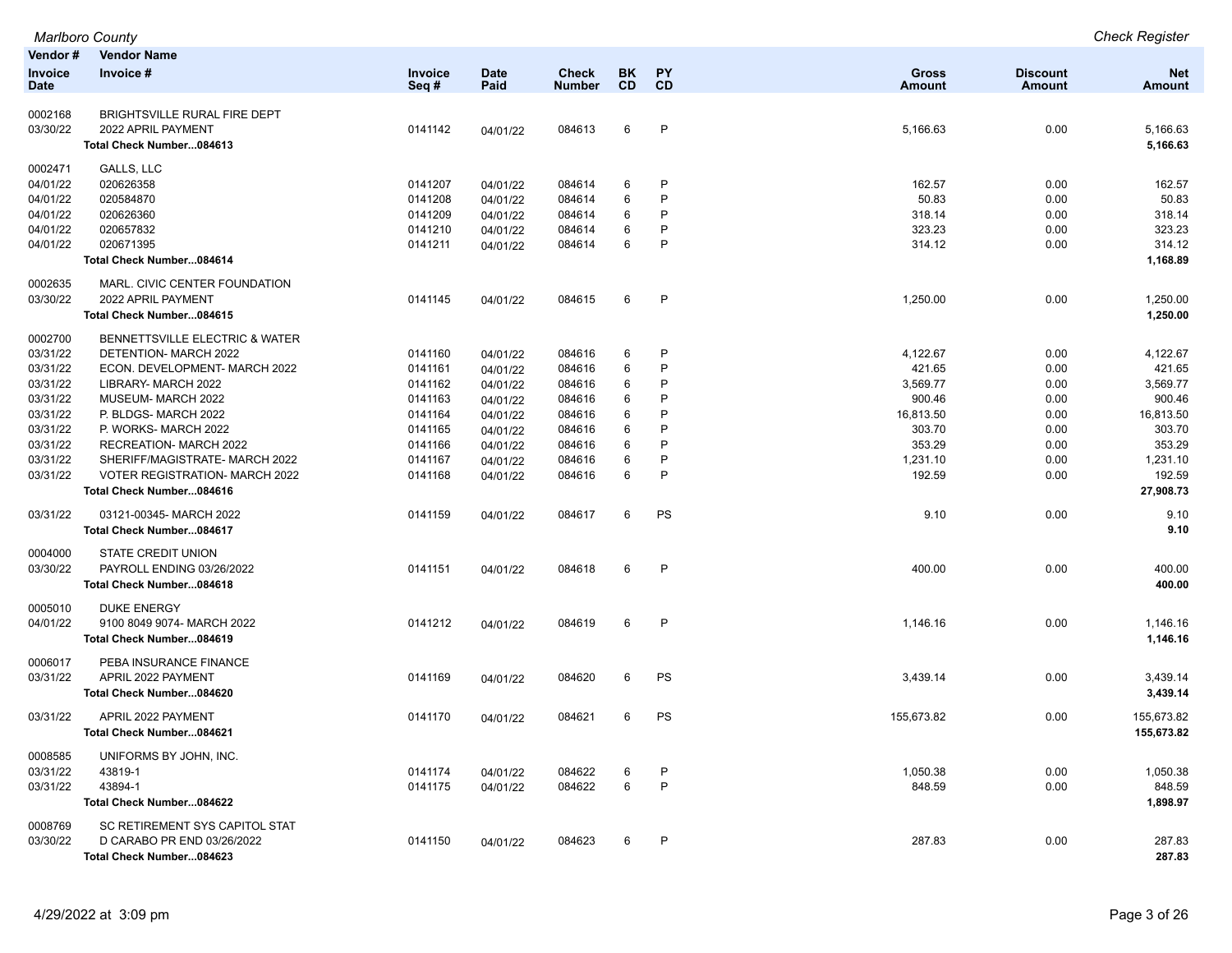|                | Marlboro County                           |                |             |               |           |              |               |                 | <b>Check Register</b> |
|----------------|-------------------------------------------|----------------|-------------|---------------|-----------|--------------|---------------|-----------------|-----------------------|
| Vendor #       | <b>Vendor Name</b>                        |                |             |               |           |              |               |                 |                       |
| <b>Invoice</b> | Invoice #                                 | <b>Invoice</b> | <b>Date</b> | <b>Check</b>  | <b>BK</b> | PY           | Gross         | <b>Discount</b> | <b>Net</b>            |
| <b>Date</b>    |                                           | Seq#           | Paid        | <b>Number</b> | CD        | CD           | <b>Amount</b> | Amount          | <b>Amount</b>         |
| 0002168        | <b>BRIGHTSVILLE RURAL FIRE DEPT</b>       |                |             |               |           |              |               |                 |                       |
| 03/30/22       | 2022 APRIL PAYMENT                        | 0141142        | 04/01/22    | 084613        | 6         | P            | 5,166.63      | 0.00            | 5,166.63              |
|                | Total Check Number084613                  |                |             |               |           |              |               |                 | 5,166.63              |
|                |                                           |                |             |               |           |              |               |                 |                       |
| 0002471        | GALLS, LLC                                |                |             |               |           |              |               |                 |                       |
| 04/01/22       | 020626358                                 | 0141207        | 04/01/22    | 084614        | 6         | P            | 162.57        | 0.00            | 162.57                |
| 04/01/22       | 020584870                                 | 0141208        | 04/01/22    | 084614        | 6         | P            | 50.83         | 0.00            | 50.83                 |
| 04/01/22       | 020626360                                 | 0141209        | 04/01/22    | 084614        | 6         | P            | 318.14        | 0.00            | 318.14                |
| 04/01/22       | 020657832                                 | 0141210        | 04/01/22    | 084614        | 6         | P            | 323.23        | 0.00            | 323.23                |
| 04/01/22       | 020671395                                 | 0141211        | 04/01/22    | 084614        | 6         | $\mathsf{P}$ | 314.12        | 0.00            | 314.12                |
|                | Total Check Number084614                  |                |             |               |           |              |               |                 | 1,168.89              |
| 0002635        | MARL. CIVIC CENTER FOUNDATION             |                |             |               |           |              |               |                 |                       |
| 03/30/22       | 2022 APRIL PAYMENT                        | 0141145        | 04/01/22    | 084615        | 6         | P            | 1,250.00      | 0.00            | 1,250.00              |
|                | Total Check Number084615                  |                |             |               |           |              |               |                 | 1,250.00              |
| 0002700        | <b>BENNETTSVILLE ELECTRIC &amp; WATER</b> |                |             |               |           |              |               |                 |                       |
| 03/31/22       | <b>DETENTION- MARCH 2022</b>              | 0141160        | 04/01/22    | 084616        | 6         | P            | 4,122.67      | 0.00            | 4,122.67              |
| 03/31/22       | ECON. DEVELOPMENT- MARCH 2022             | 0141161        | 04/01/22    | 084616        | 6         | $\mathsf{P}$ | 421.65        | 0.00            | 421.65                |
| 03/31/22       | LIBRARY- MARCH 2022                       | 0141162        | 04/01/22    | 084616        | 6         | P            | 3,569.77      | 0.00            | 3,569.77              |
| 03/31/22       | MUSEUM-MARCH 2022                         | 0141163        | 04/01/22    | 084616        | 6         | P            | 900.46        | 0.00            | 900.46                |
| 03/31/22       | P. BLDGS- MARCH 2022                      | 0141164        | 04/01/22    | 084616        | 6         | P            | 16,813.50     | 0.00            | 16,813.50             |
| 03/31/22       | P. WORKS- MARCH 2022                      | 0141165        | 04/01/22    | 084616        | 6         | P            | 303.70        | 0.00            | 303.70                |
| 03/31/22       | RECREATION- MARCH 2022                    | 0141166        | 04/01/22    | 084616        | 6         | P            | 353.29        | 0.00            | 353.29                |
| 03/31/22       | SHERIFF/MAGISTRATE-MARCH 2022             | 0141167        | 04/01/22    | 084616        | 6         | P            | 1,231.10      | 0.00            | 1,231.10              |
| 03/31/22       | <b>VOTER REGISTRATION- MARCH 2022</b>     | 0141168        | 04/01/22    | 084616        | 6         | P            | 192.59        | 0.00            | 192.59                |
|                | Total Check Number084616                  |                |             |               |           |              |               |                 | 27,908.73             |
|                |                                           |                |             |               |           |              |               |                 |                       |
| 03/31/22       | 03121-00345- MARCH 2022                   | 0141159        | 04/01/22    | 084617        | 6         | PS           | 9.10          | 0.00            | 9.10<br>9.10          |
|                | Total Check Number084617                  |                |             |               |           |              |               |                 |                       |
| 0004000        | STATE CREDIT UNION                        |                |             |               |           |              |               |                 |                       |
| 03/30/22       | PAYROLL ENDING 03/26/2022                 | 0141151        | 04/01/22    | 084618        | 6         | P            | 400.00        | 0.00            | 400.00                |
|                | Total Check Number084618                  |                |             |               |           |              |               |                 | 400.00                |
| 0005010        | <b>DUKE ENERGY</b>                        |                |             |               |           |              |               |                 |                       |
| 04/01/22       | 9100 8049 9074- MARCH 2022                | 0141212        | 04/01/22    | 084619        | 6         | P            | 1,146.16      | 0.00            | 1,146.16              |
|                | Total Check Number084619                  |                |             |               |           |              |               |                 | 1,146.16              |
| 0006017        | PEBA INSURANCE FINANCE                    |                |             |               |           |              |               |                 |                       |
| 03/31/22       | APRIL 2022 PAYMENT                        | 0141169        | 04/01/22    | 084620        | 6         | PS           | 3,439.14      | 0.00            | 3,439.14              |
|                | Total Check Number084620                  |                |             |               |           |              |               |                 | 3,439.14              |
|                |                                           |                |             |               |           |              |               |                 |                       |
| 03/31/22       | APRIL 2022 PAYMENT                        | 0141170        | 04/01/22    | 084621        | 6         | PS           | 155,673.82    | 0.00            | 155,673.82            |
|                | Total Check Number084621                  |                |             |               |           |              |               |                 | 155,673.82            |
| 0008585        | UNIFORMS BY JOHN, INC.                    |                |             |               |           |              |               |                 |                       |
| 03/31/22       | 43819-1                                   | 0141174        | 04/01/22    | 084622        | 6         | P            | 1,050.38      | 0.00            | 1,050.38              |
| 03/31/22       | 43894-1                                   | 0141175        | 04/01/22    | 084622        | 6         | $\sf P$      | 848.59        | 0.00            | 848.59                |
|                | Total Check Number084622                  |                |             |               |           |              |               |                 | 1,898.97              |
| 0008769        | SC RETIREMENT SYS CAPITOL STAT            |                |             |               |           |              |               |                 |                       |
| 03/30/22       | D CARABO PR END 03/26/2022                | 0141150        | 04/01/22    | 084623        | 6         | P            | 287.83        | 0.00            | 287.83                |
|                | Total Check Number084623                  |                |             |               |           |              |               |                 | 287.83                |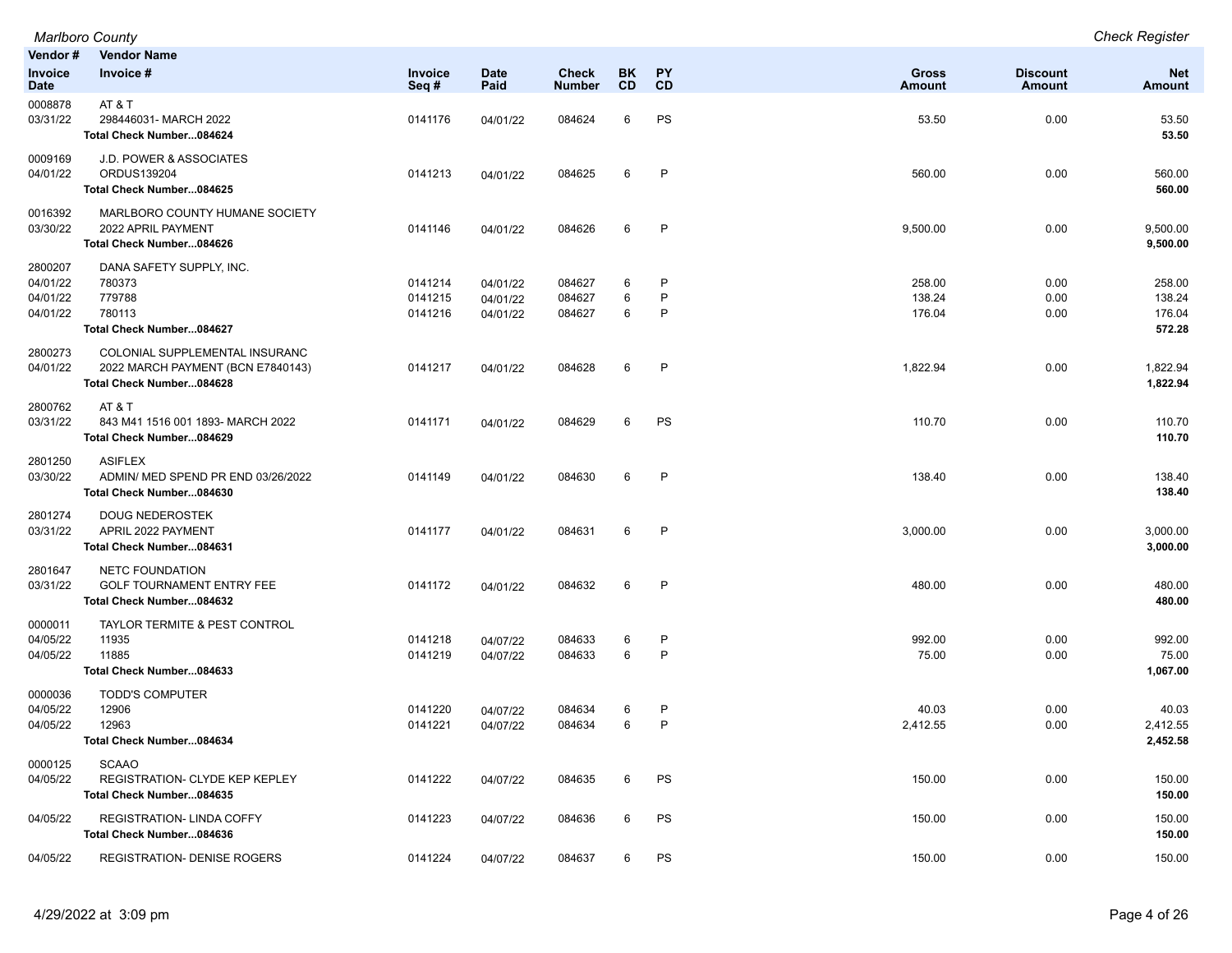|                                                                    | <b>Marlboro County</b>                                                                                                                                    |                                          |                                              |                                      |                  |                        |                                        |                                  | <b>Check Register</b>                            |
|--------------------------------------------------------------------|-----------------------------------------------------------------------------------------------------------------------------------------------------------|------------------------------------------|----------------------------------------------|--------------------------------------|------------------|------------------------|----------------------------------------|----------------------------------|--------------------------------------------------|
| Vendor #                                                           | <b>Vendor Name</b>                                                                                                                                        |                                          |                                              |                                      |                  |                        |                                        |                                  |                                                  |
| Invoice<br>Date                                                    | Invoice #                                                                                                                                                 | Invoice<br>Seq#                          | <b>Date</b><br>Paid                          | <b>Check</b><br><b>Number</b>        | BK<br><b>CD</b>  | <b>PY</b><br><b>CD</b> | <b>Gross</b><br><b>Amount</b>          | <b>Discount</b><br><b>Amount</b> | <b>Net</b><br><b>Amount</b>                      |
| 0008878<br>03/31/22                                                | AT&T<br>298446031- MARCH 2022<br>Total Check Number084624                                                                                                 | 0141176                                  | 04/01/22                                     | 084624                               | 6                | PS                     | 53.50                                  | 0.00                             | 53.50<br>53.50                                   |
| 0009169<br>04/01/22                                                | <b>J.D. POWER &amp; ASSOCIATES</b><br>ORDUS139204<br>Total Check Number084625                                                                             | 0141213                                  | 04/01/22                                     | 084625                               | 6                | P                      | 560.00                                 | 0.00                             | 560.00<br>560.00                                 |
| 0016392<br>03/30/22                                                | MARLBORO COUNTY HUMANE SOCIETY<br>2022 APRIL PAYMENT<br>Total Check Number084626                                                                          | 0141146                                  | 04/01/22                                     | 084626                               | 6                | $\mathsf{P}$           | 9,500.00                               | 0.00                             | 9,500.00<br>9,500.00                             |
| 2800207<br>04/01/22<br>04/01/22<br>04/01/22<br>2800273<br>04/01/22 | DANA SAFETY SUPPLY, INC.<br>780373<br>779788<br>780113<br>Total Check Number084627<br>COLONIAL SUPPLEMENTAL INSURANC<br>2022 MARCH PAYMENT (BCN E7840143) | 0141214<br>0141215<br>0141216<br>0141217 | 04/01/22<br>04/01/22<br>04/01/22<br>04/01/22 | 084627<br>084627<br>084627<br>084628 | 6<br>6<br>6<br>6 | P<br>P<br>P<br>P       | 258.00<br>138.24<br>176.04<br>1,822.94 | 0.00<br>0.00<br>0.00<br>0.00     | 258.00<br>138.24<br>176.04<br>572.28<br>1,822.94 |
| 2800762<br>03/31/22                                                | Total Check Number084628<br>AT & T<br>843 M41 1516 001 1893- MARCH 2022                                                                                   | 0141171                                  | 04/01/22                                     | 084629                               | 6                | PS                     | 110.70                                 | 0.00                             | 1,822.94<br>110.70                               |
| 2801250<br>03/30/22                                                | Total Check Number084629<br><b>ASIFLEX</b><br>ADMIN/ MED SPEND PR END 03/26/2022<br>Total Check Number084630                                              | 0141149                                  | 04/01/22                                     | 084630                               | 6                | $\mathsf{P}$           | 138.40                                 | 0.00                             | 110.70<br>138.40<br>138.40                       |
| 2801274<br>03/31/22                                                | <b>DOUG NEDEROSTEK</b><br>APRIL 2022 PAYMENT<br>Total Check Number084631                                                                                  | 0141177                                  | 04/01/22                                     | 084631                               | 6                | $\mathsf{P}$           | 3,000.00                               | 0.00                             | 3,000.00<br>3,000.00                             |
| 2801647<br>03/31/22                                                | <b>NETC FOUNDATION</b><br><b>GOLF TOURNAMENT ENTRY FEE</b><br>Total Check Number084632                                                                    | 0141172                                  | 04/01/22                                     | 084632                               | 6                | $\mathsf{P}$           | 480.00                                 | 0.00                             | 480.00<br>480.00                                 |
| 0000011<br>04/05/22<br>04/05/22                                    | TAYLOR TERMITE & PEST CONTROL<br>11935<br>11885<br>Total Check Number084633                                                                               | 0141218<br>0141219                       | 04/07/22<br>04/07/22                         | 084633<br>084633                     | 6<br>6           | P<br>$\mathsf{P}$      | 992.00<br>75.00                        | 0.00<br>0.00                     | 992.00<br>75.00<br>1,067.00                      |
| 0000036<br>04/05/22<br>04/05/22                                    | <b>TODD'S COMPUTER</b><br>12906<br>12963<br>Total Check Number084634                                                                                      | 0141220<br>0141221                       | 04/07/22<br>04/07/22                         | 084634<br>084634                     | 6<br>6           | P<br>P                 | 40.03<br>2,412.55                      | 0.00<br>0.00                     | 40.03<br>2,412.55<br>2,452.58                    |
| 0000125<br>04/05/22                                                | <b>SCAAO</b><br>REGISTRATION- CLYDE KEP KEPLEY<br>Total Check Number084635                                                                                | 0141222                                  | 04/07/22                                     | 084635                               | 6                | PS                     | 150.00                                 | 0.00                             | 150.00<br>150.00                                 |
| 04/05/22                                                           | <b>REGISTRATION- LINDA COFFY</b><br>Total Check Number084636                                                                                              | 0141223                                  | 04/07/22                                     | 084636                               | 6                | PS                     | 150.00                                 | 0.00                             | 150.00<br>150.00                                 |
| 04/05/22                                                           | <b>REGISTRATION- DENISE ROGERS</b>                                                                                                                        | 0141224                                  | 04/07/22                                     | 084637                               | 6                | PS                     | 150.00                                 | 0.00                             | 150.00                                           |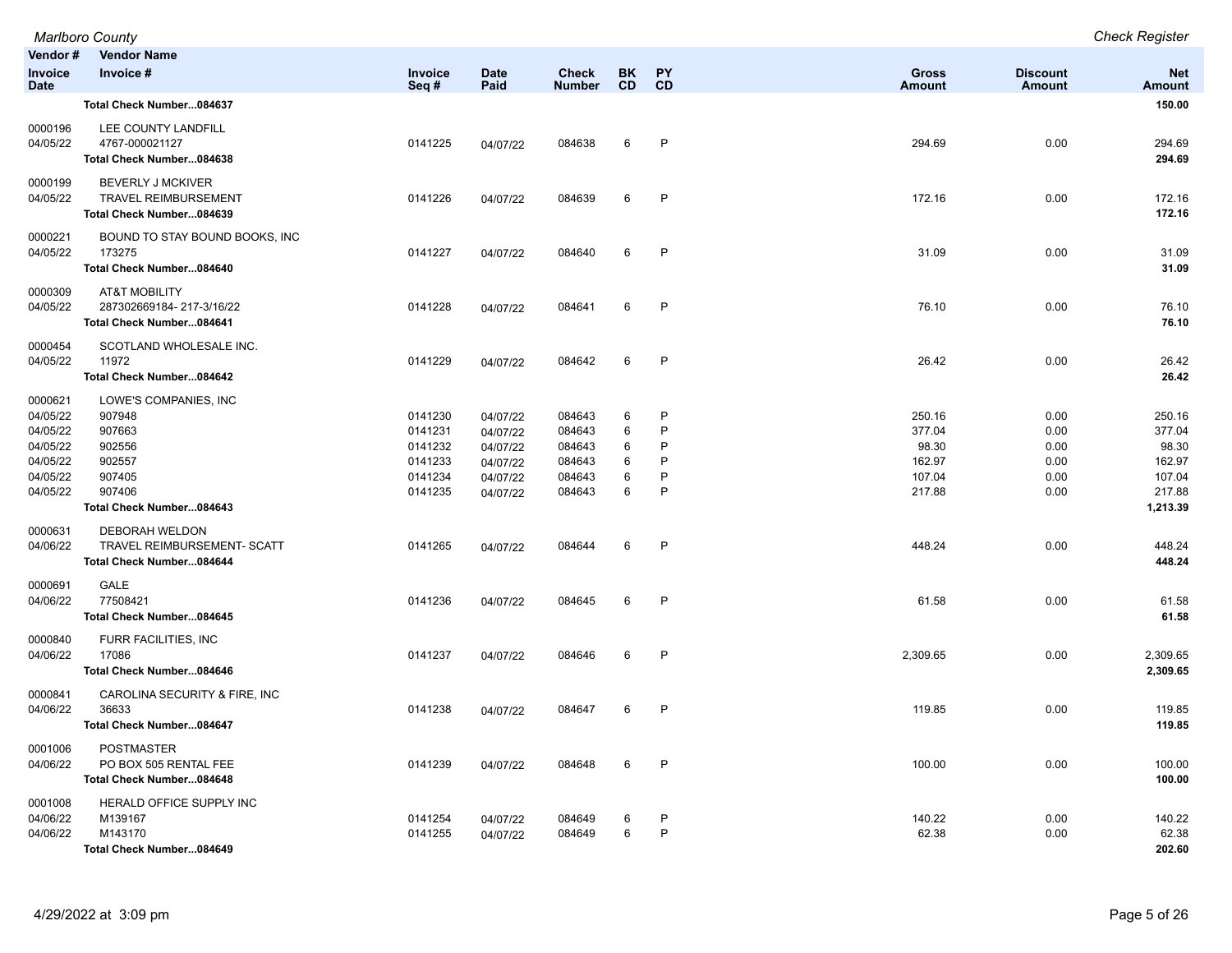|                                                                                 | <b>Marlboro County</b>                                                                                        |                                                                |                                                                      |                                                          |                            |                            |                                                         |                                              | <b>Check Register</b>                                               |
|---------------------------------------------------------------------------------|---------------------------------------------------------------------------------------------------------------|----------------------------------------------------------------|----------------------------------------------------------------------|----------------------------------------------------------|----------------------------|----------------------------|---------------------------------------------------------|----------------------------------------------|---------------------------------------------------------------------|
| Vendor#<br><b>Invoice</b><br><b>Date</b>                                        | <b>Vendor Name</b><br>Invoice #                                                                               | Invoice<br>Seq#                                                | <b>Date</b><br>Paid                                                  | <b>Check</b><br><b>Number</b>                            | BK.<br><b>CD</b>           | PY<br><b>CD</b>            | <b>Gross</b><br><b>Amount</b>                           | <b>Discount</b><br>Amount                    | <b>Net</b><br><b>Amount</b>                                         |
|                                                                                 | Total Check Number084637                                                                                      |                                                                |                                                                      |                                                          |                            |                            |                                                         |                                              | 150.00                                                              |
| 0000196<br>04/05/22                                                             | LEE COUNTY LANDFILL<br>4767-000021127<br>Total Check Number084638                                             | 0141225                                                        | 04/07/22                                                             | 084638                                                   | 6                          | P                          | 294.69                                                  | 0.00                                         | 294.69<br>294.69                                                    |
| 0000199<br>04/05/22                                                             | <b>BEVERLY J MCKIVER</b><br><b>TRAVEL REIMBURSEMENT</b><br>Total Check Number084639                           | 0141226                                                        | 04/07/22                                                             | 084639                                                   | 6                          | $\mathsf{P}$               | 172.16                                                  | 0.00                                         | 172.16<br>172.16                                                    |
| 0000221<br>04/05/22                                                             | BOUND TO STAY BOUND BOOKS, INC<br>173275<br>Total Check Number084640                                          | 0141227                                                        | 04/07/22                                                             | 084640                                                   | 6                          | P                          | 31.09                                                   | 0.00                                         | 31.09<br>31.09                                                      |
| 0000309<br>04/05/22                                                             | <b>AT&amp;T MOBILITY</b><br>287302669184-217-3/16/22<br>Total Check Number084641                              | 0141228                                                        | 04/07/22                                                             | 084641                                                   | 6                          | P                          | 76.10                                                   | 0.00                                         | 76.10<br>76.10                                                      |
| 0000454<br>04/05/22                                                             | SCOTLAND WHOLESALE INC.<br>11972<br>Total Check Number084642                                                  | 0141229                                                        | 04/07/22                                                             | 084642                                                   | 6                          | $\mathsf{P}$               | 26.42                                                   | 0.00                                         | 26.42<br>26.42                                                      |
| 0000621<br>04/05/22<br>04/05/22<br>04/05/22<br>04/05/22<br>04/05/22<br>04/05/22 | LOWE'S COMPANIES, INC<br>907948<br>907663<br>902556<br>902557<br>907405<br>907406<br>Total Check Number084643 | 0141230<br>0141231<br>0141232<br>0141233<br>0141234<br>0141235 | 04/07/22<br>04/07/22<br>04/07/22<br>04/07/22<br>04/07/22<br>04/07/22 | 084643<br>084643<br>084643<br>084643<br>084643<br>084643 | 6<br>6<br>6<br>6<br>6<br>6 | P<br>P<br>P<br>P<br>P<br>P | 250.16<br>377.04<br>98.30<br>162.97<br>107.04<br>217.88 | 0.00<br>0.00<br>0.00<br>0.00<br>0.00<br>0.00 | 250.16<br>377.04<br>98.30<br>162.97<br>107.04<br>217.88<br>1,213.39 |
| 0000631<br>04/06/22                                                             | <b>DEBORAH WELDON</b><br>TRAVEL REIMBURSEMENT- SCATT<br>Total Check Number084644                              | 0141265                                                        | 04/07/22                                                             | 084644                                                   | 6                          | $\mathsf{P}$               | 448.24                                                  | 0.00                                         | 448.24<br>448.24                                                    |
| 0000691<br>04/06/22                                                             | GALE<br>77508421<br>Total Check Number084645                                                                  | 0141236                                                        | 04/07/22                                                             | 084645                                                   | 6                          | P                          | 61.58                                                   | 0.00                                         | 61.58<br>61.58                                                      |
| 0000840<br>04/06/22                                                             | FURR FACILITIES, INC<br>17086<br>Total Check Number084646                                                     | 0141237                                                        | 04/07/22                                                             | 084646                                                   | 6                          | $\mathsf{P}$               | 2,309.65                                                | 0.00                                         | 2,309.65<br>2,309.65                                                |
| 0000841<br>04/06/22                                                             | CAROLINA SECURITY & FIRE, INC<br>36633<br>Total Check Number084647                                            | 0141238                                                        | 04/07/22                                                             | 084647                                                   | 6                          | P                          | 119.85                                                  | 0.00                                         | 119.85<br>119.85                                                    |
| 0001006<br>04/06/22                                                             | <b>POSTMASTER</b><br>PO BOX 505 RENTAL FEE<br>Total Check Number084648                                        | 0141239                                                        | 04/07/22                                                             | 084648                                                   | 6                          | P                          | 100.00                                                  | 0.00                                         | 100.00<br>100.00                                                    |
| 0001008<br>04/06/22<br>04/06/22                                                 | HERALD OFFICE SUPPLY INC<br>M139167<br>M143170<br>Total Check Number084649                                    | 0141254<br>0141255                                             | 04/07/22<br>04/07/22                                                 | 084649<br>084649                                         | 6<br>6                     | P<br>P                     | 140.22<br>62.38                                         | 0.00<br>0.00                                 | 140.22<br>62.38<br>202.60                                           |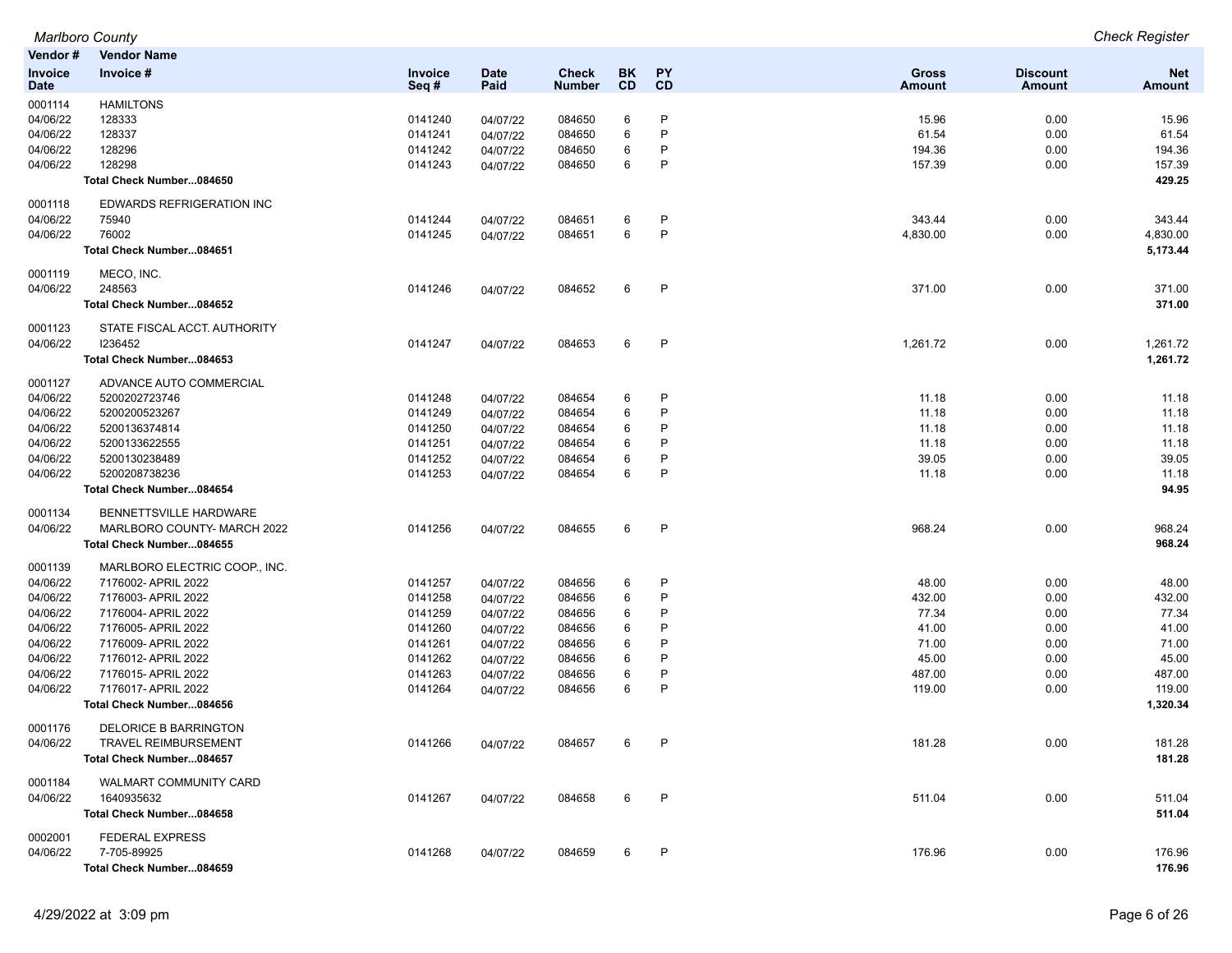| Vendor #                      | <b>Vendor Name</b>            |                 |                     |                        |          |              |                        |                                  |                             |
|-------------------------------|-------------------------------|-----------------|---------------------|------------------------|----------|--------------|------------------------|----------------------------------|-----------------------------|
| <b>Invoice</b><br><b>Date</b> | Invoice #                     | Invoice<br>Seq# | <b>Date</b><br>Paid | Check<br><b>Number</b> | BK<br>CD | PΥ<br>CD     | Gross<br><b>Amount</b> | <b>Discount</b><br><b>Amount</b> | <b>Net</b><br><b>Amount</b> |
| 0001114                       | <b>HAMILTONS</b>              |                 |                     |                        |          |              |                        |                                  |                             |
| 04/06/22                      | 128333                        | 0141240         | 04/07/22            | 084650                 | 6        | P            | 15.96                  | 0.00                             | 15.96                       |
| 04/06/22                      | 128337                        | 0141241         | 04/07/22            | 084650                 | 6        | P            | 61.54                  | 0.00                             | 61.54                       |
| 04/06/22                      | 128296                        | 0141242         | 04/07/22            | 084650                 | 6        | P            | 194.36                 | 0.00                             | 194.36                      |
| 04/06/22                      | 128298                        | 0141243         | 04/07/22            | 084650                 | 6        | P            | 157.39                 | 0.00                             | 157.39                      |
|                               | Total Check Number084650      |                 |                     |                        |          |              |                        |                                  | 429.25                      |
| 0001118                       | EDWARDS REFRIGERATION INC     |                 |                     |                        |          |              |                        |                                  |                             |
| 04/06/22                      | 75940                         | 0141244         | 04/07/22            | 084651                 | 6        | P            | 343.44                 | 0.00                             | 343.44                      |
| 04/06/22                      | 76002                         | 0141245         | 04/07/22            | 084651                 | 6        | $\mathsf{P}$ | 4,830.00               | 0.00                             | 4,830.00                    |
|                               | Total Check Number084651      |                 |                     |                        |          |              |                        |                                  | 5,173.44                    |
| 0001119                       | MECO, INC.                    |                 |                     |                        |          |              |                        |                                  |                             |
| 04/06/22                      | 248563                        | 0141246         | 04/07/22            | 084652                 | 6        | P            | 371.00                 | 0.00                             | 371.00                      |
|                               | Total Check Number084652      |                 |                     |                        |          |              |                        |                                  | 371.00                      |
| 0001123                       | STATE FISCAL ACCT. AUTHORITY  |                 |                     |                        |          |              |                        |                                  |                             |
| 04/06/22                      | 1236452                       | 0141247         | 04/07/22            | 084653                 | 6        | P            | 1,261.72               | 0.00                             | 1,261.72                    |
|                               | Total Check Number084653      |                 |                     |                        |          |              |                        |                                  | 1,261.72                    |
| 0001127                       | ADVANCE AUTO COMMERCIAL       |                 |                     |                        |          |              |                        |                                  |                             |
| 04/06/22                      | 5200202723746                 | 0141248         | 04/07/22            | 084654                 | 6        | P            | 11.18                  | 0.00                             | 11.18                       |
| 04/06/22                      | 5200200523267                 | 0141249         | 04/07/22            | 084654                 | 6        | P            | 11.18                  | 0.00                             | 11.18                       |
| 04/06/22                      | 5200136374814                 | 0141250         | 04/07/22            | 084654                 | 6        | P            | 11.18                  | 0.00                             | 11.18                       |
| 04/06/22                      | 5200133622555                 | 0141251         | 04/07/22            | 084654                 | 6        | P            | 11.18                  | 0.00                             | 11.18                       |
| 04/06/22                      | 5200130238489                 | 0141252         | 04/07/22            | 084654                 | 6        | P            | 39.05                  | 0.00                             | 39.05                       |
| 04/06/22                      | 5200208738236                 | 0141253         | 04/07/22            | 084654                 | 6        | P            | 11.18                  | 0.00                             | 11.18                       |
|                               | Total Check Number084654      |                 |                     |                        |          |              |                        |                                  | 94.95                       |
| 0001134                       | BENNETTSVILLE HARDWARE        |                 |                     |                        |          |              |                        |                                  |                             |
| 04/06/22                      | MARLBORO COUNTY- MARCH 2022   | 0141256         | 04/07/22            | 084655                 | 6        | P            | 968.24                 | 0.00                             | 968.24                      |
|                               | Total Check Number084655      |                 |                     |                        |          |              |                        |                                  | 968.24                      |
| 0001139                       | MARLBORO ELECTRIC COOP., INC. |                 |                     |                        |          |              |                        |                                  |                             |
| 04/06/22                      | 7176002- APRIL 2022           | 0141257         | 04/07/22            | 084656                 | 6        | P            | 48.00                  | 0.00                             | 48.00                       |
| 04/06/22                      | 7176003- APRIL 2022           | 0141258         | 04/07/22            | 084656                 | 6        | P            | 432.00                 | 0.00                             | 432.00                      |
| 04/06/22                      | 7176004- APRIL 2022           | 0141259         | 04/07/22            | 084656                 | 6        | P            | 77.34                  | 0.00                             | 77.34                       |
| 04/06/22                      | 7176005- APRIL 2022           | 0141260         | 04/07/22            | 084656                 | 6        | P            | 41.00                  | 0.00                             | 41.00                       |
| 04/06/22                      | 7176009- APRIL 2022           | 0141261         | 04/07/22            | 084656                 | 6        | P            | 71.00                  | 0.00                             | 71.00                       |
| 04/06/22                      | 7176012- APRIL 2022           | 0141262         | 04/07/22            | 084656                 | 6        | P            | 45.00                  | 0.00                             | 45.00                       |
| 04/06/22                      | 7176015- APRIL 2022           | 0141263         | 04/07/22            | 084656                 | 6        | P            | 487.00                 | 0.00                             | 487.00                      |
| 04/06/22                      | 7176017- APRIL 2022           | 0141264         | 04/07/22            | 084656                 | 6        | P            | 119.00                 | 0.00                             | 119.00                      |
|                               | Total Check Number084656      |                 |                     |                        |          |              |                        |                                  | 1,320.34                    |
| 0001176                       | <b>DELORICE B BARRINGTON</b>  |                 |                     |                        |          |              |                        |                                  |                             |
| 04/06/22                      | <b>TRAVEL REIMBURSEMENT</b>   | 0141266         | 04/07/22            | 084657                 | 6        | P            | 181.28                 | 0.00                             | 181.28                      |
|                               | Total Check Number084657      |                 |                     |                        |          |              |                        |                                  | 181.28                      |
| 0001184                       | WALMART COMMUNITY CARD        |                 |                     |                        |          |              |                        |                                  |                             |
| 04/06/22                      | 1640935632                    | 0141267         | 04/07/22            | 084658                 | 6        | P            | 511.04                 | 0.00                             | 511.04                      |
|                               | Total Check Number084658      |                 |                     |                        |          |              |                        |                                  | 511.04                      |
| 0002001                       | <b>FEDERAL EXPRESS</b>        |                 |                     |                        |          |              |                        |                                  |                             |
| 04/06/22                      | 7-705-89925                   | 0141268         | 04/07/22            | 084659                 | 6        | P            | 176.96                 | 0.00                             | 176.96                      |
|                               | Total Check Number084659      |                 |                     |                        |          |              |                        |                                  | 176.96                      |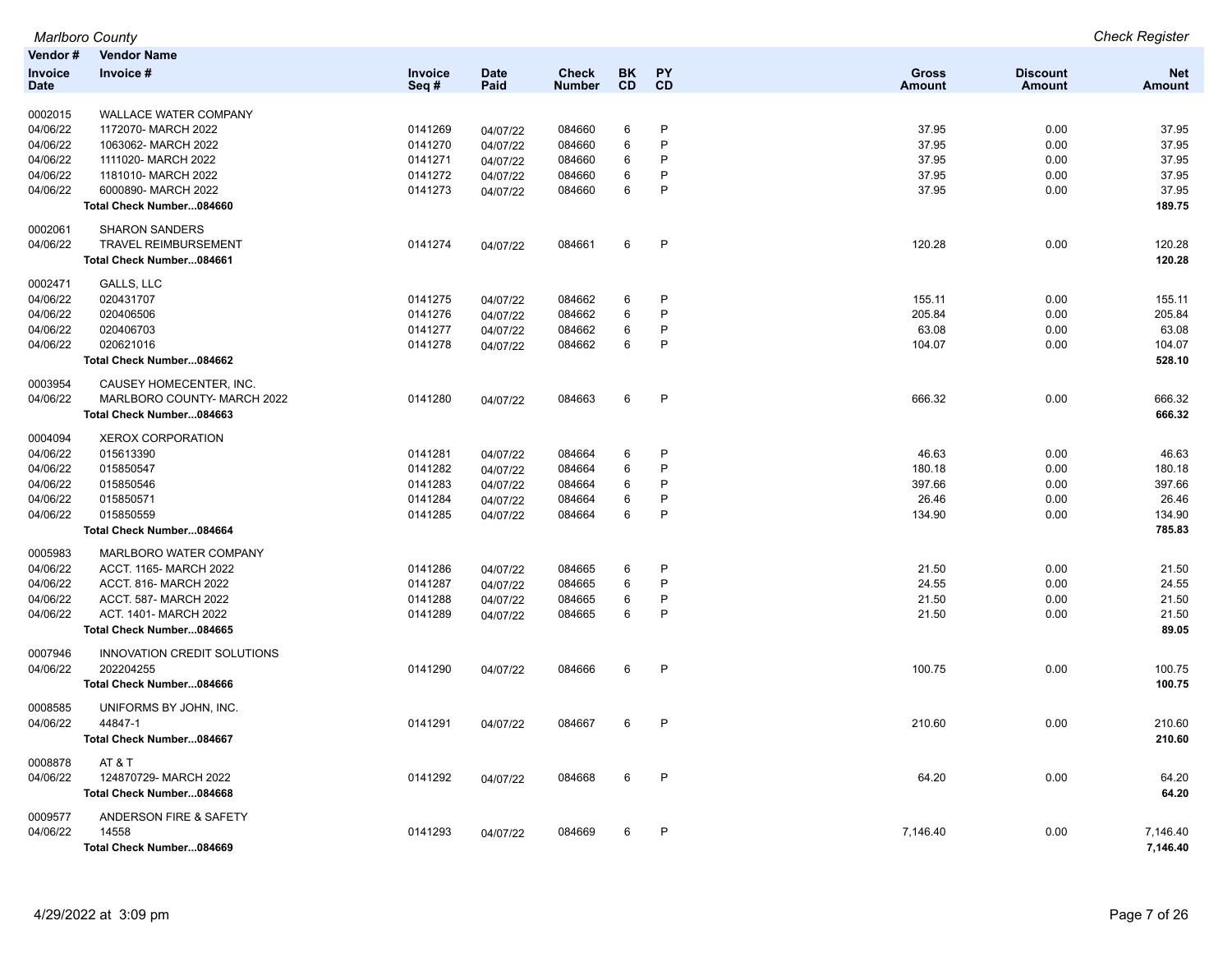| Marlboro County | <b>Check Register</b> |
|-----------------|-----------------------|
|-----------------|-----------------------|

| Vendor #<br><b>Invoice</b><br>Date | Vendor Name<br>Invoice #              | Invoice<br>Seq# | <b>Date</b><br>Paid | Check<br><b>Number</b> | BK<br><b>CD</b> | <b>PY</b><br>CD | Gross<br><b>Amount</b> | <b>Discount</b><br><b>Amount</b> | <b>Net</b><br><b>Amount</b> |
|------------------------------------|---------------------------------------|-----------------|---------------------|------------------------|-----------------|-----------------|------------------------|----------------------------------|-----------------------------|
| 0002015                            | <b>WALLACE WATER COMPANY</b>          |                 |                     |                        |                 |                 |                        |                                  |                             |
| 04/06/22                           | 1172070- MARCH 2022                   | 0141269         | 04/07/22            | 084660                 | 6               | P               | 37.95                  | 0.00                             | 37.95                       |
| 04/06/22                           | 1063062- MARCH 2022                   | 0141270         | 04/07/22            | 084660                 | 6               | P               | 37.95                  | 0.00                             | 37.95                       |
| 04/06/22                           | 1111020- MARCH 2022                   | 0141271         | 04/07/22            | 084660                 | 6               | P               | 37.95                  | 0.00                             | 37.95                       |
| 04/06/22                           | 1181010- MARCH 2022                   | 0141272         | 04/07/22            | 084660                 | $\,6$           | P               | 37.95                  | 0.00                             | 37.95                       |
| 04/06/22                           | 6000890- MARCH 2022                   | 0141273         | 04/07/22            | 084660                 | 6               | P               | 37.95                  | 0.00                             | 37.95                       |
|                                    | Total Check Number084660              |                 |                     |                        |                 |                 |                        |                                  | 189.75                      |
| 0002061                            | <b>SHARON SANDERS</b>                 |                 |                     |                        |                 |                 |                        |                                  |                             |
| 04/06/22                           | <b>TRAVEL REIMBURSEMENT</b>           | 0141274         | 04/07/22            | 084661                 | 6               | $\mathsf{P}$    | 120.28                 | 0.00                             | 120.28                      |
|                                    | Total Check Number084661              |                 |                     |                        |                 |                 |                        |                                  | 120.28                      |
| 0002471                            | GALLS, LLC                            |                 |                     |                        |                 |                 |                        |                                  |                             |
| 04/06/22                           | 020431707                             | 0141275         | 04/07/22            | 084662                 | 6               | P               | 155.11                 | 0.00                             | 155.11                      |
| 04/06/22                           | 020406506                             | 0141276         | 04/07/22            | 084662                 | 6               | P               | 205.84                 | 0.00                             | 205.84                      |
| 04/06/22                           | 020406703                             | 0141277         | 04/07/22            | 084662                 | 6               | P               | 63.08                  | 0.00                             | 63.08                       |
| 04/06/22                           | 020621016<br>Total Check Number084662 | 0141278         | 04/07/22            | 084662                 | 6               | $\mathsf{P}$    | 104.07                 | 0.00                             | 104.07<br>528.10            |
| 0003954                            | CAUSEY HOMECENTER, INC.               |                 |                     |                        |                 |                 |                        |                                  |                             |
| 04/06/22                           | MARLBORO COUNTY- MARCH 2022           | 0141280         | 04/07/22            | 084663                 | 6               | $\mathsf{P}$    | 666.32                 | 0.00                             | 666.32                      |
|                                    | Total Check Number084663              |                 |                     |                        |                 |                 |                        |                                  | 666.32                      |
| 0004094                            | <b>XEROX CORPORATION</b>              |                 |                     |                        |                 |                 |                        |                                  |                             |
| 04/06/22                           | 015613390                             | 0141281         | 04/07/22            | 084664                 | 6               | P               | 46.63                  | 0.00                             | 46.63                       |
| 04/06/22                           | 015850547                             | 0141282         | 04/07/22            | 084664                 | 6               | P               | 180.18                 | 0.00                             | 180.18                      |
| 04/06/22                           | 015850546                             | 0141283         | 04/07/22            | 084664                 | 6               | P               | 397.66                 | 0.00                             | 397.66                      |
| 04/06/22                           | 015850571                             | 0141284         | 04/07/22            | 084664                 | $\,6$           | P               | 26.46                  | 0.00                             | 26.46                       |
| 04/06/22                           | 015850559                             | 0141285         | 04/07/22            | 084664                 | 6               | $\mathsf{P}$    | 134.90                 | 0.00                             | 134.90                      |
|                                    | Total Check Number084664              |                 |                     |                        |                 |                 |                        |                                  | 785.83                      |
| 0005983                            | MARLBORO WATER COMPANY                |                 |                     |                        |                 |                 |                        |                                  |                             |
| 04/06/22                           | ACCT. 1165- MARCH 2022                | 0141286         | 04/07/22            | 084665                 | 6               | P               | 21.50                  | 0.00                             | 21.50                       |
| 04/06/22                           | ACCT. 816- MARCH 2022                 | 0141287         | 04/07/22            | 084665                 | $\,6$           | P               | 24.55                  | 0.00                             | 24.55                       |
| 04/06/22                           | ACCT. 587- MARCH 2022                 | 0141288         | 04/07/22            | 084665                 | 6               | P               | 21.50                  | 0.00                             | 21.50                       |
| 04/06/22                           | ACT. 1401- MARCH 2022                 | 0141289         | 04/07/22            | 084665                 | 6               | P               | 21.50                  | 0.00                             | 21.50                       |
|                                    | Total Check Number084665              |                 |                     |                        |                 |                 |                        |                                  | 89.05                       |
| 0007946                            | INNOVATION CREDIT SOLUTIONS           |                 |                     |                        |                 |                 |                        |                                  |                             |
| 04/06/22                           | 202204255                             | 0141290         | 04/07/22            | 084666                 | 6               | $\mathsf{P}$    | 100.75                 | 0.00                             | 100.75                      |
|                                    | Total Check Number084666              |                 |                     |                        |                 |                 |                        |                                  | 100.75                      |
| 0008585                            | UNIFORMS BY JOHN, INC.                |                 |                     |                        |                 |                 |                        |                                  |                             |
| 04/06/22                           | 44847-1                               | 0141291         | 04/07/22            | 084667                 | 6               | $\mathsf{P}$    | 210.60                 | 0.00                             | 210.60                      |
|                                    | Total Check Number084667              |                 |                     |                        |                 |                 |                        |                                  | 210.60                      |
| 0008878                            | AT & T                                |                 |                     |                        |                 |                 |                        |                                  |                             |
| 04/06/22                           | 124870729- MARCH 2022                 | 0141292         | 04/07/22            | 084668                 | 6               | P               | 64.20                  | 0.00                             | 64.20                       |
|                                    | Total Check Number084668              |                 |                     |                        |                 |                 |                        |                                  | 64.20                       |
| 0009577<br>04/06/22                | ANDERSON FIRE & SAFETY<br>14558       | 0141293         |                     | 084669                 | 6               | $\mathsf{P}$    | 7,146.40               | 0.00                             | 7,146.40                    |
|                                    | Total Check Number084669              |                 | 04/07/22            |                        |                 |                 |                        |                                  | 7,146.40                    |
|                                    |                                       |                 |                     |                        |                 |                 |                        |                                  |                             |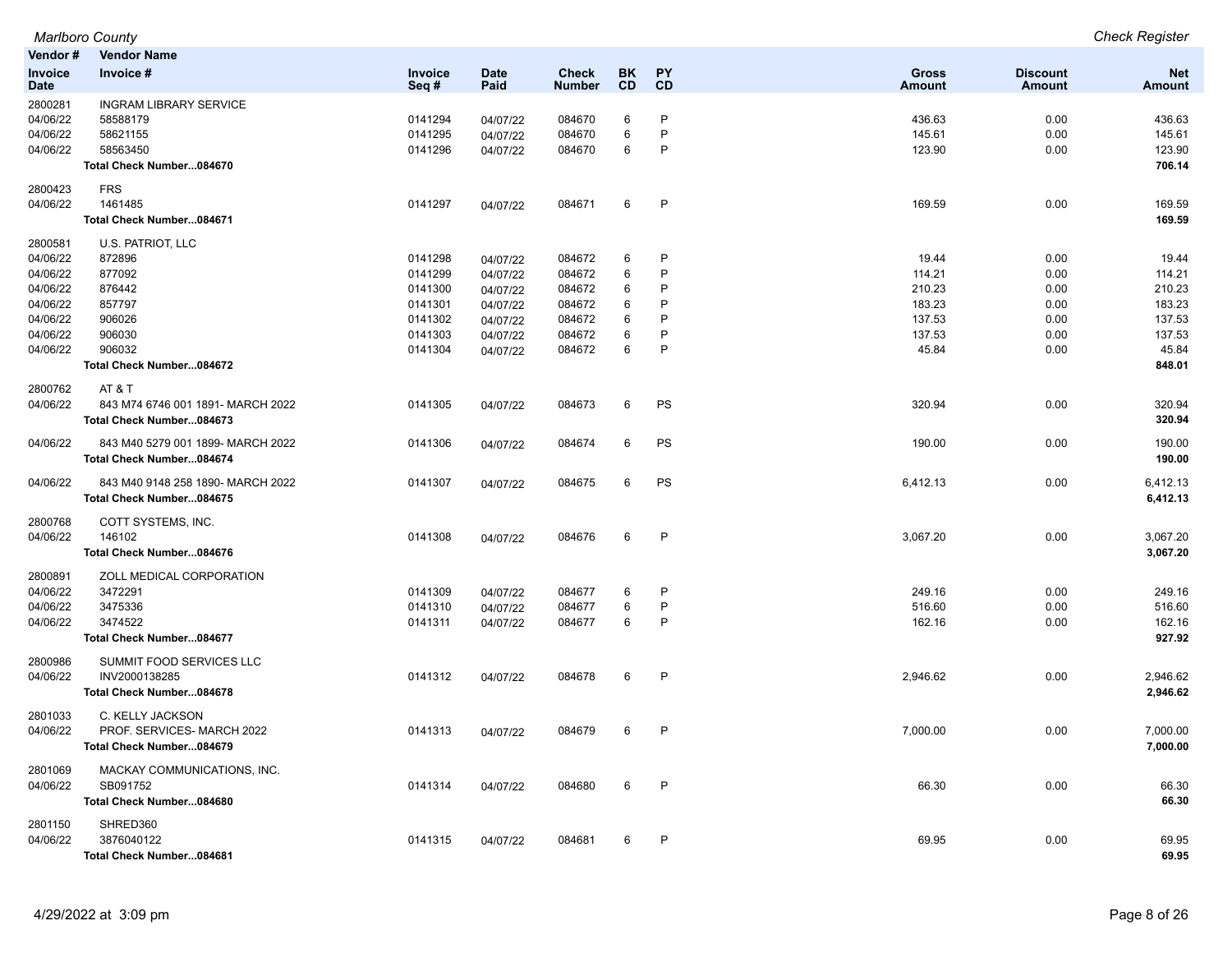| Vendor#                | <b>Vendor Name</b>                                            |                 |                     |                               |                        |                 |                               |                           |                             |
|------------------------|---------------------------------------------------------------|-----------------|---------------------|-------------------------------|------------------------|-----------------|-------------------------------|---------------------------|-----------------------------|
| Invoice<br><b>Date</b> | Invoice #                                                     | Invoice<br>Seq# | <b>Date</b><br>Paid | <b>Check</b><br><b>Number</b> | <b>BK</b><br><b>CD</b> | <b>PY</b><br>CD | <b>Gross</b><br><b>Amount</b> | <b>Discount</b><br>Amount | <b>Net</b><br><b>Amount</b> |
| 2800281                | <b>INGRAM LIBRARY SERVICE</b>                                 |                 |                     |                               |                        |                 |                               |                           |                             |
| 04/06/22               | 58588179                                                      | 0141294         | 04/07/22            | 084670                        | 6                      | P               | 436.63                        | 0.00                      | 436.63                      |
| 04/06/22               | 58621155                                                      | 0141295         | 04/07/22            | 084670                        | 6                      | P               | 145.61                        | 0.00                      | 145.61                      |
| 04/06/22               | 58563450                                                      | 0141296         | 04/07/22            | 084670                        | 6                      | P               | 123.90                        | 0.00                      | 123.90                      |
|                        | Total Check Number084670                                      |                 |                     |                               |                        |                 |                               |                           | 706.14                      |
| 2800423                | <b>FRS</b>                                                    |                 |                     |                               |                        |                 |                               |                           |                             |
| 04/06/22               | 1461485                                                       | 0141297         | 04/07/22            | 084671                        | 6                      | $\mathsf{P}$    | 169.59                        | 0.00                      | 169.59                      |
|                        | Total Check Number084671                                      |                 |                     |                               |                        |                 |                               |                           | 169.59                      |
| 2800581                | U.S. PATRIOT, LLC                                             |                 |                     |                               |                        |                 |                               |                           |                             |
| 04/06/22               | 872896                                                        | 0141298         | 04/07/22            | 084672                        | 6                      | P               | 19.44                         | 0.00                      | 19.44                       |
| 04/06/22               | 877092                                                        | 0141299         | 04/07/22            | 084672                        | 6                      | P               | 114.21                        | 0.00                      | 114.21                      |
| 04/06/22               | 876442                                                        | 0141300         | 04/07/22            | 084672                        | 6                      | P               | 210.23                        | 0.00                      | 210.23                      |
| 04/06/22               | 857797                                                        | 0141301         | 04/07/22            | 084672                        | 6                      | P               | 183.23                        | 0.00                      | 183.23                      |
| 04/06/22               | 906026                                                        | 0141302         | 04/07/22            | 084672                        | 6                      | P               | 137.53                        | 0.00                      | 137.53                      |
| 04/06/22               | 906030                                                        | 0141303         | 04/07/22            | 084672                        | 6                      | $\mathsf{P}$    | 137.53                        | 0.00                      | 137.53                      |
| 04/06/22               | 906032                                                        | 0141304         |                     | 084672                        | 6                      | P               | 45.84                         | 0.00                      | 45.84                       |
|                        | Total Check Number084672                                      |                 | 04/07/22            |                               |                        |                 |                               |                           | 848.01                      |
| 2800762                | AT & T                                                        |                 |                     |                               |                        |                 |                               |                           |                             |
| 04/06/22               | 843 M74 6746 001 1891- MARCH 2022                             | 0141305         | 04/07/22            | 084673                        | 6                      | PS              | 320.94                        | 0.00                      | 320.94                      |
|                        |                                                               |                 |                     |                               |                        |                 |                               |                           | 320.94                      |
|                        | Total Check Number084673                                      |                 |                     |                               |                        |                 |                               |                           |                             |
| 04/06/22               | 843 M40 5279 001 1899- MARCH 2022<br>Total Check Number084674 | 0141306         | 04/07/22            | 084674                        | 6                      | PS              | 190.00                        | 0.00                      | 190.00<br>190.00            |
|                        |                                                               |                 |                     |                               |                        |                 |                               |                           |                             |
| 04/06/22               | 843 M40 9148 258 1890- MARCH 2022<br>Total Check Number084675 | 0141307         | 04/07/22            | 084675                        | 6                      | PS              | 6,412.13                      | 0.00                      | 6,412.13<br>6,412.13        |
|                        |                                                               |                 |                     |                               |                        |                 |                               |                           |                             |
| 2800768                | COTT SYSTEMS, INC.                                            |                 |                     |                               |                        |                 |                               |                           |                             |
| 04/06/22               | 146102                                                        | 0141308         | 04/07/22            | 084676                        | 6                      | P               | 3,067.20                      | 0.00                      | 3,067.20                    |
|                        | Total Check Number084676                                      |                 |                     |                               |                        |                 |                               |                           | 3,067.20                    |
| 2800891                | ZOLL MEDICAL CORPORATION                                      |                 |                     |                               |                        |                 |                               |                           |                             |
| 04/06/22               | 3472291                                                       | 0141309         | 04/07/22            | 084677                        | 6                      | P               | 249.16                        | 0.00                      | 249.16                      |
| 04/06/22               | 3475336                                                       | 0141310         | 04/07/22            | 084677                        | 6                      | $\mathsf{P}$    | 516.60                        | 0.00                      | 516.60                      |
| 04/06/22               | 3474522                                                       | 0141311         | 04/07/22            | 084677                        | 6                      | P               | 162.16                        | 0.00                      | 162.16                      |
|                        | Total Check Number084677                                      |                 |                     |                               |                        |                 |                               |                           | 927.92                      |
| 2800986                | SUMMIT FOOD SERVICES LLC                                      |                 |                     |                               |                        |                 |                               |                           |                             |
| 04/06/22               | INV2000138285                                                 | 0141312         | 04/07/22            | 084678                        | 6                      | P               | 2,946.62                      | 0.00                      | 2,946.62                    |
|                        | Total Check Number084678                                      |                 |                     |                               |                        |                 |                               |                           | 2,946.62                    |
| 2801033                | C. KELLY JACKSON                                              |                 |                     |                               |                        |                 |                               |                           |                             |
| 04/06/22               | PROF. SERVICES- MARCH 2022                                    | 0141313         | 04/07/22            | 084679                        | 6                      | P               | 7,000.00                      | 0.00                      | 7,000.00                    |
|                        | Total Check Number084679                                      |                 |                     |                               |                        |                 |                               |                           | 7,000.00                    |
| 2801069                | MACKAY COMMUNICATIONS, INC.                                   |                 |                     |                               |                        |                 |                               |                           |                             |
| 04/06/22               | SB091752                                                      | 0141314         | 04/07/22            | 084680                        | 6                      | $\mathsf{P}$    | 66.30                         | 0.00                      | 66.30                       |
|                        | Total Check Number084680                                      |                 |                     |                               |                        |                 |                               |                           | 66.30                       |
| 2801150                | SHRED360                                                      |                 |                     |                               |                        |                 |                               |                           |                             |
| 04/06/22               | 3876040122                                                    | 0141315         | 04/07/22            | 084681                        | 6                      | $\mathsf{P}$    | 69.95                         | 0.00                      | 69.95                       |
|                        | Total Check Number084681                                      |                 |                     |                               |                        |                 |                               |                           | 69.95                       |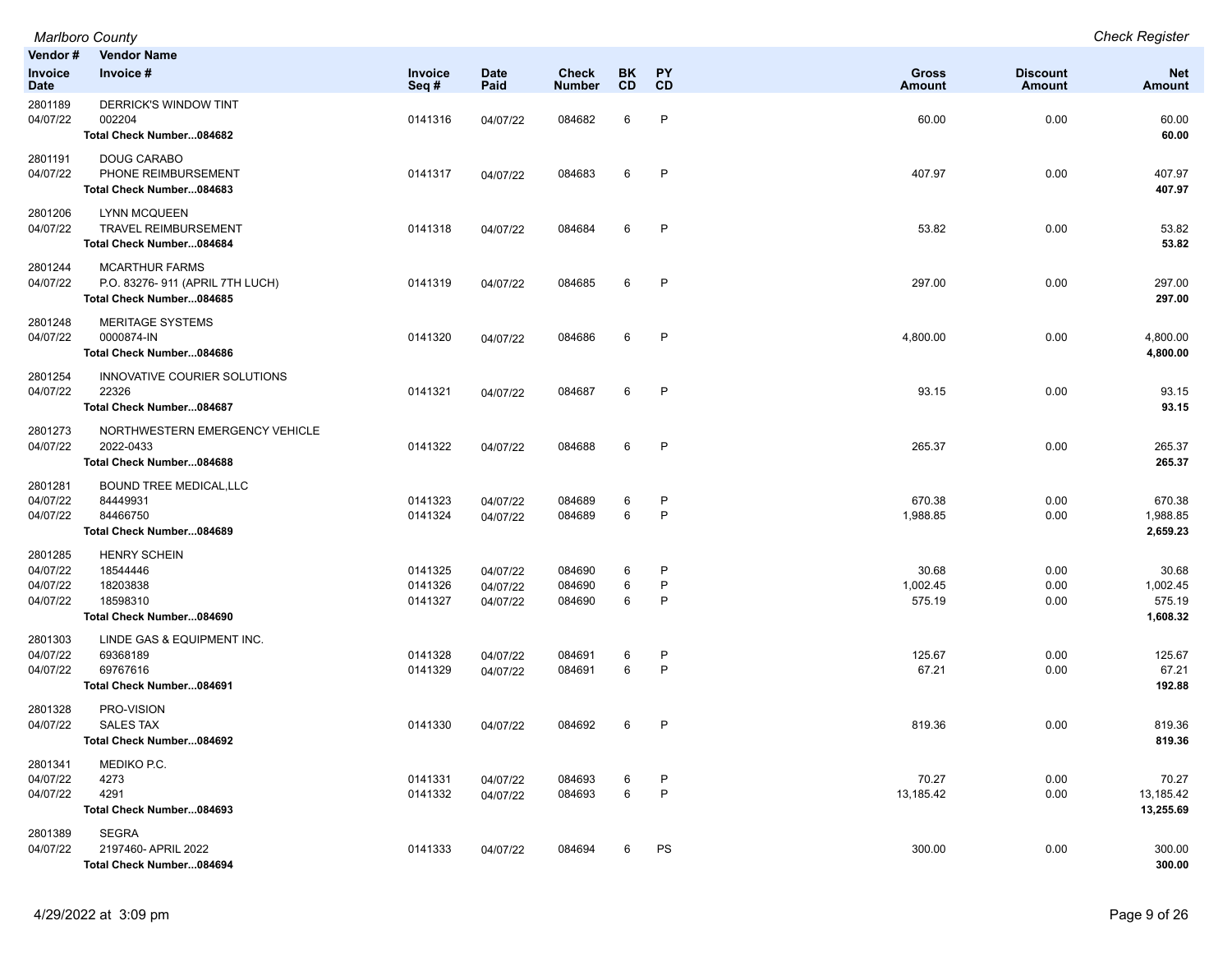| Vendor#                                     | <b>Vendor Name</b>                                                                   |                               |                                  |                               |             |                                   |                             |                           |                                         |
|---------------------------------------------|--------------------------------------------------------------------------------------|-------------------------------|----------------------------------|-------------------------------|-------------|-----------------------------------|-----------------------------|---------------------------|-----------------------------------------|
| Invoice<br><b>Date</b>                      | Invoice #                                                                            | Invoice<br>Seq#               | <b>Date</b><br>Paid              | <b>Check</b><br><b>Number</b> | BK<br>CD    | PY<br>CD                          | <b>Gross</b><br>Amount      | <b>Discount</b><br>Amount | <b>Net</b><br><b>Amount</b>             |
| 2801189<br>04/07/22                         | DERRICK'S WINDOW TINT<br>002204<br>Total Check Number084682                          | 0141316                       | 04/07/22                         | 084682                        | 6           | P                                 | 60.00                       | 0.00                      | 60.00<br>60.00                          |
| 2801191<br>04/07/22                         | <b>DOUG CARABO</b><br>PHONE REIMBURSEMENT<br>Total Check Number084683                | 0141317                       | 04/07/22                         | 084683                        | 6           | $\mathsf{P}$                      | 407.97                      | 0.00                      | 407.97<br>407.97                        |
| 2801206<br>04/07/22                         | <b>LYNN MCQUEEN</b><br><b>TRAVEL REIMBURSEMENT</b><br>Total Check Number084684       | 0141318                       | 04/07/22                         | 084684                        | 6           | P                                 | 53.82                       | 0.00                      | 53.82<br>53.82                          |
| 2801244<br>04/07/22                         | <b>MCARTHUR FARMS</b><br>P.O. 83276-911 (APRIL 7TH LUCH)<br>Total Check Number084685 | 0141319                       | 04/07/22                         | 084685                        | 6           | $\mathsf{P}$                      | 297.00                      | 0.00                      | 297.00<br>297.00                        |
| 2801248<br>04/07/22                         | <b>MERITAGE SYSTEMS</b><br>0000874-IN<br>Total Check Number084686                    | 0141320                       | 04/07/22                         | 084686                        | 6           | $\mathsf{P}$                      | 4,800.00                    | 0.00                      | 4,800.00<br>4,800.00                    |
| 2801254<br>04/07/22                         | INNOVATIVE COURIER SOLUTIONS<br>22326<br>Total Check Number084687                    | 0141321                       | 04/07/22                         | 084687                        | 6           | P                                 | 93.15                       | 0.00                      | 93.15<br>93.15                          |
| 2801273<br>04/07/22                         | NORTHWESTERN EMERGENCY VEHICLE<br>2022-0433<br>Total Check Number084688              | 0141322                       | 04/07/22                         | 084688                        | 6           | P                                 | 265.37                      | 0.00                      | 265.37<br>265.37                        |
| 2801281<br>04/07/22<br>04/07/22             | <b>BOUND TREE MEDICAL, LLC</b><br>84449931<br>84466750<br>Total Check Number084689   | 0141323<br>0141324            | 04/07/22<br>04/07/22             | 084689<br>084689              | 6<br>6      | P<br>$\mathsf{P}$                 | 670.38<br>1,988.85          | 0.00<br>0.00              | 670.38<br>1,988.85<br>2,659.23          |
| 2801285<br>04/07/22<br>04/07/22<br>04/07/22 | <b>HENRY SCHEIN</b><br>18544446<br>18203838<br>18598310<br>Total Check Number084690  | 0141325<br>0141326<br>0141327 | 04/07/22<br>04/07/22<br>04/07/22 | 084690<br>084690<br>084690    | 6<br>6<br>6 | P<br>$\mathsf{P}$<br>$\mathsf{P}$ | 30.68<br>1,002.45<br>575.19 | 0.00<br>0.00<br>0.00      | 30.68<br>1,002.45<br>575.19<br>1,608.32 |
| 2801303<br>04/07/22<br>04/07/22             | LINDE GAS & EQUIPMENT INC.<br>69368189<br>69767616<br>Total Check Number084691       | 0141328<br>0141329            | 04/07/22<br>04/07/22             | 084691<br>084691              | 6<br>6      | P<br>$\mathsf{P}$                 | 125.67<br>67.21             | 0.00<br>0.00              | 125.67<br>67.21<br>192.88               |
| 2801328<br>04/07/22                         | PRO-VISION<br><b>SALES TAX</b><br>Total Check Number084692                           | 0141330                       | 04/07/22                         | 084692                        | 6           | P                                 | 819.36                      | 0.00                      | 819.36<br>819.36                        |
| 2801341<br>04/07/22<br>04/07/22             | MEDIKO P.C.<br>4273<br>4291<br>Total Check Number084693                              | 0141331<br>0141332            | 04/07/22<br>04/07/22             | 084693<br>084693              | 6<br>6      | P<br>$\mathsf{P}$                 | 70.27<br>13,185.42          | 0.00<br>0.00              | 70.27<br>13,185.42<br>13,255.69         |
| 2801389<br>04/07/22                         | <b>SEGRA</b><br>2197460- APRIL 2022<br>Total Check Number084694                      | 0141333                       | 04/07/22                         | 084694                        | 6           | PS                                | 300.00                      | 0.00                      | 300.00<br>300.00                        |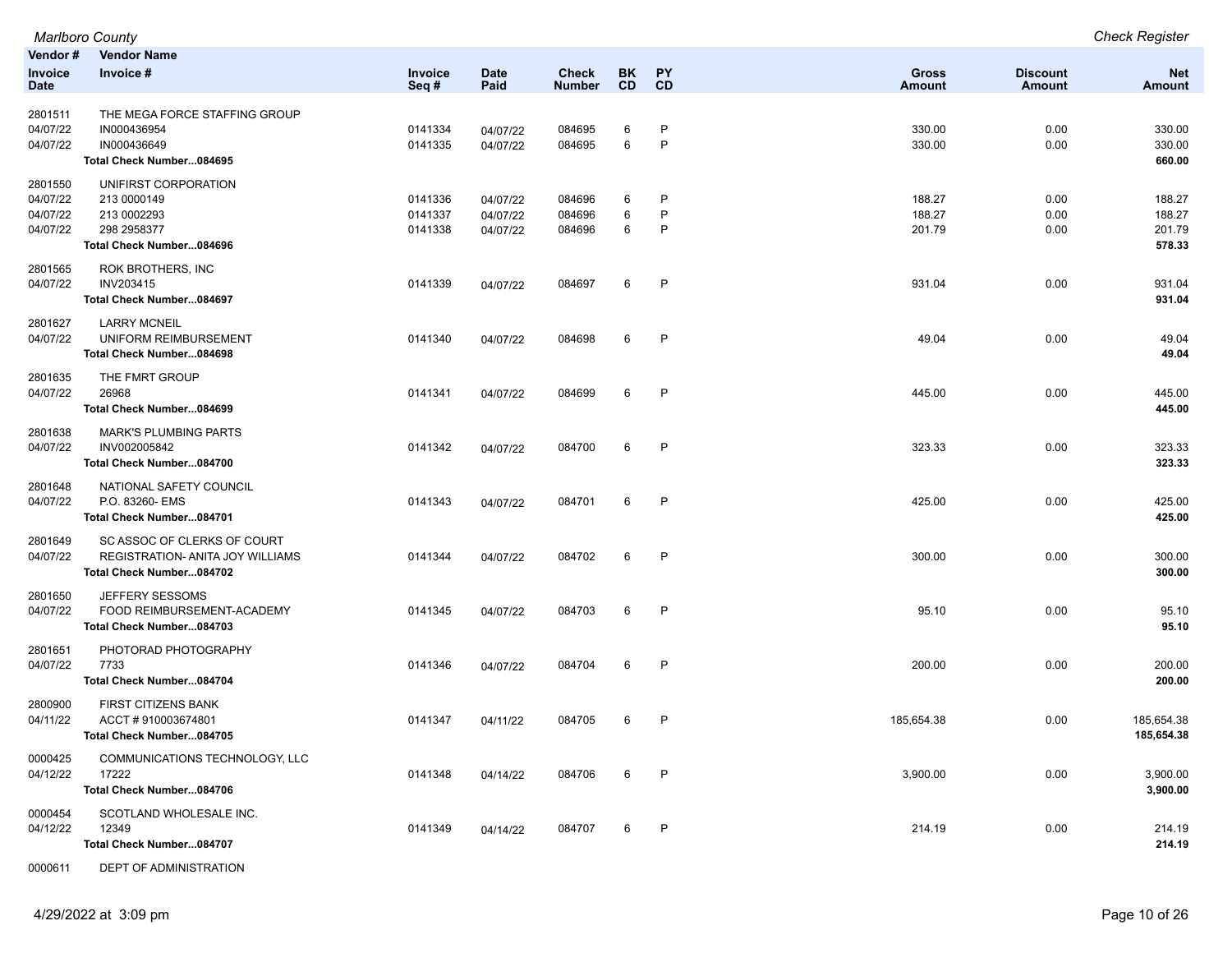|                        | Marlboro County                  |                 |                     |                               |          |              |                               |                                  | <b>Check Register</b>       |
|------------------------|----------------------------------|-----------------|---------------------|-------------------------------|----------|--------------|-------------------------------|----------------------------------|-----------------------------|
| Vendor#                | <b>Vendor Name</b>               |                 |                     |                               |          |              |                               |                                  |                             |
| Invoice<br><b>Date</b> | Invoice #                        | Invoice<br>Seq# | <b>Date</b><br>Paid | <b>Check</b><br><b>Number</b> | BK<br>CD | PY<br>CD     | <b>Gross</b><br><b>Amount</b> | <b>Discount</b><br><b>Amount</b> | <b>Net</b><br><b>Amount</b> |
|                        |                                  |                 |                     |                               |          |              |                               |                                  |                             |
| 2801511                | THE MEGA FORCE STAFFING GROUP    |                 |                     |                               |          |              |                               |                                  |                             |
| 04/07/22               | IN000436954                      | 0141334         | 04/07/22            | 084695                        | 6        | P            | 330.00                        | 0.00                             | 330.00                      |
| 04/07/22               | IN000436649                      | 0141335         | 04/07/22            | 084695                        | 6        | P            | 330.00                        | 0.00                             | 330.00                      |
|                        | Total Check Number084695         |                 |                     |                               |          |              |                               |                                  | 660.00                      |
| 2801550                | UNIFIRST CORPORATION             |                 |                     |                               |          |              |                               |                                  |                             |
| 04/07/22               | 213 0000149                      | 0141336         | 04/07/22            | 084696                        | 6        | P            | 188.27                        | 0.00                             | 188.27                      |
| 04/07/22               | 213 0002293                      | 0141337         | 04/07/22            | 084696                        | 6        | P            | 188.27                        | 0.00                             | 188.27                      |
| 04/07/22               | 298 2958377                      | 0141338         | 04/07/22            | 084696                        | 6        | P            | 201.79                        | 0.00                             | 201.79                      |
|                        | Total Check Number084696         |                 |                     |                               |          |              |                               |                                  | 578.33                      |
| 2801565                | ROK BROTHERS, INC                |                 |                     |                               |          |              |                               |                                  |                             |
| 04/07/22               | INV203415                        | 0141339         | 04/07/22            | 084697                        | 6        | P            | 931.04                        | 0.00                             | 931.04                      |
|                        | Total Check Number084697         |                 |                     |                               |          |              |                               |                                  | 931.04                      |
| 2801627                | <b>LARRY MCNEIL</b>              |                 |                     |                               |          |              |                               |                                  |                             |
| 04/07/22               | UNIFORM REIMBURSEMENT            | 0141340         | 04/07/22            | 084698                        | 6        | $\mathsf{P}$ | 49.04                         | 0.00                             | 49.04                       |
|                        | Total Check Number084698         |                 |                     |                               |          |              |                               |                                  | 49.04                       |
|                        |                                  |                 |                     |                               |          |              |                               |                                  |                             |
| 2801635<br>04/07/22    | THE FMRT GROUP<br>26968          | 0141341         |                     | 084699                        | 6        | $\mathsf{P}$ | 445.00                        | 0.00                             | 445.00                      |
|                        | Total Check Number084699         |                 | 04/07/22            |                               |          |              |                               |                                  | 445.00                      |
|                        |                                  |                 |                     |                               |          |              |                               |                                  |                             |
| 2801638                | <b>MARK'S PLUMBING PARTS</b>     |                 |                     |                               |          |              |                               |                                  |                             |
| 04/07/22               | INV002005842                     | 0141342         | 04/07/22            | 084700                        | 6        | $\mathsf{P}$ | 323.33                        | 0.00                             | 323.33                      |
|                        | Total Check Number084700         |                 |                     |                               |          |              |                               |                                  | 323.33                      |
| 2801648                | NATIONAL SAFETY COUNCIL          |                 |                     |                               |          |              |                               |                                  |                             |
| 04/07/22               | P.O. 83260- EMS                  | 0141343         | 04/07/22            | 084701                        | 6        | $\mathsf{P}$ | 425.00                        | 0.00                             | 425.00                      |
|                        | Total Check Number084701         |                 |                     |                               |          |              |                               |                                  | 425.00                      |
| 2801649                | SC ASSOC OF CLERKS OF COURT      |                 |                     |                               |          |              |                               |                                  |                             |
| 04/07/22               | REGISTRATION- ANITA JOY WILLIAMS | 0141344         | 04/07/22            | 084702                        | 6        | P            | 300.00                        | 0.00                             | 300.00                      |
|                        | Total Check Number084702         |                 |                     |                               |          |              |                               |                                  | 300.00                      |
| 2801650                | JEFFERY SESSOMS                  |                 |                     |                               |          |              |                               |                                  |                             |
| 04/07/22               | FOOD REIMBURSEMENT-ACADEMY       | 0141345         | 04/07/22            | 084703                        | 6        | P            | 95.10                         | 0.00                             | 95.10                       |
|                        | Total Check Number084703         |                 |                     |                               |          |              |                               |                                  | 95.10                       |
| 2801651                | PHOTORAD PHOTOGRAPHY             |                 |                     |                               |          |              |                               |                                  |                             |
| 04/07/22               | 7733                             | 0141346         | 04/07/22            | 084704                        | 6        | $\mathsf{P}$ | 200.00                        | 0.00                             | 200.00                      |
|                        | Total Check Number084704         |                 |                     |                               |          |              |                               |                                  | 200.00                      |
| 2800900                | FIRST CITIZENS BANK              |                 |                     |                               |          |              |                               |                                  |                             |
| 04/11/22               | ACCT#910003674801                | 0141347         | 04/11/22            | 084705                        | 6        | P            | 185,654.38                    | 0.00                             | 185,654.38                  |
|                        | Total Check Number084705         |                 |                     |                               |          |              |                               |                                  | 185,654.38                  |
| 0000425                | COMMUNICATIONS TECHNOLOGY, LLC   |                 |                     |                               |          |              |                               |                                  |                             |
| 04/12/22               | 17222                            | 0141348         | 04/14/22            | 084706                        | 6        | $\mathsf{P}$ | 3,900.00                      | 0.00                             | 3,900.00                    |
|                        | Total Check Number084706         |                 |                     |                               |          |              |                               |                                  | 3,900.00                    |
|                        |                                  |                 |                     |                               |          |              |                               |                                  |                             |
| 0000454<br>04/12/22    | SCOTLAND WHOLESALE INC.<br>12349 | 0141349         |                     | 084707                        | 6        | P            | 214.19                        | 0.00                             | 214.19                      |
|                        | Total Check Number084707         |                 | 04/14/22            |                               |          |              |                               |                                  | 214.19                      |
|                        |                                  |                 |                     |                               |          |              |                               |                                  |                             |

0000611 DEPT OF ADMINISTRATION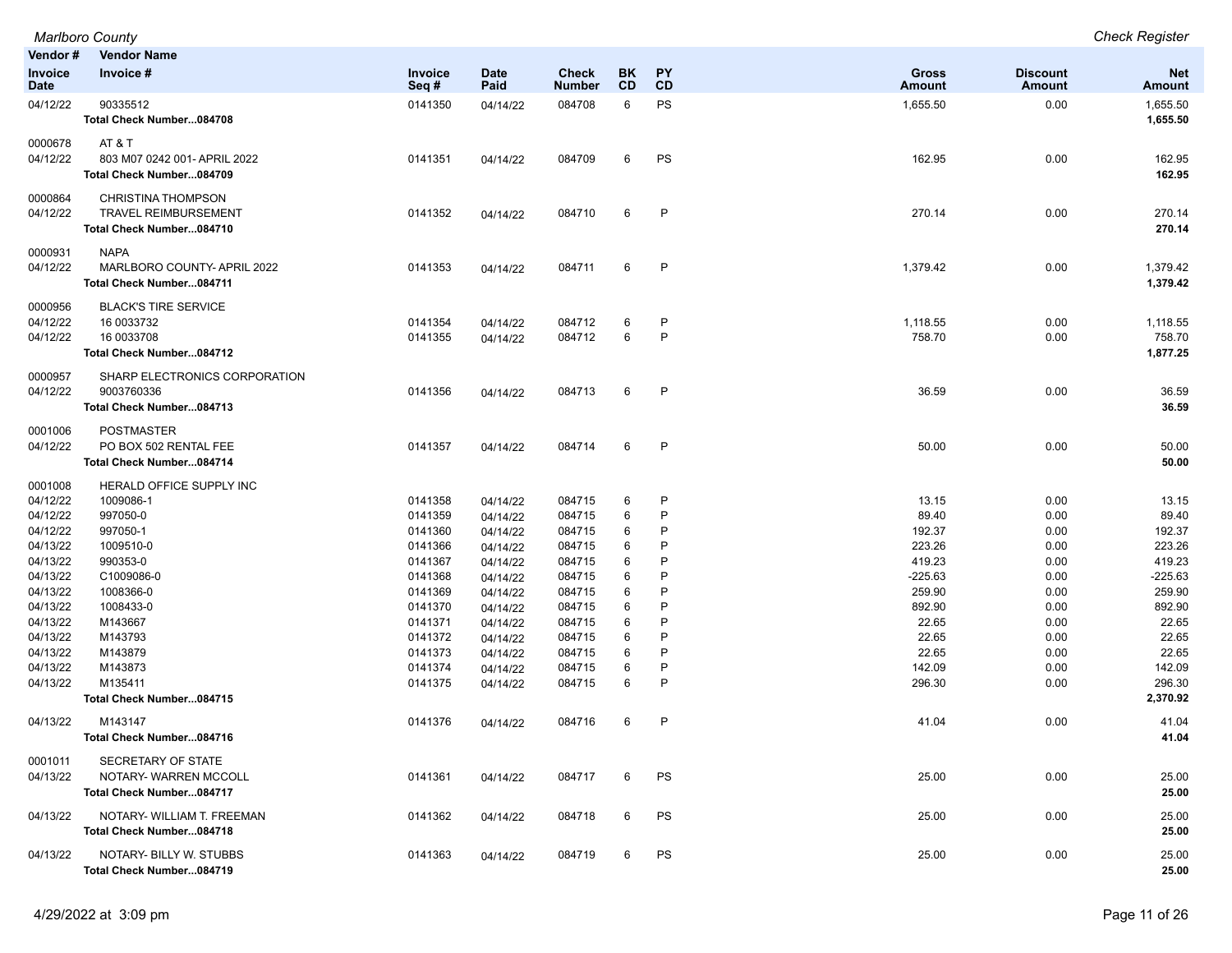| Vendor #                         | <b>Vendor Name</b>                                                                   |                               |                                  |                            |                 |             |                               |                           |                                |
|----------------------------------|--------------------------------------------------------------------------------------|-------------------------------|----------------------------------|----------------------------|-----------------|-------------|-------------------------------|---------------------------|--------------------------------|
| Invoice<br>Date                  | Invoice #                                                                            | Invoice<br>Seq#               | <b>Date</b><br>Paid              | Check<br><b>Number</b>     | BK<br><b>CD</b> | PΥ<br>CD    | Gross<br>Amount               | <b>Discount</b><br>Amount | <b>Net</b><br>Amount           |
| 04/12/22                         | 90335512<br>Total Check Number084708                                                 | 0141350                       | 04/14/22                         | 084708                     | 6               | PS          | 1,655.50                      | 0.00                      | 1,655.50<br>1,655.50           |
| 0000678<br>04/12/22              | AT & T<br>803 M07 0242 001- APRIL 2022<br>Total Check Number084709                   | 0141351                       | 04/14/22                         | 084709                     | 6               | PS          | 162.95                        | 0.00                      | 162.95<br>162.95               |
| 0000864<br>04/12/22              | <b>CHRISTINA THOMPSON</b><br><b>TRAVEL REIMBURSEMENT</b><br>Total Check Number084710 | 0141352                       | 04/14/22                         | 084710                     | 6               | P           | 270.14                        | 0.00                      | 270.14<br>270.14               |
| 0000931<br>04/12/22              | <b>NAPA</b><br>MARLBORO COUNTY-APRIL 2022<br>Total Check Number084711                | 0141353                       | 04/14/22                         | 084711                     | 6               | P           | 1,379.42                      | 0.00                      | 1,379.42<br>1,379.42           |
| 0000956<br>04/12/22<br>04/12/22  | <b>BLACK'S TIRE SERVICE</b><br>16 0033732<br>16 0033708<br>Total Check Number084712  | 0141354<br>0141355            | 04/14/22<br>04/14/22             | 084712<br>084712           | 6<br>6          | P<br>P      | 1,118.55<br>758.70            | 0.00<br>0.00              | 1,118.55<br>758.70<br>1,877.25 |
| 0000957<br>04/12/22              | SHARP ELECTRONICS CORPORATION<br>9003760336<br>Total Check Number084713              | 0141356                       | 04/14/22                         | 084713                     | 6               | P           | 36.59                         | 0.00                      | 36.59<br>36.59                 |
| 0001006<br>04/12/22              | <b>POSTMASTER</b><br>PO BOX 502 RENTAL FEE<br>Total Check Number084714               | 0141357                       | 04/14/22                         | 084714                     | 6               | P           | 50.00                         | 0.00                      | 50.00<br>50.00                 |
| 0001008<br>04/12/22              | HERALD OFFICE SUPPLY INC<br>1009086-1                                                | 0141358                       | 04/14/22                         | 084715                     | 6               | P           | 13.15                         | 0.00                      | 13.15                          |
| 04/12/22<br>04/12/22             | 997050-0<br>997050-1                                                                 | 0141359<br>0141360            | 04/14/22<br>04/14/22             | 084715<br>084715           | 6<br>6          | P<br>P      | 89.40<br>192.37               | 0.00<br>0.00              | 89.40<br>192.37                |
| 04/13/22<br>04/13/22<br>04/13/22 | 1009510-0<br>990353-0<br>C1009086-0                                                  | 0141366<br>0141367<br>0141368 | 04/14/22<br>04/14/22<br>04/14/22 | 084715<br>084715<br>084715 | 6<br>6<br>6     | P<br>P<br>P | 223.26<br>419.23<br>$-225.63$ | 0.00<br>0.00<br>0.00      | 223.26<br>419.23<br>$-225.63$  |
| 04/13/22<br>04/13/22             | 1008366-0<br>1008433-0                                                               | 0141369<br>0141370            | 04/14/22<br>04/14/22             | 084715<br>084715           | 6<br>6          | P<br>P      | 259.90<br>892.90              | 0.00<br>0.00              | 259.90<br>892.90               |
| 04/13/22<br>04/13/22             | M143667<br>M143793                                                                   | 0141371<br>0141372            | 04/14/22<br>04/14/22             | 084715<br>084715           | 6<br>6          | P<br>P      | 22.65<br>22.65                | 0.00<br>0.00              | 22.65<br>22.65                 |
| 04/13/22<br>04/13/22<br>04/13/22 | M143879<br>M143873<br>M135411                                                        | 0141373<br>0141374<br>0141375 | 04/14/22<br>04/14/22<br>04/14/22 | 084715<br>084715<br>084715 | 6<br>6<br>6     | P<br>P<br>P | 22.65<br>142.09<br>296.30     | 0.00<br>0.00<br>0.00      | 22.65<br>142.09<br>296.30      |
|                                  | Total Check Number084715                                                             |                               |                                  |                            |                 |             |                               |                           | 2,370.92                       |
| 04/13/22                         | M143147<br>Total Check Number084716                                                  | 0141376                       | 04/14/22                         | 084716                     | 6               | P           | 41.04                         | 0.00                      | 41.04<br>41.04                 |
| 0001011<br>04/13/22              | <b>SECRETARY OF STATE</b><br>NOTARY- WARREN MCCOLL<br>Total Check Number084717       | 0141361                       | 04/14/22                         | 084717                     | 6               | PS          | 25.00                         | 0.00                      | 25.00<br>25.00                 |
| 04/13/22                         | NOTARY- WILLIAM T. FREEMAN<br>Total Check Number084718                               | 0141362                       | 04/14/22                         | 084718                     | 6               | PS          | 25.00                         | 0.00                      | 25.00<br>25.00                 |
| 04/13/22                         | NOTARY- BILLY W. STUBBS<br>Total Check Number084719                                  | 0141363                       | 04/14/22                         | 084719                     | 6               | PS          | 25.00                         | 0.00                      | 25.00<br>25.00                 |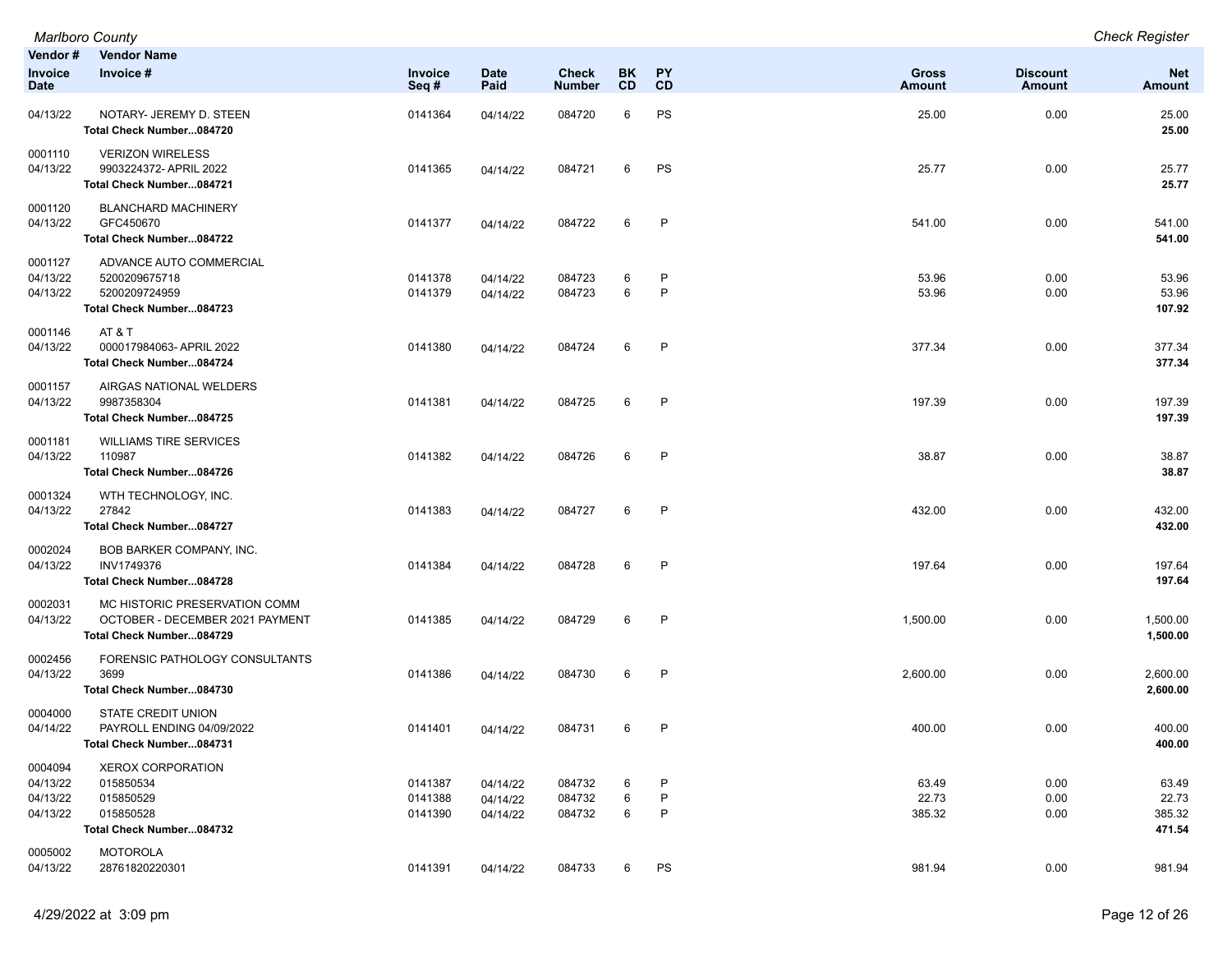| Vendor #<br>Invoice<br><b>Date</b>          | <b>Vendor Name</b><br>Invoice #                                                              | Invoice<br>Seq#               | <b>Date</b><br>Paid              | Check<br><b>Number</b>     | BK<br>CD    | <b>PY</b><br>CD                   | <b>Gross</b><br>Amount   | <b>Discount</b><br><b>Amount</b> | <b>Net</b><br>Amount               |
|---------------------------------------------|----------------------------------------------------------------------------------------------|-------------------------------|----------------------------------|----------------------------|-------------|-----------------------------------|--------------------------|----------------------------------|------------------------------------|
| 04/13/22                                    | NOTARY- JEREMY D. STEEN<br>Total Check Number084720                                          | 0141364                       | 04/14/22                         | 084720                     | 6           | PS                                | 25.00                    | 0.00                             | 25.00<br>25.00                     |
| 0001110<br>04/13/22                         | <b>VERIZON WIRELESS</b><br>9903224372- APRIL 2022<br>Total Check Number084721                | 0141365                       | 04/14/22                         | 084721                     | 6           | PS                                | 25.77                    | 0.00                             | 25.77<br>25.77                     |
| 0001120<br>04/13/22                         | <b>BLANCHARD MACHINERY</b><br>GFC450670<br>Total Check Number084722                          | 0141377                       | 04/14/22                         | 084722                     | 6           | P                                 | 541.00                   | 0.00                             | 541.00<br>541.00                   |
| 0001127<br>04/13/22<br>04/13/22             | ADVANCE AUTO COMMERCIAL<br>5200209675718<br>5200209724959<br>Total Check Number084723        | 0141378<br>0141379            | 04/14/22<br>04/14/22             | 084723<br>084723           | 6<br>6      | P<br>P                            | 53.96<br>53.96           | 0.00<br>0.00                     | 53.96<br>53.96<br>107.92           |
| 0001146<br>04/13/22                         | AT & T<br>000017984063- APRIL 2022<br>Total Check Number084724                               | 0141380                       | 04/14/22                         | 084724                     | 6           | P                                 | 377.34                   | 0.00                             | 377.34<br>377.34                   |
| 0001157<br>04/13/22                         | AIRGAS NATIONAL WELDERS<br>9987358304<br>Total Check Number084725                            | 0141381                       | 04/14/22                         | 084725                     | 6           | P                                 | 197.39                   | 0.00                             | 197.39<br>197.39                   |
| 0001181<br>04/13/22                         | <b>WILLIAMS TIRE SERVICES</b><br>110987<br>Total Check Number084726                          | 0141382                       | 04/14/22                         | 084726                     | 6           | P                                 | 38.87                    | 0.00                             | 38.87<br>38.87                     |
| 0001324<br>04/13/22                         | WTH TECHNOLOGY, INC.<br>27842<br>Total Check Number084727                                    | 0141383                       | 04/14/22                         | 084727                     | 6           | P                                 | 432.00                   | 0.00                             | 432.00<br>432.00                   |
| 0002024<br>04/13/22                         | BOB BARKER COMPANY, INC.<br>INV1749376<br>Total Check Number084728                           | 0141384                       | 04/14/22                         | 084728                     | 6           | P                                 | 197.64                   | 0.00                             | 197.64<br>197.64                   |
| 0002031<br>04/13/22                         | MC HISTORIC PRESERVATION COMM<br>OCTOBER - DECEMBER 2021 PAYMENT<br>Total Check Number084729 | 0141385                       | 04/14/22                         | 084729                     | 6           | $\mathsf{P}$                      | 1,500.00                 | 0.00                             | 1,500.00<br>1,500.00               |
| 0002456<br>04/13/22                         | FORENSIC PATHOLOGY CONSULTANTS<br>3699<br>Total Check Number084730                           | 0141386                       | 04/14/22                         | 084730                     | 6           | P                                 | 2,600.00                 | 0.00                             | 2,600.00<br>2,600.00               |
| 0004000<br>04/14/22                         | STATE CREDIT UNION<br>PAYROLL ENDING 04/09/2022<br>Total Check Number084731                  | 0141401                       | 04/14/22                         | 084731                     | 6           | P                                 | 400.00                   | 0.00                             | 400.00<br>400.00                   |
| 0004094<br>04/13/22<br>04/13/22<br>04/13/22 | <b>XEROX CORPORATION</b><br>015850534<br>015850529<br>015850528<br>Total Check Number084732  | 0141387<br>0141388<br>0141390 | 04/14/22<br>04/14/22<br>04/14/22 | 084732<br>084732<br>084732 | 6<br>6<br>6 | P<br>$\mathsf{P}$<br>$\mathsf{P}$ | 63.49<br>22.73<br>385.32 | 0.00<br>0.00<br>0.00             | 63.49<br>22.73<br>385.32<br>471.54 |
| 0005002<br>04/13/22                         | <b>MOTOROLA</b><br>28761820220301                                                            | 0141391                       | 04/14/22                         | 084733                     | 6           | PS                                | 981.94                   | 0.00                             | 981.94                             |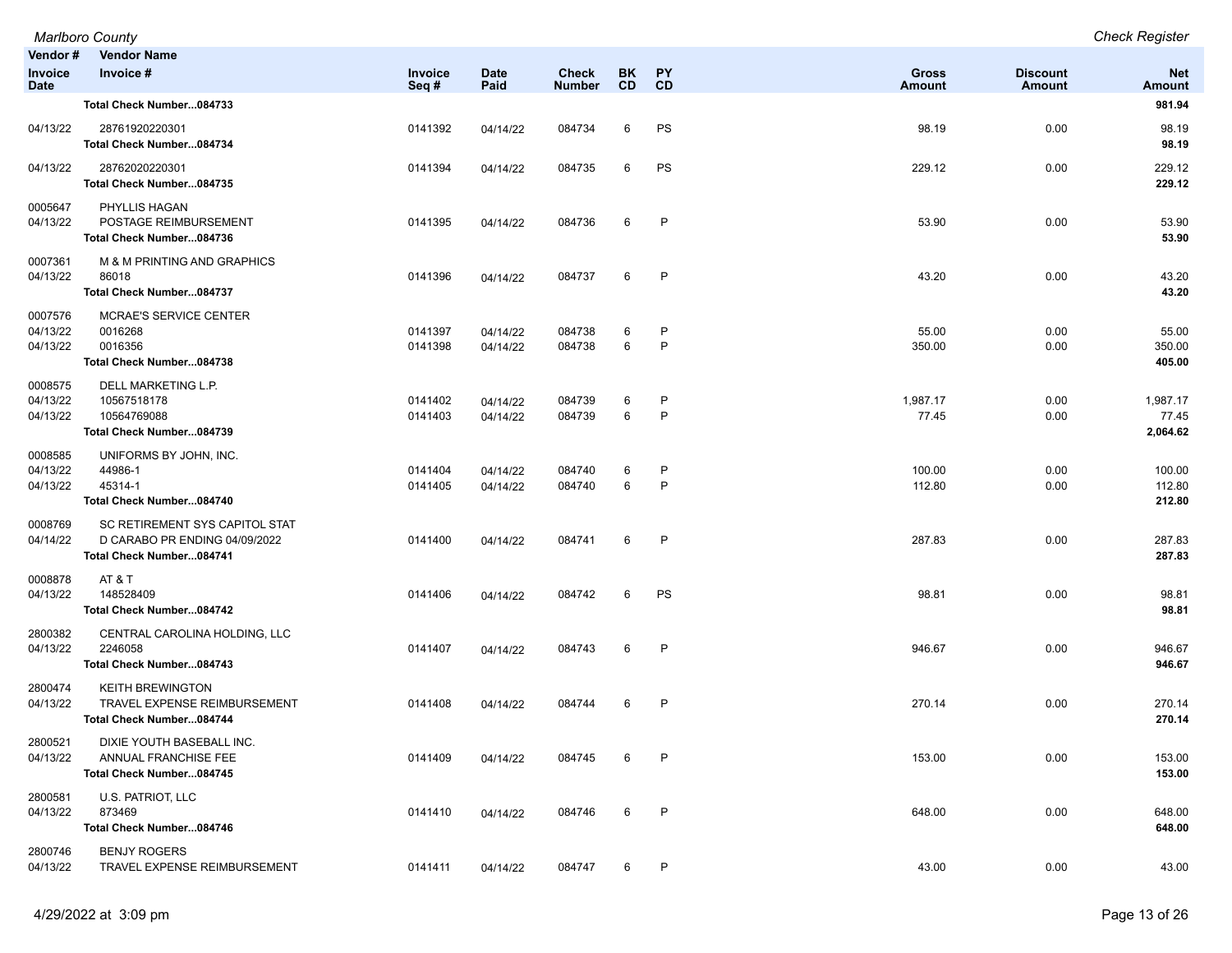| Vendor#                         | <b>Vendor Name</b>                                                                          |                    |                      |                               |                        |                        |                               |                           |                               |
|---------------------------------|---------------------------------------------------------------------------------------------|--------------------|----------------------|-------------------------------|------------------------|------------------------|-------------------------------|---------------------------|-------------------------------|
| Invoice<br><b>Date</b>          | Invoice #                                                                                   | Invoice<br>Seq#    | <b>Date</b><br>Paid  | <b>Check</b><br><b>Number</b> | <b>BK</b><br><b>CD</b> | <b>PY</b><br><b>CD</b> | <b>Gross</b><br><b>Amount</b> | <b>Discount</b><br>Amount | <b>Net</b><br>Amount          |
|                                 | Total Check Number084733                                                                    |                    |                      |                               |                        |                        |                               |                           | 981.94                        |
| 04/13/22                        | 28761920220301<br>Total Check Number084734                                                  | 0141392            | 04/14/22             | 084734                        | 6                      | <b>PS</b>              | 98.19                         | 0.00                      | 98.19<br>98.19                |
| 04/13/22                        | 28762020220301<br>Total Check Number084735                                                  | 0141394            | 04/14/22             | 084735                        | 6                      | <b>PS</b>              | 229.12                        | 0.00                      | 229.12<br>229.12              |
| 0005647<br>04/13/22             | PHYLLIS HAGAN<br>POSTAGE REIMBURSEMENT<br>Total Check Number084736                          | 0141395            | 04/14/22             | 084736                        | 6                      | P                      | 53.90                         | 0.00                      | 53.90<br>53.90                |
| 0007361<br>04/13/22             | M & M PRINTING AND GRAPHICS<br>86018<br>Total Check Number084737                            | 0141396            | 04/14/22             | 084737                        | 6                      | $\mathsf{P}$           | 43.20                         | 0.00                      | 43.20<br>43.20                |
| 0007576<br>04/13/22<br>04/13/22 | <b>MCRAE'S SERVICE CENTER</b><br>0016268<br>0016356<br>Total Check Number084738             | 0141397<br>0141398 | 04/14/22<br>04/14/22 | 084738<br>084738              | 6<br>6                 | P<br>P                 | 55.00<br>350.00               | 0.00<br>0.00              | 55.00<br>350.00<br>405.00     |
| 0008575<br>04/13/22<br>04/13/22 | DELL MARKETING L.P.<br>10567518178<br>10564769088<br>Total Check Number084739               | 0141402<br>0141403 | 04/14/22<br>04/14/22 | 084739<br>084739              | 6<br>6                 | P<br>$\mathsf{P}$      | 1,987.17<br>77.45             | 0.00<br>0.00              | 1,987.17<br>77.45<br>2,064.62 |
| 0008585<br>04/13/22<br>04/13/22 | UNIFORMS BY JOHN, INC.<br>44986-1<br>45314-1<br>Total Check Number084740                    | 0141404<br>0141405 | 04/14/22<br>04/14/22 | 084740<br>084740              | 6<br>6                 | P<br>P                 | 100.00<br>112.80              | 0.00<br>0.00              | 100.00<br>112.80<br>212.80    |
| 0008769<br>04/14/22             | SC RETIREMENT SYS CAPITOL STAT<br>D CARABO PR ENDING 04/09/2022<br>Total Check Number084741 | 0141400            | 04/14/22             | 084741                        | 6                      | P                      | 287.83                        | 0.00                      | 287.83<br>287.83              |
| 0008878<br>04/13/22             | AT & T<br>148528409<br>Total Check Number084742                                             | 0141406            | 04/14/22             | 084742                        | 6                      | PS                     | 98.81                         | 0.00                      | 98.81<br>98.81                |
| 2800382<br>04/13/22             | CENTRAL CAROLINA HOLDING, LLC<br>2246058<br>Total Check Number084743                        | 0141407            | 04/14/22             | 084743                        | 6                      | $\mathsf{P}$           | 946.67                        | 0.00                      | 946.67<br>946.67              |
| 2800474<br>04/13/22             | <b>KEITH BREWINGTON</b><br>TRAVEL EXPENSE REIMBURSEMENT<br>Total Check Number084744         | 0141408            | 04/14/22             | 084744                        | 6                      | P                      | 270.14                        | 0.00                      | 270.14<br>270.14              |
| 2800521<br>04/13/22             | DIXIE YOUTH BASEBALL INC.<br>ANNUAL FRANCHISE FEE<br>Total Check Number084745               | 0141409            | 04/14/22             | 084745                        | 6                      | P                      | 153.00                        | 0.00                      | 153.00<br>153.00              |
| 2800581<br>04/13/22             | U.S. PATRIOT, LLC<br>873469<br>Total Check Number084746                                     | 0141410            | 04/14/22             | 084746                        | 6                      | P                      | 648.00                        | 0.00                      | 648.00<br>648.00              |
| 2800746<br>04/13/22             | <b>BENJY ROGERS</b><br>TRAVEL EXPENSE REIMBURSEMENT                                         | 0141411            | 04/14/22             | 084747                        | 6                      | P                      | 43.00                         | 0.00                      | 43.00                         |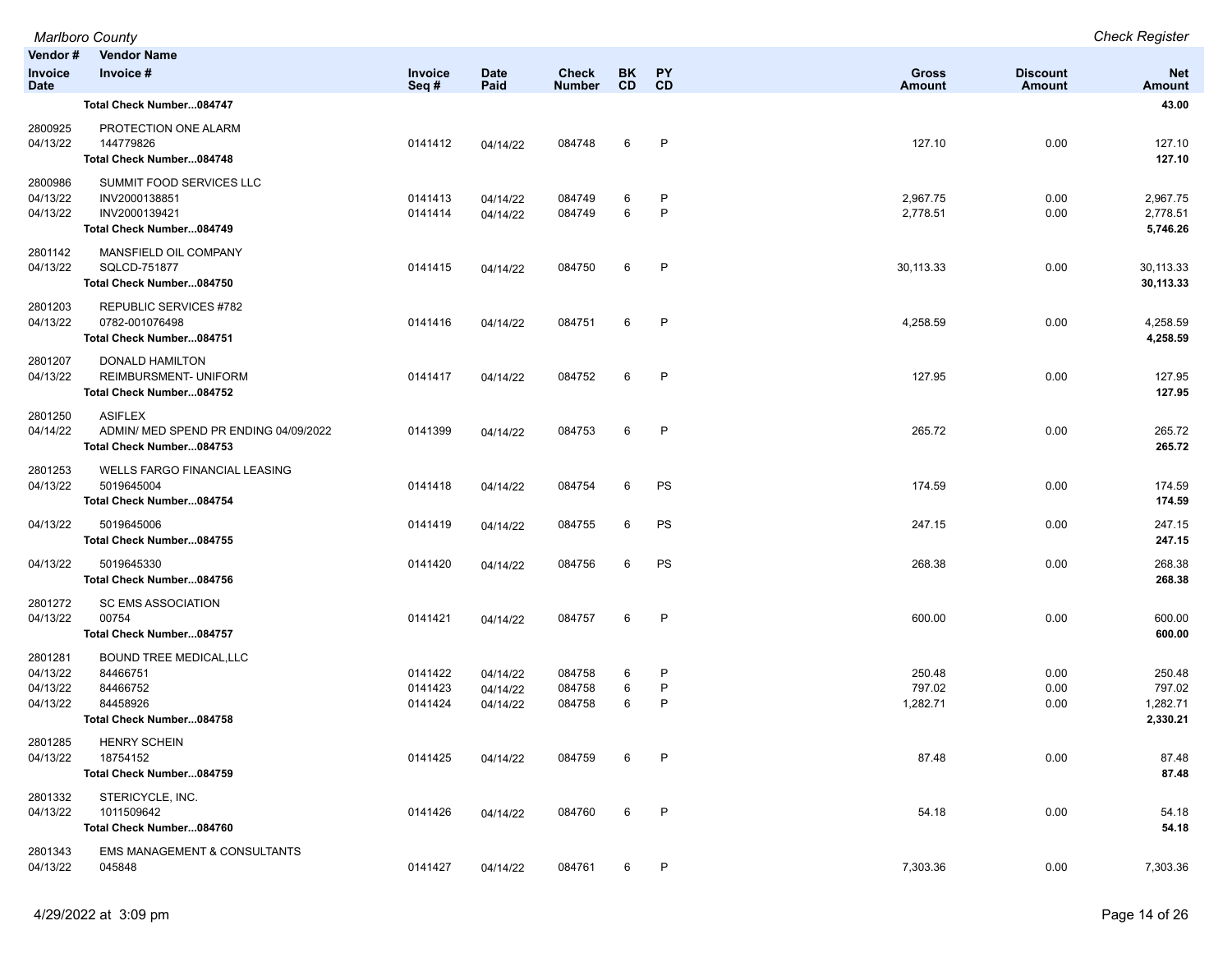|                                             | <b>Marlboro County</b>                                                                         |                               |                                  |                               |                        |              |                              |                           | <b>Check Register</b>                    |
|---------------------------------------------|------------------------------------------------------------------------------------------------|-------------------------------|----------------------------------|-------------------------------|------------------------|--------------|------------------------------|---------------------------|------------------------------------------|
| Vendor#                                     | <b>Vendor Name</b>                                                                             |                               |                                  |                               |                        |              |                              |                           |                                          |
| Invoice<br><b>Date</b>                      | Invoice #                                                                                      | Invoice<br>Seq#               | <b>Date</b><br>Paid              | <b>Check</b><br><b>Number</b> | <b>BK</b><br><b>CD</b> | PY<br>CD     | <b>Gross</b><br>Amount       | <b>Discount</b><br>Amount | <b>Net</b><br>Amount                     |
|                                             | Total Check Number084747                                                                       |                               |                                  |                               |                        |              |                              |                           | 43.00                                    |
| 2800925<br>04/13/22                         | PROTECTION ONE ALARM<br>144779826<br>Total Check Number084748                                  | 0141412                       | 04/14/22                         | 084748                        | 6                      | P            | 127.10                       | 0.00                      | 127.10<br>127.10                         |
| 2800986<br>04/13/22<br>04/13/22             | SUMMIT FOOD SERVICES LLC<br>INV2000138851<br>INV2000139421<br>Total Check Number084749         | 0141413<br>0141414            | 04/14/22<br>04/14/22             | 084749<br>084749              | 6<br>6                 | P<br>P       | 2,967.75<br>2,778.51         | 0.00<br>0.00              | 2,967.75<br>2,778.51<br>5,746.26         |
| 2801142<br>04/13/22                         | MANSFIELD OIL COMPANY<br>SQLCD-751877<br>Total Check Number084750                              | 0141415                       | 04/14/22                         | 084750                        | 6                      | P            | 30,113.33                    | 0.00                      | 30,113.33<br>30,113.33                   |
| 2801203<br>04/13/22                         | REPUBLIC SERVICES #782<br>0782-001076498<br>Total Check Number084751                           | 0141416                       | 04/14/22                         | 084751                        | 6                      | P            | 4,258.59                     | 0.00                      | 4,258.59<br>4,258.59                     |
| 2801207<br>04/13/22                         | <b>DONALD HAMILTON</b><br><b>REIMBURSMENT- UNIFORM</b><br>Total Check Number084752             | 0141417                       | 04/14/22                         | 084752                        | 6                      | $\mathsf{P}$ | 127.95                       | 0.00                      | 127.95<br>127.95                         |
| 2801250<br>04/14/22                         | <b>ASIFLEX</b><br>ADMIN/ MED SPEND PR ENDING 04/09/2022<br>Total Check Number084753            | 0141399                       | 04/14/22                         | 084753                        | 6                      | $\mathsf{P}$ | 265.72                       | 0.00                      | 265.72<br>265.72                         |
| 2801253<br>04/13/22                         | <b>WELLS FARGO FINANCIAL LEASING</b><br>5019645004<br>Total Check Number084754                 | 0141418                       | 04/14/22                         | 084754                        | 6                      | PS           | 174.59                       | 0.00                      | 174.59<br>174.59                         |
| 04/13/22                                    | 5019645006<br>Total Check Number084755                                                         | 0141419                       | 04/14/22                         | 084755                        | 6                      | PS           | 247.15                       | 0.00                      | 247.15<br>247.15                         |
| 04/13/22                                    | 5019645330<br>Total Check Number084756                                                         | 0141420                       | 04/14/22                         | 084756                        | 6                      | PS           | 268.38                       | 0.00                      | 268.38<br>268.38                         |
| 2801272<br>04/13/22                         | <b>SC EMS ASSOCIATION</b><br>00754<br>Total Check Number084757                                 | 0141421                       | 04/14/22                         | 084757                        | 6                      | P            | 600.00                       | 0.00                      | 600.00<br>600.00                         |
| 2801281<br>04/13/22<br>04/13/22<br>04/13/22 | <b>BOUND TREE MEDICAL, LLC</b><br>84466751<br>84466752<br>84458926<br>Total Check Number084758 | 0141422<br>0141423<br>0141424 | 04/14/22<br>04/14/22<br>04/14/22 | 084758<br>084758<br>084758    | 6<br>6<br>6            | P<br>P<br>P  | 250.48<br>797.02<br>1,282.71 | 0.00<br>0.00<br>0.00      | 250.48<br>797.02<br>1,282.71<br>2,330.21 |
| 2801285<br>04/13/22                         | <b>HENRY SCHEIN</b><br>18754152<br>Total Check Number084759                                    | 0141425                       | 04/14/22                         | 084759                        | 6                      | P            | 87.48                        | 0.00                      | 87.48<br>87.48                           |
| 2801332<br>04/13/22                         | STERICYCLE, INC.<br>1011509642<br>Total Check Number084760                                     | 0141426                       | 04/14/22                         | 084760                        | 6                      | P            | 54.18                        | 0.00                      | 54.18<br>54.18                           |
| 2801343<br>04/13/22                         | <b>EMS MANAGEMENT &amp; CONSULTANTS</b><br>045848                                              | 0141427                       | 04/14/22                         | 084761                        | 6                      | P            | 7,303.36                     | 0.00                      | 7,303.36                                 |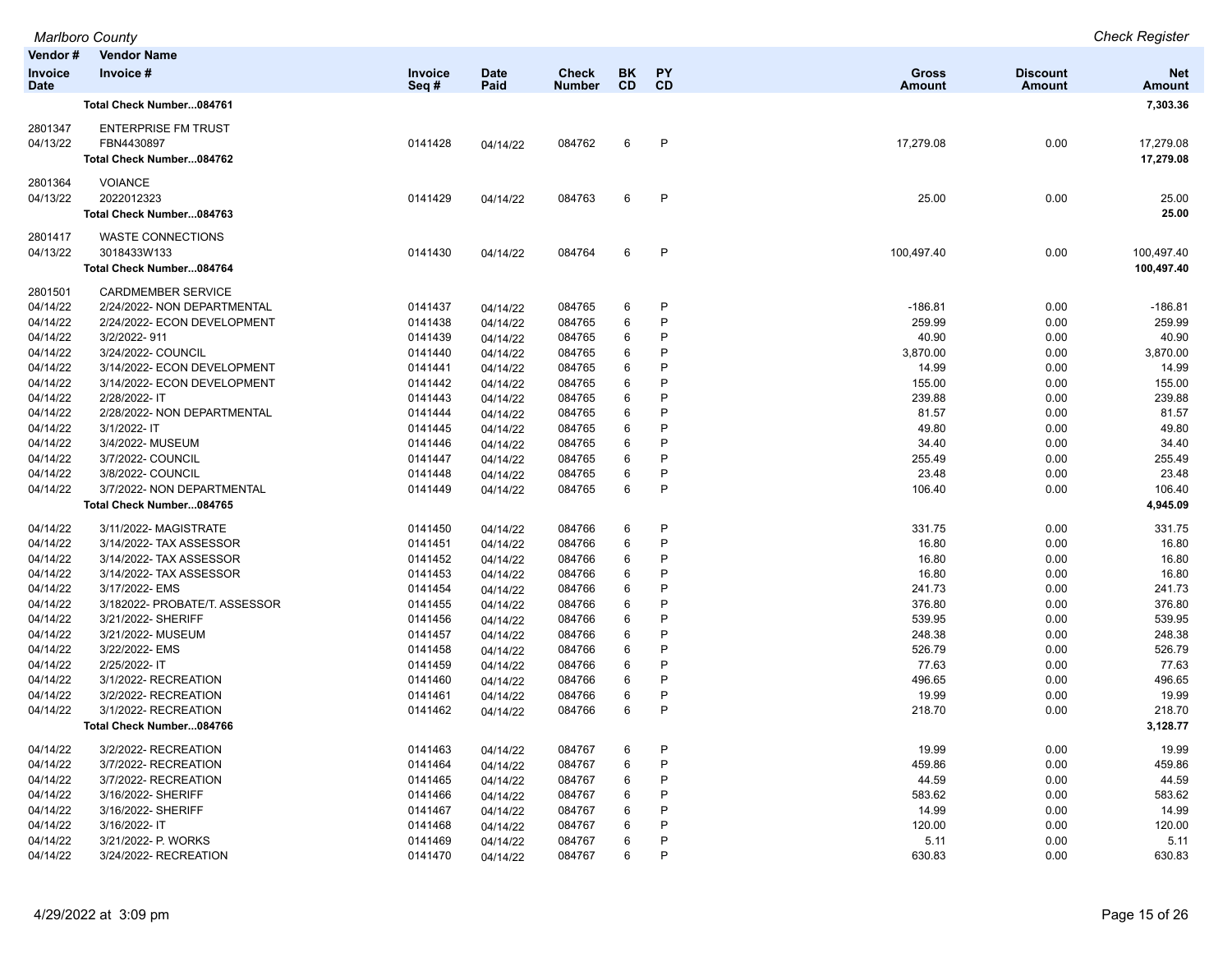| Vendor #               | Vendor Name                                                |                        |                      |                        |                  |              |                               |                           |                             |
|------------------------|------------------------------------------------------------|------------------------|----------------------|------------------------|------------------|--------------|-------------------------------|---------------------------|-----------------------------|
| Invoice<br><b>Date</b> | Invoice #                                                  | <b>Invoice</b><br>Seq# | <b>Date</b><br>Paid  | Check<br><b>Number</b> | BK.<br><b>CD</b> | PY<br>CD     | <b>Gross</b><br><b>Amount</b> | <b>Discount</b><br>Amount | <b>Net</b><br><b>Amount</b> |
|                        | Total Check Number084761                                   |                        |                      |                        |                  |              |                               |                           | 7,303.36                    |
| 2801347                | <b>ENTERPRISE FM TRUST</b>                                 |                        |                      |                        |                  |              |                               |                           |                             |
| 04/13/22               | FBN4430897                                                 | 0141428                | 04/14/22             | 084762                 | 6                | $\mathsf{P}$ | 17,279.08                     | 0.00                      | 17,279.08                   |
|                        | Total Check Number084762                                   |                        |                      |                        |                  |              |                               |                           | 17,279.08                   |
| 2801364                | <b>VOIANCE</b>                                             |                        |                      |                        |                  |              |                               |                           |                             |
| 04/13/22               | 2022012323                                                 | 0141429                | 04/14/22             | 084763                 | 6                | $\mathsf{P}$ | 25.00                         | 0.00                      | 25.00                       |
|                        | Total Check Number084763                                   |                        |                      |                        |                  |              |                               |                           | 25.00                       |
| 2801417                | <b>WASTE CONNECTIONS</b>                                   |                        |                      |                        |                  |              |                               |                           |                             |
| 04/13/22               | 3018433W133                                                | 0141430                | 04/14/22             | 084764                 | 6                | P            | 100,497.40                    | 0.00                      | 100.497.40                  |
|                        | Total Check Number084764                                   |                        |                      |                        |                  |              |                               |                           | 100,497.40                  |
| 2801501                | CARDMEMBER SERVICE                                         |                        |                      |                        |                  |              |                               |                           |                             |
| 04/14/22               | 2/24/2022- NON DEPARTMENTAL                                | 0141437                | 04/14/22             | 084765                 | 6                | P            | $-186.81$                     | 0.00                      | $-186.81$                   |
| 04/14/22               | 2/24/2022- ECON DEVELOPMENT                                | 0141438                | 04/14/22             | 084765                 | 6                | P            | 259.99                        | 0.00                      | 259.99                      |
| 04/14/22               | 3/2/2022-911                                               | 0141439                | 04/14/22             | 084765                 | 6                | P            | 40.90                         | 0.00                      | 40.90                       |
| 04/14/22               | 3/24/2022- COUNCIL                                         | 0141440                | 04/14/22             | 084765                 | 6                | P            | 3,870.00                      | 0.00                      | 3,870.00                    |
| 04/14/22<br>04/14/22   | 3/14/2022- ECON DEVELOPMENT<br>3/14/2022- ECON DEVELOPMENT | 0141441<br>0141442     | 04/14/22             | 084765<br>084765       | 6<br>6           | P<br>P       | 14.99<br>155.00               | 0.00<br>0.00              | 14.99<br>155.00             |
| 04/14/22               | 2/28/2022-IT                                               | 0141443                | 04/14/22             | 084765                 | 6                | P            | 239.88                        | 0.00                      | 239.88                      |
| 04/14/22               | 2/28/2022- NON DEPARTMENTAL                                | 0141444                | 04/14/22<br>04/14/22 | 084765                 | 6                | P            | 81.57                         | 0.00                      | 81.57                       |
| 04/14/22               | 3/1/2022-IT                                                | 0141445                | 04/14/22             | 084765                 | 6                | P            | 49.80                         | 0.00                      | 49.80                       |
| 04/14/22               | 3/4/2022- MUSEUM                                           | 0141446                | 04/14/22             | 084765                 | 6                | P            | 34.40                         | 0.00                      | 34.40                       |
| 04/14/22               | 3/7/2022- COUNCIL                                          | 0141447                | 04/14/22             | 084765                 | 6                | P            | 255.49                        | 0.00                      | 255.49                      |
| 04/14/22               | 3/8/2022- COUNCIL                                          | 0141448                | 04/14/22             | 084765                 | 6                | P            | 23.48                         | 0.00                      | 23.48                       |
| 04/14/22               | 3/7/2022- NON DEPARTMENTAL                                 | 0141449                | 04/14/22             | 084765                 | 6                | P            | 106.40                        | 0.00                      | 106.40                      |
|                        | Total Check Number084765                                   |                        |                      |                        |                  |              |                               |                           | 4,945.09                    |
| 04/14/22               | 3/11/2022- MAGISTRATE                                      | 0141450                | 04/14/22             | 084766                 | 6                | P            | 331.75                        | 0.00                      | 331.75                      |
| 04/14/22               | 3/14/2022- TAX ASSESSOR                                    | 0141451                | 04/14/22             | 084766                 | 6                | P            | 16.80                         | 0.00                      | 16.80                       |
| 04/14/22               | 3/14/2022- TAX ASSESSOR                                    | 0141452                | 04/14/22             | 084766                 | 6                | P            | 16.80                         | 0.00                      | 16.80                       |
| 04/14/22               | 3/14/2022- TAX ASSESSOR                                    | 0141453                | 04/14/22             | 084766                 | 6                | P            | 16.80                         | 0.00                      | 16.80                       |
| 04/14/22               | 3/17/2022- EMS                                             | 0141454                | 04/14/22             | 084766                 | 6                | P            | 241.73                        | 0.00                      | 241.73                      |
| 04/14/22               | 3/182022- PROBATE/T. ASSESSOR                              | 0141455                | 04/14/22             | 084766                 | 6                | P            | 376.80                        | 0.00                      | 376.80                      |
| 04/14/22               | 3/21/2022- SHERIFF                                         | 0141456                | 04/14/22             | 084766                 | 6                | P            | 539.95                        | 0.00                      | 539.95                      |
| 04/14/22               | 3/21/2022- MUSEUM                                          | 0141457                | 04/14/22             | 084766                 | $\,6\,$          | P            | 248.38                        | 0.00                      | 248.38                      |
| 04/14/22               | 3/22/2022- EMS                                             | 0141458                | 04/14/22             | 084766                 | 6                | P            | 526.79                        | 0.00                      | 526.79                      |
| 04/14/22               | 2/25/2022-IT                                               | 0141459                | 04/14/22             | 084766                 | 6                | P            | 77.63                         | 0.00                      | 77.63                       |
| 04/14/22               | 3/1/2022-RECREATION                                        | 0141460                | 04/14/22             | 084766                 | 6                | P            | 496.65                        | 0.00                      | 496.65                      |
| 04/14/22               | 3/2/2022- RECREATION                                       | 0141461                | 04/14/22             | 084766                 | 6                | P            | 19.99                         | 0.00                      | 19.99                       |
| 04/14/22               | 3/1/2022- RECREATION                                       | 0141462                | 04/14/22             | 084766                 | 6                | P            | 218.70                        | 0.00                      | 218.70                      |
|                        | Total Check Number084766                                   |                        |                      |                        |                  |              |                               |                           | 3,128.77                    |
| 04/14/22               | 3/2/2022- RECREATION                                       | 0141463                | 04/14/22             | 084767                 | 6                | P            | 19.99                         | 0.00                      | 19.99                       |
| 04/14/22               | 3/7/2022- RECREATION                                       | 0141464                | 04/14/22             | 084767                 | 6                | P            | 459.86                        | 0.00                      | 459.86                      |
| 04/14/22               | 3/7/2022-RECREATION                                        | 0141465                | 04/14/22             | 084767                 | 6                | P            | 44.59                         | 0.00                      | 44.59                       |
| 04/14/22               | 3/16/2022- SHERIFF                                         | 0141466                | 04/14/22             | 084767                 | 6                | P            | 583.62                        | 0.00                      | 583.62                      |
| 04/14/22               | 3/16/2022- SHERIFF                                         | 0141467                | 04/14/22             | 084767                 | 6                | P            | 14.99                         | 0.00                      | 14.99                       |
| 04/14/22               | 3/16/2022-IT                                               | 0141468                | 04/14/22             | 084767                 | 6                | P            | 120.00                        | 0.00                      | 120.00                      |
| 04/14/22               | 3/21/2022- P. WORKS                                        | 0141469                | 04/14/22             | 084767                 | $\,6\,$<br>6     | P<br>P       | 5.11                          | 0.00                      | 5.11                        |
| 04/14/22               | 3/24/2022- RECREATION                                      | 0141470                | 04/14/22             | 084767                 |                  |              | 630.83                        | 0.00                      | 630.83                      |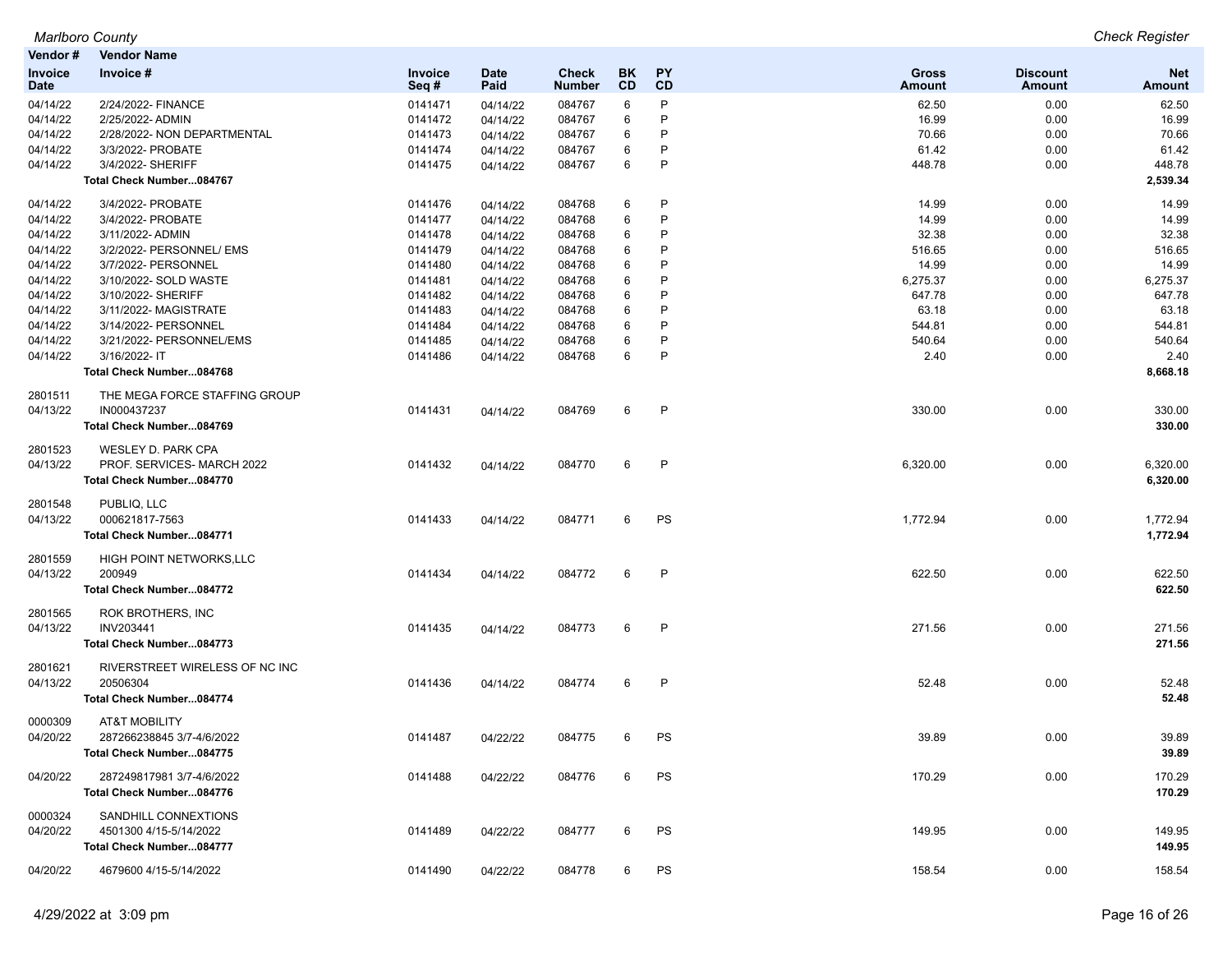**Vendor # Vendor Name**

| <b>VEHUUL</b>                 | <b>VEHUOL INGHIIG</b>          |                        |                     |                               |                        |          |                 |                                  |                      |
|-------------------------------|--------------------------------|------------------------|---------------------|-------------------------------|------------------------|----------|-----------------|----------------------------------|----------------------|
| <b>Invoice</b><br><b>Date</b> | Invoice #                      | <b>Invoice</b><br>Seq# | <b>Date</b><br>Paid | <b>Check</b><br><b>Number</b> | <b>BK</b><br><b>CD</b> | PY<br>CD | Gross<br>Amount | <b>Discount</b><br><b>Amount</b> | <b>Net</b><br>Amount |
| 04/14/22                      | 2/24/2022- FINANCE             | 0141471                | 04/14/22            | 084767                        | 6                      | P        | 62.50           | 0.00                             | 62.50                |
| 04/14/22                      | 2/25/2022- ADMIN               | 0141472                | 04/14/22            | 084767                        | 6                      | P        | 16.99           | 0.00                             | 16.99                |
| 04/14/22                      | 2/28/2022- NON DEPARTMENTAL    | 0141473                | 04/14/22            | 084767                        | 6                      | P        | 70.66           | 0.00                             | 70.66                |
| 04/14/22                      | 3/3/2022- PROBATE              | 0141474                | 04/14/22            | 084767                        | 6                      | P        | 61.42           | 0.00                             | 61.42                |
| 04/14/22                      | 3/4/2022- SHERIFF              | 0141475                | 04/14/22            | 084767                        | 6                      | P        | 448.78          | 0.00                             | 448.78               |
|                               | Total Check Number084767       |                        |                     |                               |                        |          |                 |                                  | 2,539.34             |
| 04/14/22                      | 3/4/2022- PROBATE              | 0141476                | 04/14/22            | 084768                        | 6                      | P        | 14.99           | 0.00                             | 14.99                |
| 04/14/22                      | 3/4/2022- PROBATE              | 0141477                | 04/14/22            | 084768                        | 6                      | P        | 14.99           | 0.00                             | 14.99                |
| 04/14/22                      | 3/11/2022- ADMIN               | 0141478                | 04/14/22            | 084768                        | 6                      | P        | 32.38           | 0.00                             | 32.38                |
| 04/14/22                      | 3/2/2022- PERSONNEL/ EMS       | 0141479                | 04/14/22            | 084768                        | 6                      | P        | 516.65          | 0.00                             | 516.65               |
| 04/14/22                      | 3/7/2022- PERSONNEL            | 0141480                | 04/14/22            | 084768                        | 6                      | P        | 14.99           | 0.00                             | 14.99                |
| 04/14/22                      | 3/10/2022- SOLD WASTE          | 0141481                | 04/14/22            | 084768                        | 6                      | P        | 6,275.37        | 0.00                             | 6,275.37             |
| 04/14/22                      | 3/10/2022- SHERIFF             | 0141482                | 04/14/22            | 084768                        | 6                      | P        | 647.78          | 0.00                             | 647.78               |
| 04/14/22                      | 3/11/2022- MAGISTRATE          | 0141483                | 04/14/22            | 084768                        | 6                      | P        | 63.18           | 0.00                             | 63.18                |
| 04/14/22                      | 3/14/2022- PERSONNEL           | 0141484                | 04/14/22            | 084768                        | 6                      | P        | 544.81          | 0.00                             | 544.81               |
| 04/14/22                      | 3/21/2022- PERSONNEL/EMS       | 0141485                | 04/14/22            | 084768                        | 6                      | P        | 540.64          | 0.00                             | 540.64               |
| 04/14/22                      | 3/16/2022-IT                   | 0141486                | 04/14/22            | 084768                        | 6                      | P        | 2.40            | 0.00                             | 2.40                 |
|                               | Total Check Number084768       |                        |                     |                               |                        |          |                 |                                  | 8,668.18             |
| 2801511                       | THE MEGA FORCE STAFFING GROUP  |                        |                     |                               |                        |          |                 |                                  |                      |
| 04/13/22                      | IN000437237                    | 0141431                | 04/14/22            | 084769                        | 6                      | P        | 330.00          | 0.00                             | 330.00               |
|                               | Total Check Number084769       |                        |                     |                               |                        |          |                 |                                  | 330.00               |
| 2801523                       | <b>WESLEY D. PARK CPA</b>      |                        |                     |                               |                        |          |                 |                                  |                      |
| 04/13/22                      | PROF. SERVICES-MARCH 2022      | 0141432                | 04/14/22            | 084770                        | 6                      | P        | 6,320.00        | 0.00                             | 6,320.00             |
|                               | Total Check Number084770       |                        |                     |                               |                        |          |                 |                                  | 6,320.00             |
| 2801548                       | PUBLIQ, LLC                    |                        |                     |                               |                        |          |                 |                                  |                      |
| 04/13/22                      | 000621817-7563                 | 0141433                | 04/14/22            | 084771                        | 6                      | PS       | 1,772.94        | 0.00                             | 1,772.94             |
|                               | Total Check Number084771       |                        |                     |                               |                        |          |                 |                                  | 1,772.94             |
| 2801559                       | HIGH POINT NETWORKS, LLC       |                        |                     |                               |                        |          |                 |                                  |                      |
| 04/13/22                      | 200949                         | 0141434                | 04/14/22            | 084772                        | 6                      | P        | 622.50          | 0.00                             | 622.50               |
|                               | Total Check Number084772       |                        |                     |                               |                        |          |                 |                                  | 622.50               |
| 2801565                       | <b>ROK BROTHERS, INC</b>       |                        |                     |                               |                        |          |                 |                                  |                      |
| 04/13/22                      | INV203441                      | 0141435                | 04/14/22            | 084773                        | 6                      | P        | 271.56          | 0.00                             | 271.56               |
|                               | Total Check Number084773       |                        |                     |                               |                        |          |                 |                                  | 271.56               |
| 2801621                       | RIVERSTREET WIRELESS OF NC INC |                        |                     |                               |                        |          |                 |                                  |                      |
| 04/13/22                      | 20506304                       | 0141436                | 04/14/22            | 084774                        | 6                      | P        | 52.48           | 0.00                             | 52.48                |
|                               | Total Check Number084774       |                        |                     |                               |                        |          |                 |                                  | 52.48                |
| 0000309                       | <b>AT&amp;T MOBILITY</b>       |                        |                     |                               |                        |          |                 |                                  |                      |
| 04/20/22                      | 287266238845 3/7-4/6/2022      | 0141487                | 04/22/22            | 084775                        | 6                      | PS       | 39.89           | 0.00                             | 39.89                |
|                               | Total Check Number084775       |                        |                     |                               |                        |          |                 |                                  | 39.89                |
| 04/20/22                      | 287249817981 3/7-4/6/2022      | 0141488                | 04/22/22            | 084776                        | 6                      | PS       | 170.29          | 0.00                             | 170.29               |
|                               | Total Check Number084776       |                        |                     |                               |                        |          |                 |                                  | 170.29               |
| 0000324                       | SANDHILL CONNEXTIONS           |                        |                     |                               |                        |          |                 |                                  |                      |
| 04/20/22                      | 4501300 4/15-5/14/2022         | 0141489                | 04/22/22            | 084777                        | 6                      | PS       | 149.95          | 0.00                             | 149.95               |
|                               | Total Check Number084777       |                        |                     |                               |                        |          |                 |                                  | 149.95               |
| 04/20/22                      | 4679600 4/15-5/14/2022         | 0141490                | 04/22/22            | 084778                        | 6                      | PS       | 158.54          | 0.00                             | 158.54               |
|                               |                                |                        |                     |                               |                        |          |                 |                                  |                      |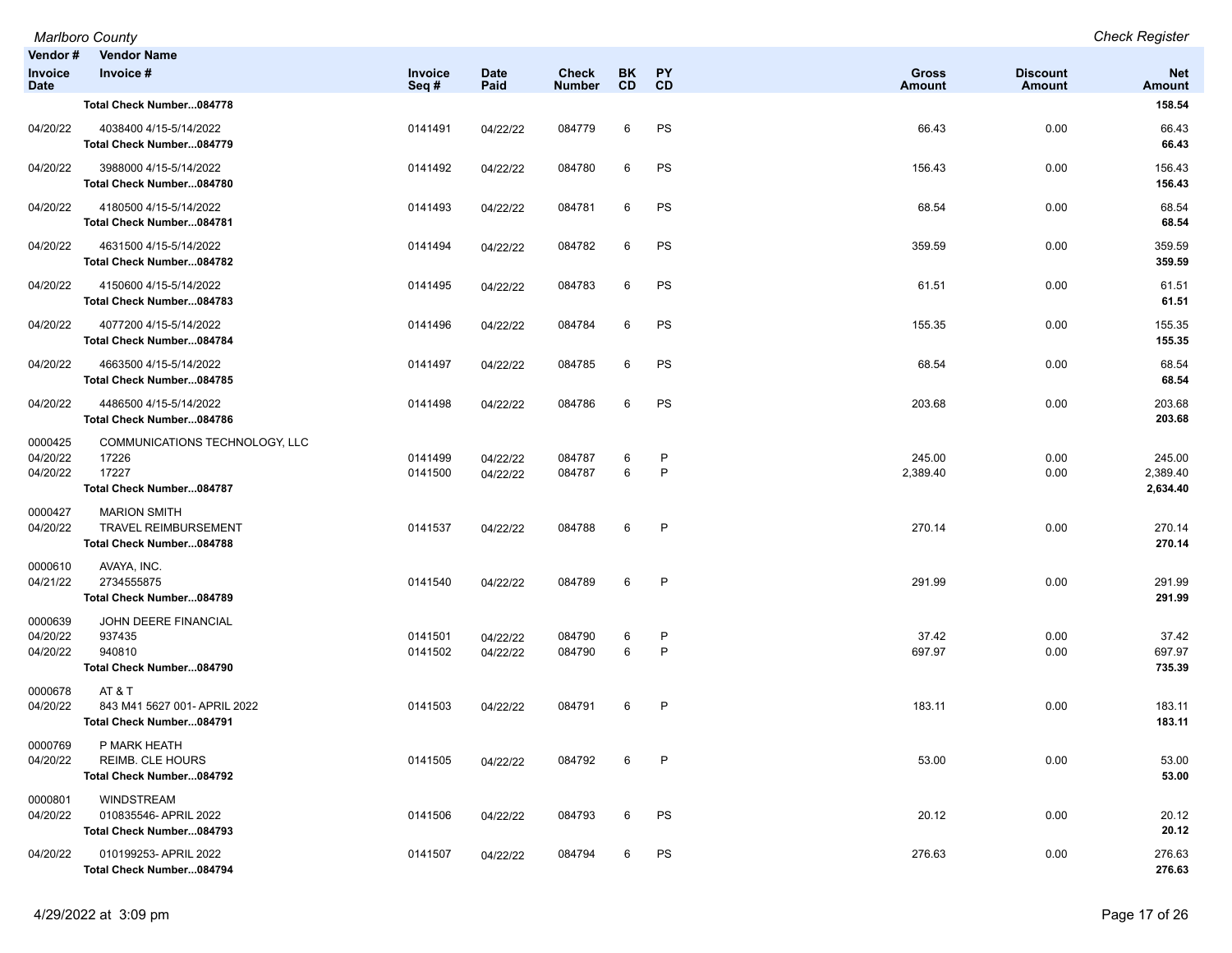| Vendor #<br><b>Invoice</b><br><b>Date</b> | <b>Vendor Name</b><br>Invoice #                                                | <b>Invoice</b><br>Seq# | <b>Date</b><br>Paid  | Check<br><b>Number</b> | BK.<br>CD | PΥ<br>CD     | <b>Gross</b><br>Amount | <b>Discount</b><br>Amount | <b>Net</b><br>Amount           |
|-------------------------------------------|--------------------------------------------------------------------------------|------------------------|----------------------|------------------------|-----------|--------------|------------------------|---------------------------|--------------------------------|
|                                           | Total Check Number084778                                                       |                        |                      |                        |           |              |                        |                           | 158.54                         |
| 04/20/22                                  | 4038400 4/15-5/14/2022<br>Total Check Number084779                             | 0141491                | 04/22/22             | 084779                 | 6         | PS           | 66.43                  | 0.00                      | 66.43<br>66.43                 |
| 04/20/22                                  | 3988000 4/15-5/14/2022<br>Total Check Number084780                             | 0141492                | 04/22/22             | 084780                 | 6         | PS           | 156.43                 | 0.00                      | 156.43<br>156.43               |
| 04/20/22                                  | 4180500 4/15-5/14/2022<br>Total Check Number084781                             | 0141493                | 04/22/22             | 084781                 | 6         | PS           | 68.54                  | 0.00                      | 68.54<br>68.54                 |
| 04/20/22                                  | 4631500 4/15-5/14/2022<br>Total Check Number084782                             | 0141494                | 04/22/22             | 084782                 | 6         | PS           | 359.59                 | 0.00                      | 359.59<br>359.59               |
| 04/20/22                                  | 4150600 4/15-5/14/2022<br>Total Check Number084783                             | 0141495                | 04/22/22             | 084783                 | 6         | PS           | 61.51                  | 0.00                      | 61.51<br>61.51                 |
| 04/20/22                                  | 4077200 4/15-5/14/2022<br>Total Check Number084784                             | 0141496                | 04/22/22             | 084784                 | 6         | PS           | 155.35                 | 0.00                      | 155.35<br>155.35               |
| 04/20/22                                  | 4663500 4/15-5/14/2022<br>Total Check Number084785                             | 0141497                | 04/22/22             | 084785                 | 6         | PS           | 68.54                  | 0.00                      | 68.54<br>68.54                 |
| 04/20/22                                  | 4486500 4/15-5/14/2022<br>Total Check Number084786                             | 0141498                | 04/22/22             | 084786                 | 6         | PS           | 203.68                 | 0.00                      | 203.68<br>203.68               |
| 0000425<br>04/20/22<br>04/20/22           | COMMUNICATIONS TECHNOLOGY, LLC<br>17226<br>17227<br>Total Check Number084787   | 0141499<br>0141500     | 04/22/22<br>04/22/22 | 084787<br>084787       | 6<br>6    | P<br>P       | 245.00<br>2,389.40     | 0.00<br>0.00              | 245.00<br>2,389.40<br>2,634.40 |
| 0000427<br>04/20/22                       | <b>MARION SMITH</b><br><b>TRAVEL REIMBURSEMENT</b><br>Total Check Number084788 | 0141537                | 04/22/22             | 084788                 | 6         | P            | 270.14                 | 0.00                      | 270.14<br>270.14               |
| 0000610<br>04/21/22                       | AVAYA, INC.<br>2734555875<br>Total Check Number084789                          | 0141540                | 04/22/22             | 084789                 | 6         | $\mathsf{P}$ | 291.99                 | 0.00                      | 291.99<br>291.99               |
| 0000639<br>04/20/22<br>04/20/22           | JOHN DEERE FINANCIAL<br>937435<br>940810<br>Total Check Number084790           | 0141501<br>0141502     | 04/22/22<br>04/22/22 | 084790<br>084790       | 6<br>6    | P<br>P       | 37.42<br>697.97        | 0.00<br>0.00              | 37.42<br>697.97<br>735.39      |
| 0000678<br>04/20/22                       | AT&T<br>843 M41 5627 001- APRIL 2022<br>Total Check Number084791               | 0141503                | 04/22/22             | 084791                 | 6         | P            | 183.11                 | 0.00                      | 183.11<br>183.11               |
| 0000769<br>04/20/22                       | P MARK HEATH<br>REIMB. CLE HOURS<br>Total Check Number084792                   | 0141505                | 04/22/22             | 084792                 | 6         | P            | 53.00                  | 0.00                      | 53.00<br>53.00                 |
| 0000801<br>04/20/22                       | WINDSTREAM<br>010835546-APRIL 2022<br>Total Check Number084793                 | 0141506                | 04/22/22             | 084793                 | 6         | PS           | 20.12                  | 0.00                      | 20.12<br>20.12                 |
| 04/20/22                                  | 010199253- APRIL 2022<br>Total Check Number084794                              | 0141507                | 04/22/22             | 084794                 | 6         | PS           | 276.63                 | 0.00                      | 276.63<br>276.63               |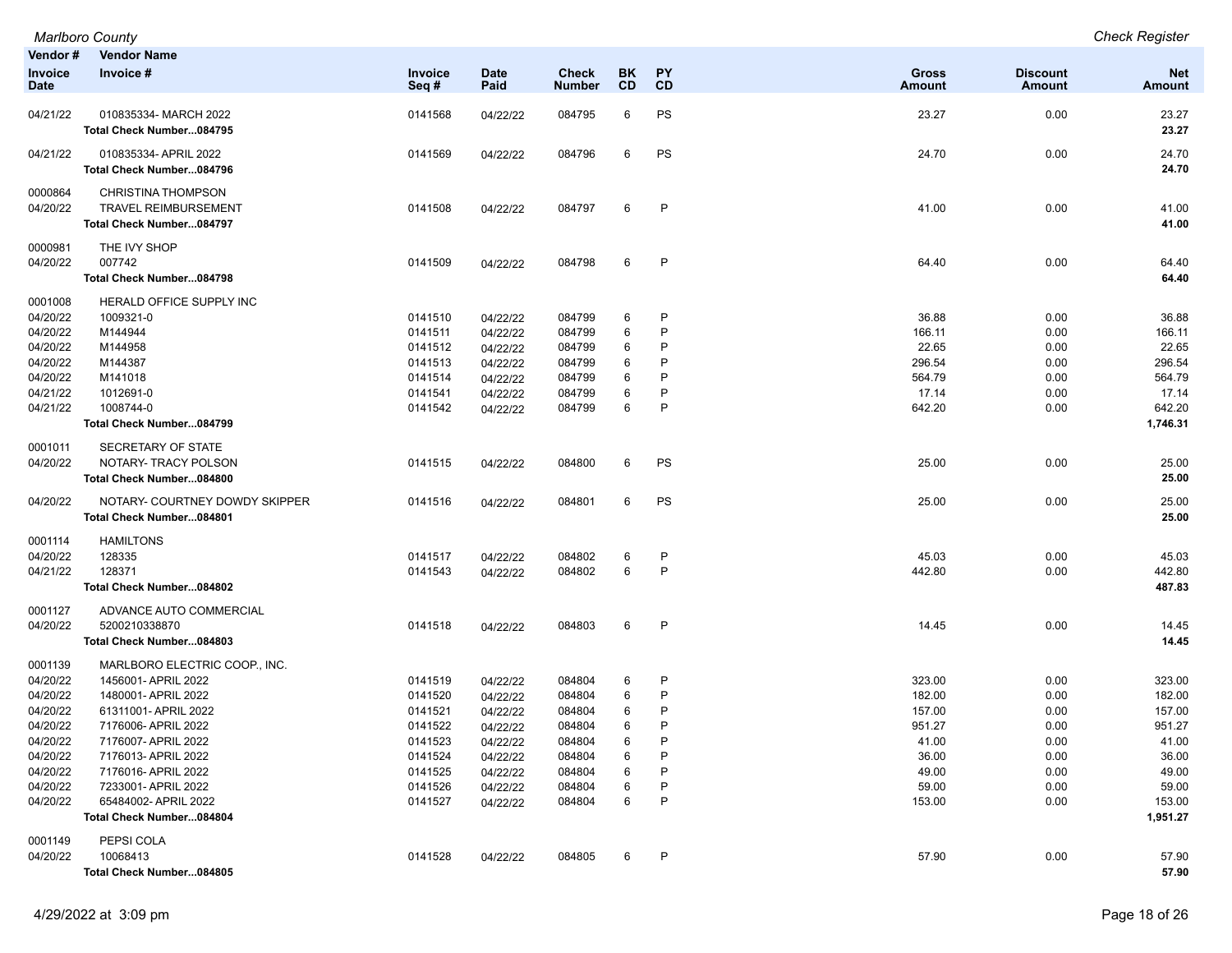| Vendor #<br><b>Invoice</b><br><b>Date</b>                                                                                      | <b>Vendor Name</b><br>Invoice #                                                                                                                                                                                                                                            | Invoice<br>Seq#                                                                                 | <b>Date</b><br>Paid                                                                                      | Check<br><b>Number</b>                                                                 | <b>BK</b><br>CD                           | PΥ<br><b>CD</b>                                        | <b>Gross</b><br>Amount                                                             | <b>Discount</b><br><b>Amount</b>                                     | <b>Net</b><br>Amount                                                                                   |
|--------------------------------------------------------------------------------------------------------------------------------|----------------------------------------------------------------------------------------------------------------------------------------------------------------------------------------------------------------------------------------------------------------------------|-------------------------------------------------------------------------------------------------|----------------------------------------------------------------------------------------------------------|----------------------------------------------------------------------------------------|-------------------------------------------|--------------------------------------------------------|------------------------------------------------------------------------------------|----------------------------------------------------------------------|--------------------------------------------------------------------------------------------------------|
| 04/21/22                                                                                                                       | 010835334-MARCH 2022<br>Total Check Number084795                                                                                                                                                                                                                           | 0141568                                                                                         | 04/22/22                                                                                                 | 084795                                                                                 | 6                                         | PS                                                     | 23.27                                                                              | 0.00                                                                 | 23.27<br>23.27                                                                                         |
| 04/21/22                                                                                                                       | 010835334- APRIL 2022<br>Total Check Number084796                                                                                                                                                                                                                          | 0141569                                                                                         | 04/22/22                                                                                                 | 084796                                                                                 | 6                                         | PS                                                     | 24.70                                                                              | 0.00                                                                 | 24.70<br>24.70                                                                                         |
| 0000864<br>04/20/22                                                                                                            | <b>CHRISTINA THOMPSON</b><br><b>TRAVEL REIMBURSEMENT</b><br>Total Check Number084797                                                                                                                                                                                       | 0141508                                                                                         | 04/22/22                                                                                                 | 084797                                                                                 | 6                                         | $\mathsf{P}$                                           | 41.00                                                                              | 0.00                                                                 | 41.00<br>41.00                                                                                         |
| 0000981<br>04/20/22                                                                                                            | THE IVY SHOP<br>007742<br>Total Check Number084798                                                                                                                                                                                                                         | 0141509                                                                                         | 04/22/22                                                                                                 | 084798                                                                                 | 6                                         | $\mathsf{P}$                                           | 64.40                                                                              | 0.00                                                                 | 64.40<br>64.40                                                                                         |
| 0001008<br>04/20/22<br>04/20/22<br>04/20/22<br>04/20/22<br>04/20/22<br>04/21/22<br>04/21/22<br>0001011<br>04/20/22<br>04/20/22 | HERALD OFFICE SUPPLY INC<br>1009321-0<br>M144944<br>M144958<br>M144387<br>M141018<br>1012691-0<br>1008744-0<br>Total Check Number084799<br>SECRETARY OF STATE<br>NOTARY-TRACY POLSON<br>Total Check Number084800<br>NOTARY- COURTNEY DOWDY SKIPPER                         | 0141510<br>0141511<br>0141512<br>0141513<br>0141514<br>0141541<br>0141542<br>0141515<br>0141516 | 04/22/22<br>04/22/22<br>04/22/22<br>04/22/22<br>04/22/22<br>04/22/22<br>04/22/22<br>04/22/22<br>04/22/22 | 084799<br>084799<br>084799<br>084799<br>084799<br>084799<br>084799<br>084800<br>084801 | 6<br>6<br>6<br>6<br>6<br>6<br>6<br>6<br>6 | P<br>P<br>P<br>P<br>P<br>$\mathsf{P}$<br>P<br>PS<br>PS | 36.88<br>166.11<br>22.65<br>296.54<br>564.79<br>17.14<br>642.20<br>25.00<br>25.00  | 0.00<br>0.00<br>0.00<br>0.00<br>0.00<br>0.00<br>0.00<br>0.00<br>0.00 | 36.88<br>166.11<br>22.65<br>296.54<br>564.79<br>17.14<br>642.20<br>1,746.31<br>25.00<br>25.00<br>25.00 |
| 0001114<br>04/20/22<br>04/21/22                                                                                                | Total Check Number084801<br><b>HAMILTONS</b><br>128335<br>128371<br>Total Check Number084802                                                                                                                                                                               | 0141517<br>0141543                                                                              | 04/22/22<br>04/22/22                                                                                     | 084802<br>084802                                                                       | 6<br>6                                    | P<br>$\mathsf{P}$                                      | 45.03<br>442.80                                                                    | 0.00<br>0.00                                                         | 25.00<br>45.03<br>442.80<br>487.83                                                                     |
| 0001127<br>04/20/22                                                                                                            | ADVANCE AUTO COMMERCIAL<br>5200210338870<br>Total Check Number084803                                                                                                                                                                                                       | 0141518                                                                                         | 04/22/22                                                                                                 | 084803                                                                                 | 6                                         | $\mathsf{P}$                                           | 14.45                                                                              | 0.00                                                                 | 14.45<br>14.45                                                                                         |
| 0001139<br>04/20/22<br>04/20/22<br>04/20/22<br>04/20/22<br>04/20/22<br>04/20/22<br>04/20/22<br>04/20/22<br>04/20/22            | MARLBORO ELECTRIC COOP., INC.<br>1456001- APRIL 2022<br>1480001- APRIL 2022<br>61311001- APRIL 2022<br>7176006- APRIL 2022<br>7176007- APRIL 2022<br>7176013- APRIL 2022<br>7176016- APRIL 2022<br>7233001- APRIL 2022<br>65484002- APRIL 2022<br>Total Check Number084804 | 0141519<br>0141520<br>0141521<br>0141522<br>0141523<br>0141524<br>0141525<br>0141526<br>0141527 | 04/22/22<br>04/22/22<br>04/22/22<br>04/22/22<br>04/22/22<br>04/22/22<br>04/22/22<br>04/22/22<br>04/22/22 | 084804<br>084804<br>084804<br>084804<br>084804<br>084804<br>084804<br>084804<br>084804 | 6<br>6<br>6<br>6<br>6<br>6<br>6<br>6<br>6 | P<br>P<br>P<br>P<br>P<br>P<br>P<br>P<br>$\mathsf{P}$   | 323.00<br>182.00<br>157.00<br>951.27<br>41.00<br>36.00<br>49.00<br>59.00<br>153.00 | 0.00<br>0.00<br>0.00<br>0.00<br>0.00<br>0.00<br>0.00<br>0.00<br>0.00 | 323.00<br>182.00<br>157.00<br>951.27<br>41.00<br>36.00<br>49.00<br>59.00<br>153.00<br>1,951.27         |
| 0001149<br>04/20/22                                                                                                            | PEPSI COLA<br>10068413<br>Total Check Number084805                                                                                                                                                                                                                         | 0141528                                                                                         | 04/22/22                                                                                                 | 084805                                                                                 | 6                                         | P                                                      | 57.90                                                                              | 0.00                                                                 | 57.90<br>57.90                                                                                         |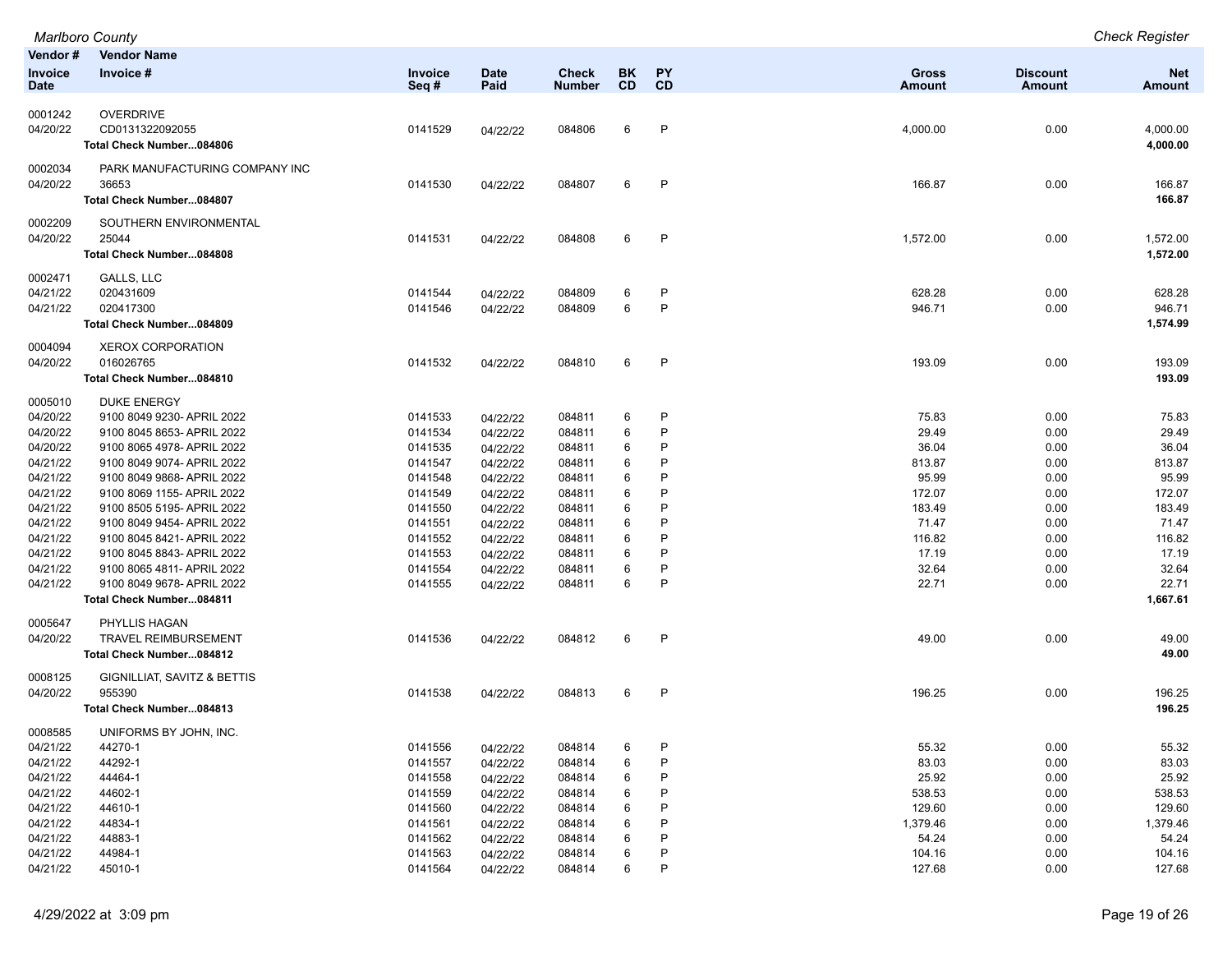|                      | <b>Marlboro County</b>                                   |                    |          |                  |           |              |                |                 | <b>Check Register</b> |
|----------------------|----------------------------------------------------------|--------------------|----------|------------------|-----------|--------------|----------------|-----------------|-----------------------|
| Vendor#              | <b>Vendor Name</b>                                       |                    |          |                  |           |              |                |                 |                       |
| Invoice              | Invoice #                                                | Invoice            | Date     | <b>Check</b>     | BK        | PY           | <b>Gross</b>   | <b>Discount</b> | <b>Net</b>            |
| <b>Date</b>          |                                                          | Seq#               | Paid     | <b>Number</b>    | <b>CD</b> | CD           | <b>Amount</b>  | Amount          | <b>Amount</b>         |
| 0001242              | OVERDRIVE                                                |                    |          |                  |           |              |                |                 |                       |
| 04/20/22             | CD0131322092055                                          | 0141529            | 04/22/22 | 084806           | 6         | $\mathsf{P}$ | 4,000.00       | 0.00            | 4,000.00              |
|                      | Total Check Number084806                                 |                    |          |                  |           |              |                |                 | 4,000.00              |
|                      |                                                          |                    |          |                  |           |              |                |                 |                       |
| 0002034              | PARK MANUFACTURING COMPANY INC                           |                    |          |                  |           |              |                |                 |                       |
| 04/20/22             | 36653                                                    | 0141530            | 04/22/22 | 084807           | 6         | P            | 166.87         | 0.00            | 166.87                |
|                      | Total Check Number084807                                 |                    |          |                  |           |              |                |                 | 166.87                |
| 0002209              | SOUTHERN ENVIRONMENTAL                                   |                    |          |                  |           |              |                |                 |                       |
| 04/20/22             | 25044                                                    | 0141531            | 04/22/22 | 084808           | 6         | P            | 1,572.00       | 0.00            | 1,572.00              |
|                      | Total Check Number084808                                 |                    |          |                  |           |              |                |                 | 1,572.00              |
| 0002471              | GALLS, LLC                                               |                    |          |                  |           |              |                |                 |                       |
| 04/21/22             | 020431609                                                | 0141544            | 04/22/22 | 084809           | 6         | P            | 628.28         | 0.00            | 628.28                |
| 04/21/22             | 020417300                                                | 0141546            | 04/22/22 | 084809           | 6         | P            | 946.71         | 0.00            | 946.71                |
|                      | Total Check Number084809                                 |                    |          |                  |           |              |                |                 | 1,574.99              |
|                      |                                                          |                    |          |                  |           |              |                |                 |                       |
| 0004094<br>04/20/22  | <b>XEROX CORPORATION</b><br>016026765                    | 0141532            |          | 084810           | 6         | P            | 193.09         | 0.00            | 193.09                |
|                      | Total Check Number084810                                 |                    | 04/22/22 |                  |           |              |                |                 | 193.09                |
|                      |                                                          |                    |          |                  |           |              |                |                 |                       |
| 0005010              | <b>DUKE ENERGY</b>                                       |                    |          |                  |           |              |                |                 |                       |
| 04/20/22             | 9100 8049 9230- APRIL 2022                               | 0141533            | 04/22/22 | 084811           | 6         | P            | 75.83          | 0.00            | 75.83                 |
| 04/20/22             | 9100 8045 8653- APRIL 2022                               | 0141534            | 04/22/22 | 084811           | 6         | P            | 29.49          | 0.00            | 29.49                 |
| 04/20/22             | 9100 8065 4978- APRIL 2022                               | 0141535            | 04/22/22 | 084811           | 6         | P            | 36.04          | 0.00            | 36.04                 |
| 04/21/22             | 9100 8049 9074- APRIL 2022                               | 0141547            | 04/22/22 | 084811           | 6         | P            | 813.87         | 0.00            | 813.87                |
| 04/21/22             | 9100 8049 9868- APRIL 2022                               | 0141548            | 04/22/22 | 084811           | 6         | P            | 95.99          | 0.00            | 95.99                 |
| 04/21/22             | 9100 8069 1155- APRIL 2022                               | 0141549            | 04/22/22 | 084811           | 6         | P<br>P       | 172.07         | 0.00            | 172.07                |
| 04/21/22             | 9100 8505 5195- APRIL 2022                               | 0141550            | 04/22/22 | 084811           | 6         | P            | 183.49         | 0.00            | 183.49                |
| 04/21/22             | 9100 8049 9454- APRIL 2022                               | 0141551            | 04/22/22 | 084811           | 6         | P            | 71.47          | 0.00            | 71.47                 |
| 04/21/22             | 9100 8045 8421- APRIL 2022                               | 0141552            | 04/22/22 | 084811           | 6         | P            | 116.82         | 0.00            | 116.82                |
| 04/21/22<br>04/21/22 | 9100 8045 8843- APRIL 2022<br>9100 8065 4811- APRIL 2022 | 0141553<br>0141554 | 04/22/22 | 084811           | 6<br>6    | P            | 17.19<br>32.64 | 0.00<br>0.00    | 17.19<br>32.64        |
| 04/21/22             | 9100 8049 9678- APRIL 2022                               | 0141555            | 04/22/22 | 084811<br>084811 | 6         | P            | 22.71          | 0.00            | 22.71                 |
|                      | Total Check Number084811                                 |                    | 04/22/22 |                  |           |              |                |                 | 1,667.61              |
|                      |                                                          |                    |          |                  |           |              |                |                 |                       |
| 0005647              | PHYLLIS HAGAN                                            |                    |          |                  |           |              |                |                 |                       |
| 04/20/22             | <b>TRAVEL REIMBURSEMENT</b>                              | 0141536            | 04/22/22 | 084812           | 6         | P            | 49.00          | 0.00            | 49.00                 |
|                      | Total Check Number084812                                 |                    |          |                  |           |              |                |                 | 49.00                 |
| 0008125              | GIGNILLIAT, SAVITZ & BETTIS                              |                    |          |                  |           |              |                |                 |                       |
| 04/20/22             | 955390                                                   | 0141538            | 04/22/22 | 084813           | 6         | P            | 196.25         | 0.00            | 196.25                |
|                      | Total Check Number084813                                 |                    |          |                  |           |              |                |                 | 196.25                |
| 0008585              | UNIFORMS BY JOHN, INC.                                   |                    |          |                  |           |              |                |                 |                       |
| 04/21/22             | 44270-1                                                  | 0141556            | 04/22/22 | 084814           | 6         | P            | 55.32          | 0.00            | 55.32                 |
| 04/21/22             | 44292-1                                                  | 0141557            | 04/22/22 | 084814           | 6         | P            | 83.03          | 0.00            | 83.03                 |
| 04/21/22             | 44464-1                                                  | 0141558            | 04/22/22 | 084814           | 6         | P            | 25.92          | 0.00            | 25.92                 |
| 04/21/22             | 44602-1                                                  | 0141559            | 04/22/22 | 084814           | 6         | P            | 538.53         | 0.00            | 538.53                |
| 04/21/22             | 44610-1                                                  | 0141560            | 04/22/22 | 084814           | 6         | P            | 129.60         | 0.00            | 129.60                |
| 04/21/22             | 44834-1                                                  | 0141561            | 04/22/22 | 084814           | 6         | P            | 1,379.46       | 0.00            | 1,379.46              |
| 04/21/22             | 44883-1                                                  | 0141562            | 04/22/22 | 084814           | 6         | P            | 54.24          | 0.00            | 54.24                 |
| 04/21/22             | 44984-1                                                  | 0141563            | 04/22/22 | 084814           | 6         | P            | 104.16         | 0.00            | 104.16                |
| 04/21/22             | 45010-1                                                  | 0141564            | 04/22/22 | 084814           | 6         | P            | 127.68         | 0.00            | 127.68                |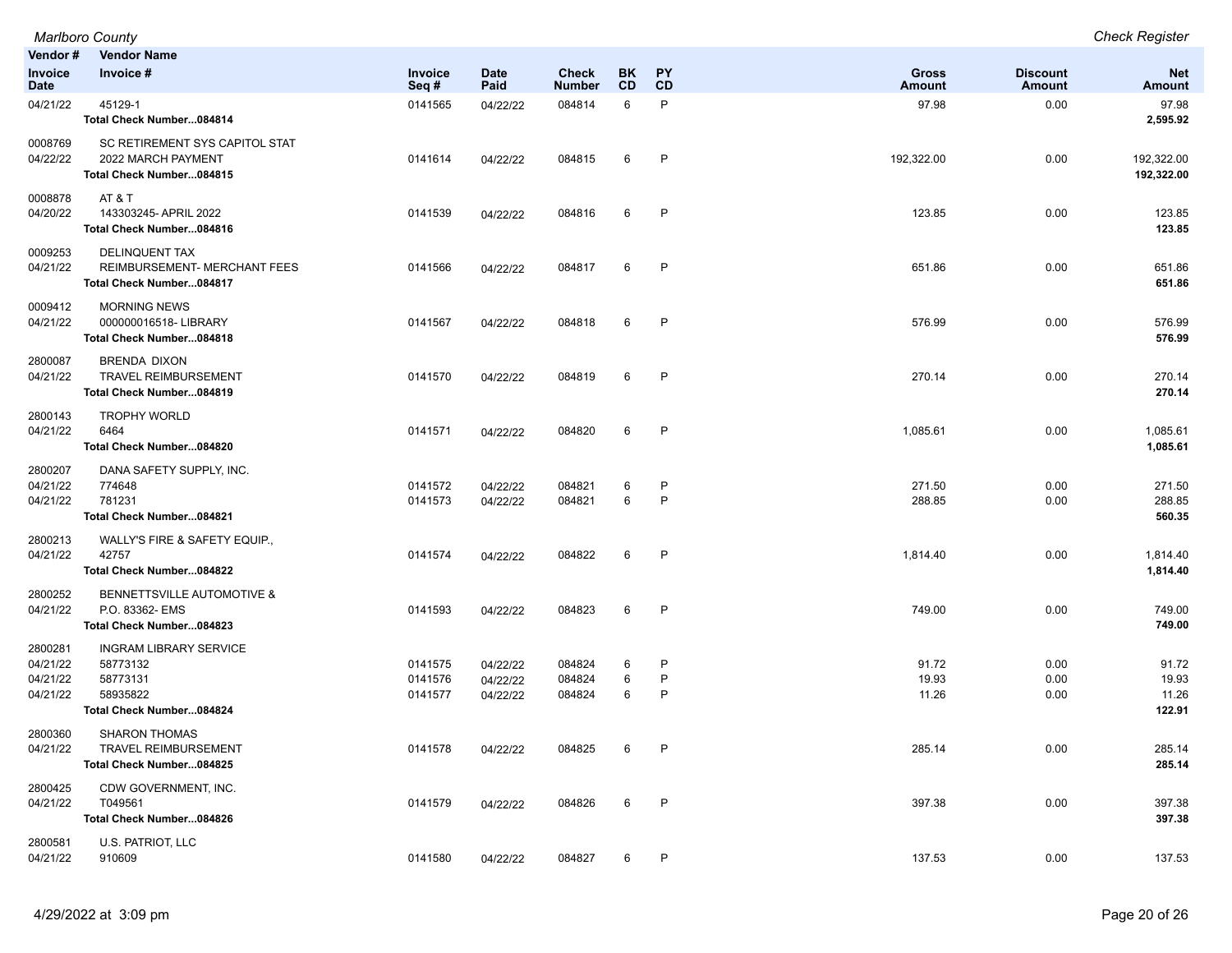|                                             | <b>Marlboro County</b>                                                                        |                               |                                  |                               |                 |                                   |                         |                           | <b>Check Register</b>             |
|---------------------------------------------|-----------------------------------------------------------------------------------------------|-------------------------------|----------------------------------|-------------------------------|-----------------|-----------------------------------|-------------------------|---------------------------|-----------------------------------|
| Vendor#                                     | <b>Vendor Name</b>                                                                            |                               |                                  |                               |                 |                                   |                         |                           |                                   |
| <b>Invoice</b><br><b>Date</b>               | Invoice #                                                                                     | Invoice<br>Seq#               | <b>Date</b><br>Paid              | <b>Check</b><br><b>Number</b> | BK<br><b>CD</b> | <b>PY</b><br>CD                   | <b>Gross</b><br>Amount  | <b>Discount</b><br>Amount | <b>Net</b><br><b>Amount</b>       |
| 04/21/22                                    | 45129-1<br>Total Check Number084814                                                           | 0141565                       | 04/22/22                         | 084814                        | 6               | $\mathsf{P}$                      | 97.98                   | 0.00                      | 97.98<br>2,595.92                 |
| 0008769<br>04/22/22                         | SC RETIREMENT SYS CAPITOL STAT<br>2022 MARCH PAYMENT<br>Total Check Number084815              | 0141614                       | 04/22/22                         | 084815                        | 6               | $\mathsf{P}$                      | 192,322.00              | 0.00                      | 192,322.00<br>192,322.00          |
| 0008878<br>04/20/22                         | AT&T<br>143303245- APRIL 2022<br>Total Check Number084816                                     | 0141539                       | 04/22/22                         | 084816                        | 6               | P                                 | 123.85                  | 0.00                      | 123.85<br>123.85                  |
| 0009253<br>04/21/22                         | <b>DELINQUENT TAX</b><br>REIMBURSEMENT- MERCHANT FEES<br>Total Check Number084817             | 0141566                       | 04/22/22                         | 084817                        | 6               | P                                 | 651.86                  | 0.00                      | 651.86<br>651.86                  |
| 0009412<br>04/21/22                         | <b>MORNING NEWS</b><br>000000016518-LIBRARY<br>Total Check Number084818                       | 0141567                       | 04/22/22                         | 084818                        | 6               | $\mathsf{P}$                      | 576.99                  | 0.00                      | 576.99<br>576.99                  |
| 2800087<br>04/21/22                         | <b>BRENDA DIXON</b><br><b>TRAVEL REIMBURSEMENT</b><br>Total Check Number084819                | 0141570                       | 04/22/22                         | 084819                        | 6               | P                                 | 270.14                  | 0.00                      | 270.14<br>270.14                  |
| 2800143<br>04/21/22                         | <b>TROPHY WORLD</b><br>6464<br>Total Check Number084820                                       | 0141571                       | 04/22/22                         | 084820                        | 6               | $\mathsf{P}$                      | 1,085.61                | 0.00                      | 1,085.61<br>1,085.61              |
| 2800207<br>04/21/22<br>04/21/22             | DANA SAFETY SUPPLY, INC.<br>774648<br>781231<br>Total Check Number084821                      | 0141572<br>0141573            | 04/22/22<br>04/22/22             | 084821<br>084821              | 6<br>6          | $\mathsf{P}$<br>$\mathsf{P}$      | 271.50<br>288.85        | 0.00<br>0.00              | 271.50<br>288.85<br>560.35        |
| 2800213<br>04/21/22                         | WALLY'S FIRE & SAFETY EQUIP.,<br>42757<br>Total Check Number084822                            | 0141574                       | 04/22/22                         | 084822                        | 6               | $\mathsf{P}$                      | 1,814.40                | 0.00                      | 1,814.40<br>1,814.40              |
| 2800252<br>04/21/22                         | BENNETTSVILLE AUTOMOTIVE &<br>P.O. 83362- EMS<br>Total Check Number084823                     | 0141593                       | 04/22/22                         | 084823                        | 6               | $\mathsf{P}$                      | 749.00                  | 0.00                      | 749.00<br>749.00                  |
| 2800281<br>04/21/22<br>04/21/22<br>04/21/22 | <b>INGRAM LIBRARY SERVICE</b><br>58773132<br>58773131<br>58935822<br>Total Check Number084824 | 0141575<br>0141576<br>0141577 | 04/22/22<br>04/22/22<br>04/22/22 | 084824<br>084824<br>084824    | 6<br>6<br>6     | P<br>$\mathsf{P}$<br>$\mathsf{P}$ | 91.72<br>19.93<br>11.26 | 0.00<br>0.00<br>0.00      | 91.72<br>19.93<br>11.26<br>122.91 |
| 2800360<br>04/21/22                         | <b>SHARON THOMAS</b><br>TRAVEL REIMBURSEMENT<br>Total Check Number084825                      | 0141578                       | 04/22/22                         | 084825                        | 6               | P                                 | 285.14                  | 0.00                      | 285.14<br>285.14                  |
| 2800425<br>04/21/22                         | CDW GOVERNMENT, INC.<br>T049561<br>Total Check Number084826                                   | 0141579                       | 04/22/22                         | 084826                        | 6               | P                                 | 397.38                  | 0.00                      | 397.38<br>397.38                  |
| 2800581<br>04/21/22                         | U.S. PATRIOT, LLC<br>910609                                                                   | 0141580                       | 04/22/22                         | 084827                        | 6               | P                                 | 137.53                  | 0.00                      | 137.53                            |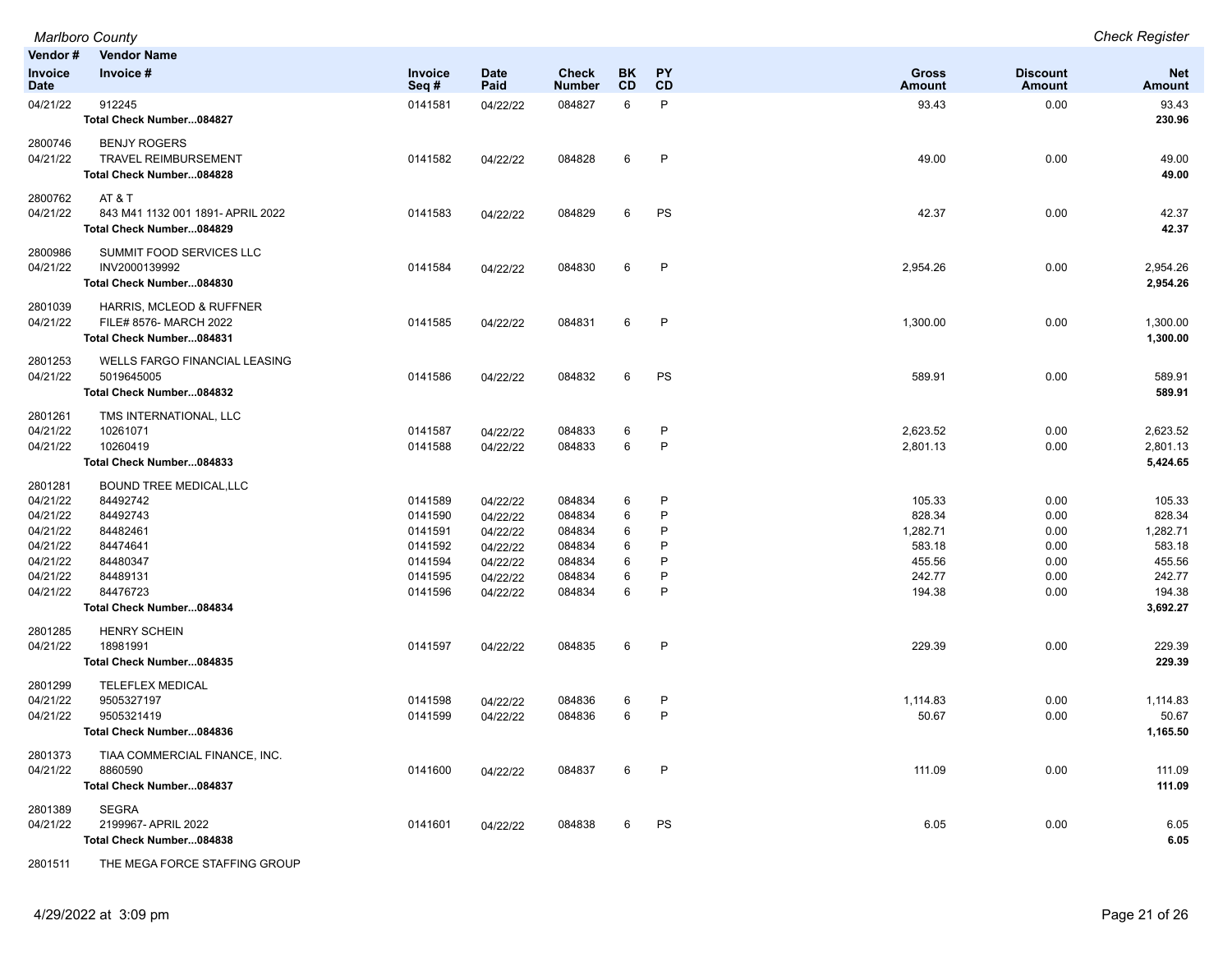|                                                                                             | <b>Marlboro County</b>                                                                                                                         |                                                                           |                                                                                  |                                                                    |                                 |                                 |                                                                      |                                                      | <b>Check Register</b>                                                            |
|---------------------------------------------------------------------------------------------|------------------------------------------------------------------------------------------------------------------------------------------------|---------------------------------------------------------------------------|----------------------------------------------------------------------------------|--------------------------------------------------------------------|---------------------------------|---------------------------------|----------------------------------------------------------------------|------------------------------------------------------|----------------------------------------------------------------------------------|
| Vendor#                                                                                     | <b>Vendor Name</b>                                                                                                                             |                                                                           |                                                                                  |                                                                    |                                 |                                 |                                                                      |                                                      |                                                                                  |
| Invoice<br><b>Date</b>                                                                      | Invoice #                                                                                                                                      | Invoice<br>Seq#                                                           | <b>Date</b><br>Paid                                                              | <b>Check</b><br><b>Number</b>                                      | BK<br><b>CD</b>                 | <b>PY</b><br>CD                 | <b>Gross</b><br><b>Amount</b>                                        | <b>Discount</b><br><b>Amount</b>                     | <b>Net</b><br><b>Amount</b>                                                      |
| 04/21/22                                                                                    | 912245<br>Total Check Number084827                                                                                                             | 0141581                                                                   | 04/22/22                                                                         | 084827                                                             | 6                               | P                               | 93.43                                                                | 0.00                                                 | 93.43<br>230.96                                                                  |
| 2800746<br>04/21/22                                                                         | <b>BENJY ROGERS</b><br>TRAVEL REIMBURSEMENT<br>Total Check Number084828                                                                        | 0141582                                                                   | 04/22/22                                                                         | 084828                                                             | 6                               | $\mathsf{P}$                    | 49.00                                                                | 0.00                                                 | 49.00<br>49.00                                                                   |
| 2800762<br>04/21/22                                                                         | AT&T<br>843 M41 1132 001 1891- APRIL 2022<br>Total Check Number084829                                                                          | 0141583                                                                   | 04/22/22                                                                         | 084829                                                             | 6                               | PS                              | 42.37                                                                | 0.00                                                 | 42.37<br>42.37                                                                   |
| 2800986<br>04/21/22                                                                         | SUMMIT FOOD SERVICES LLC<br>INV2000139992<br>Total Check Number084830                                                                          | 0141584                                                                   | 04/22/22                                                                         | 084830                                                             | 6                               | P                               | 2,954.26                                                             | 0.00                                                 | 2,954.26<br>2,954.26                                                             |
| 2801039<br>04/21/22                                                                         | HARRIS, MCLEOD & RUFFNER<br>FILE# 8576- MARCH 2022<br>Total Check Number084831                                                                 | 0141585                                                                   | 04/22/22                                                                         | 084831                                                             | 6                               | $\mathsf{P}$                    | 1,300.00                                                             | 0.00                                                 | 1,300.00<br>1,300.00                                                             |
| 2801253<br>04/21/22                                                                         | <b>WELLS FARGO FINANCIAL LEASING</b><br>5019645005<br>Total Check Number084832                                                                 | 0141586                                                                   | 04/22/22                                                                         | 084832                                                             | 6                               | PS                              | 589.91                                                               | 0.00                                                 | 589.91<br>589.91                                                                 |
| 2801261<br>04/21/22<br>04/21/22                                                             | TMS INTERNATIONAL, LLC<br>10261071<br>10260419<br>Total Check Number084833                                                                     | 0141587<br>0141588                                                        | 04/22/22<br>04/22/22                                                             | 084833<br>084833                                                   | 6<br>6                          | P<br>P                          | 2,623.52<br>2,801.13                                                 | 0.00<br>0.00                                         | 2,623.52<br>2,801.13<br>5,424.65                                                 |
| 2801281<br>04/21/22<br>04/21/22<br>04/21/22<br>04/21/22<br>04/21/22<br>04/21/22<br>04/21/22 | <b>BOUND TREE MEDICAL, LLC</b><br>84492742<br>84492743<br>84482461<br>84474641<br>84480347<br>84489131<br>84476723<br>Total Check Number084834 | 0141589<br>0141590<br>0141591<br>0141592<br>0141594<br>0141595<br>0141596 | 04/22/22<br>04/22/22<br>04/22/22<br>04/22/22<br>04/22/22<br>04/22/22<br>04/22/22 | 084834<br>084834<br>084834<br>084834<br>084834<br>084834<br>084834 | 6<br>6<br>6<br>6<br>6<br>6<br>6 | P<br>P<br>P<br>P<br>P<br>P<br>P | 105.33<br>828.34<br>1,282.71<br>583.18<br>455.56<br>242.77<br>194.38 | 0.00<br>0.00<br>0.00<br>0.00<br>0.00<br>0.00<br>0.00 | 105.33<br>828.34<br>1,282.71<br>583.18<br>455.56<br>242.77<br>194.38<br>3,692.27 |
| 2801285<br>04/21/22                                                                         | <b>HENRY SCHEIN</b><br>18981991<br>Total Check Number084835                                                                                    | 0141597                                                                   | 04/22/22                                                                         | 084835                                                             | 6                               | $\mathsf{P}$                    | 229.39                                                               | 0.00                                                 | 229.39<br>229.39                                                                 |
| 2801299<br>04/21/22<br>04/21/22                                                             | <b>TELEFLEX MEDICAL</b><br>9505327197<br>9505321419<br>Total Check Number084836                                                                | 0141598<br>0141599                                                        | 04/22/22<br>04/22/22                                                             | 084836<br>084836                                                   | 6<br>6                          | P<br>P                          | 1,114.83<br>50.67                                                    | 0.00<br>0.00                                         | 1,114.83<br>50.67<br>1,165.50                                                    |
| 2801373<br>04/21/22                                                                         | TIAA COMMERCIAL FINANCE. INC.<br>8860590<br>Total Check Number084837                                                                           | 0141600                                                                   | 04/22/22                                                                         | 084837                                                             | 6                               | P                               | 111.09                                                               | 0.00                                                 | 111.09<br>111.09                                                                 |
| 2801389<br>04/21/22                                                                         | <b>SEGRA</b><br>2199967- APRIL 2022<br>Total Check Number084838                                                                                | 0141601                                                                   | 04/22/22                                                                         | 084838                                                             | 6                               | PS                              | 6.05                                                                 | 0.00                                                 | 6.05<br>6.05                                                                     |

2801511 THE MEGA FORCE STAFFING GROUP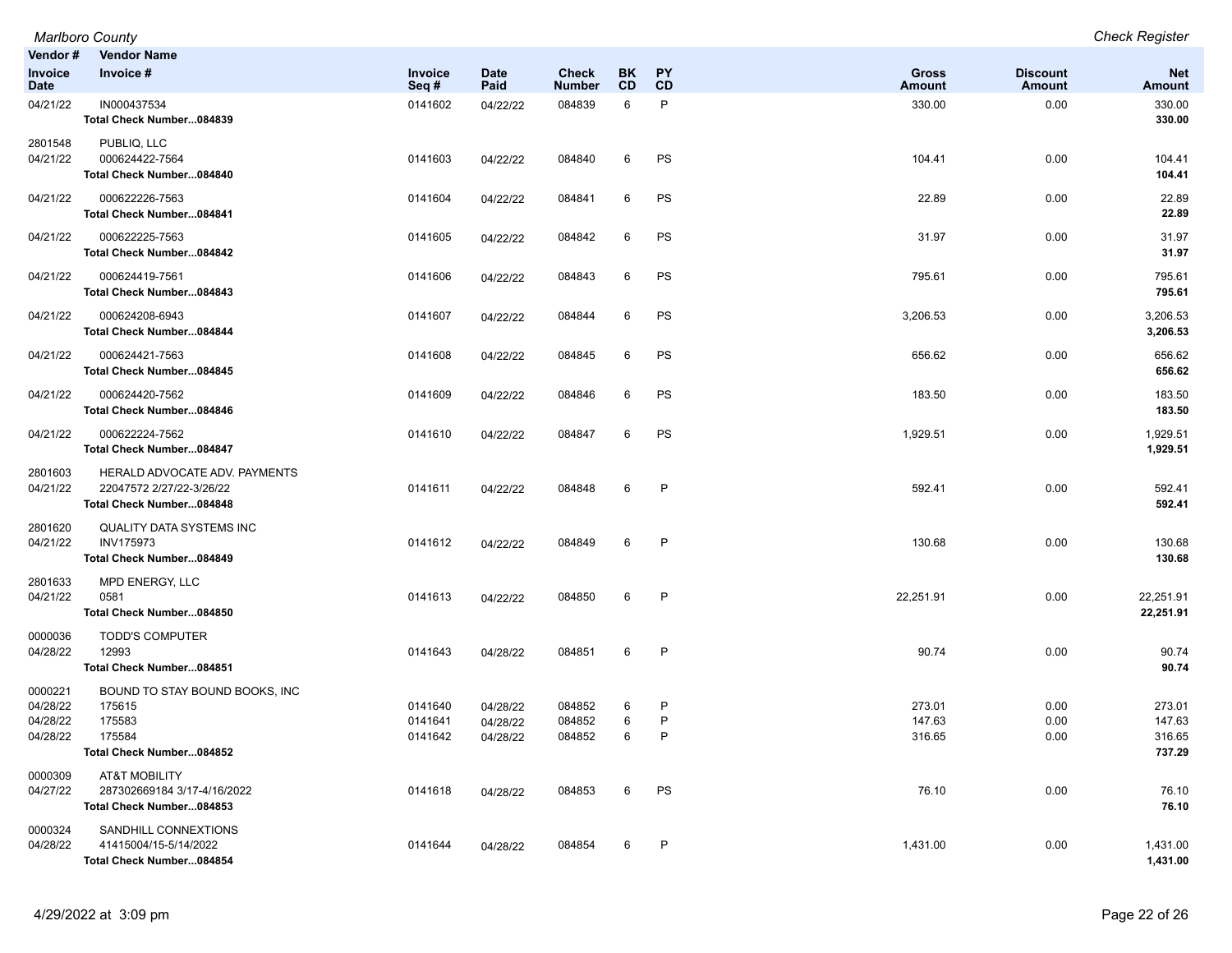| Vendor#                                     | <b>Vendor Name</b>                                                                       |                               |                                  |                               |                 |                 |                            |                           |                                      |
|---------------------------------------------|------------------------------------------------------------------------------------------|-------------------------------|----------------------------------|-------------------------------|-----------------|-----------------|----------------------------|---------------------------|--------------------------------------|
| Invoice<br><b>Date</b>                      | Invoice #                                                                                | Invoice<br>Seq#               | <b>Date</b><br>Paid              | <b>Check</b><br><b>Number</b> | <b>BK</b><br>CD | <b>PY</b><br>CD | <b>Gross</b><br>Amount     | <b>Discount</b><br>Amount | <b>Net</b><br>Amount                 |
| 04/21/22                                    | IN000437534<br>Total Check Number084839                                                  | 0141602                       | 04/22/22                         | 084839                        | 6               | P               | 330.00                     | 0.00                      | 330.00<br>330.00                     |
| 2801548<br>04/21/22                         | PUBLIQ, LLC<br>000624422-7564<br>Total Check Number084840                                | 0141603                       | 04/22/22                         | 084840                        | 6               | PS              | 104.41                     | 0.00                      | 104.41<br>104.41                     |
| 04/21/22                                    | 000622226-7563<br>Total Check Number084841                                               | 0141604                       | 04/22/22                         | 084841                        | 6               | PS              | 22.89                      | 0.00                      | 22.89<br>22.89                       |
| 04/21/22                                    | 000622225-7563<br>Total Check Number084842                                               | 0141605                       | 04/22/22                         | 084842                        | 6               | PS              | 31.97                      | 0.00                      | 31.97<br>31.97                       |
| 04/21/22                                    | 000624419-7561<br>Total Check Number084843                                               | 0141606                       | 04/22/22                         | 084843                        | 6               | PS              | 795.61                     | 0.00                      | 795.61<br>795.61                     |
| 04/21/22                                    | 000624208-6943<br>Total Check Number084844                                               | 0141607                       | 04/22/22                         | 084844                        | 6               | PS              | 3,206.53                   | 0.00                      | 3,206.53<br>3,206.53                 |
| 04/21/22                                    | 000624421-7563<br>Total Check Number084845                                               | 0141608                       | 04/22/22                         | 084845                        | 6               | PS              | 656.62                     | 0.00                      | 656.62<br>656.62                     |
| 04/21/22                                    | 000624420-7562<br>Total Check Number084846                                               | 0141609                       | 04/22/22                         | 084846                        | 6               | PS              | 183.50                     | 0.00                      | 183.50<br>183.50                     |
| 04/21/22                                    | 000622224-7562<br>Total Check Number084847                                               | 0141610                       | 04/22/22                         | 084847                        | 6               | PS              | 1,929.51                   | 0.00                      | 1,929.51<br>1,929.51                 |
| 2801603<br>04/21/22                         | HERALD ADVOCATE ADV. PAYMENTS<br>22047572 2/27/22-3/26/22<br>Total Check Number084848    | 0141611                       | 04/22/22                         | 084848                        | 6               | P               | 592.41                     | 0.00                      | 592.41<br>592.41                     |
| 2801620<br>04/21/22                         | QUALITY DATA SYSTEMS INC<br><b>INV175973</b><br>Total Check Number084849                 | 0141612                       | 04/22/22                         | 084849                        | 6               | P               | 130.68                     | 0.00                      | 130.68<br>130.68                     |
| 2801633<br>04/21/22                         | MPD ENERGY, LLC<br>0581<br>Total Check Number084850                                      | 0141613                       | 04/22/22                         | 084850                        | 6               | P               | 22,251.91                  | 0.00                      | 22,251.91<br>22,251.91               |
| 0000036<br>04/28/22                         | <b>TODD'S COMPUTER</b><br>12993<br>Total Check Number084851                              | 0141643                       | 04/28/22                         | 084851                        | 6               | $\mathsf{P}$    | 90.74                      | 0.00                      | 90.74<br>90.74                       |
| 0000221<br>04/28/22<br>04/28/22<br>04/28/22 | BOUND TO STAY BOUND BOOKS, INC<br>175615<br>175583<br>175584<br>Total Check Number084852 | 0141640<br>0141641<br>0141642 | 04/28/22<br>04/28/22<br>04/28/22 | 084852<br>084852<br>084852    | 6<br>6<br>6     | P<br>P<br>P     | 273.01<br>147.63<br>316.65 | 0.00<br>0.00<br>0.00      | 273.01<br>147.63<br>316.65<br>737.29 |
| 0000309<br>04/27/22                         | <b>AT&amp;T MOBILITY</b><br>287302669184 3/17-4/16/2022<br>Total Check Number084853      | 0141618                       | 04/28/22                         | 084853                        | 6               | PS              | 76.10                      | 0.00                      | 76.10<br>76.10                       |
| 0000324<br>04/28/22                         | SANDHILL CONNEXTIONS<br>41415004/15-5/14/2022<br>Total Check Number084854                | 0141644                       | 04/28/22                         | 084854                        | 6               | P               | 1,431.00                   | 0.00                      | 1,431.00<br>1,431.00                 |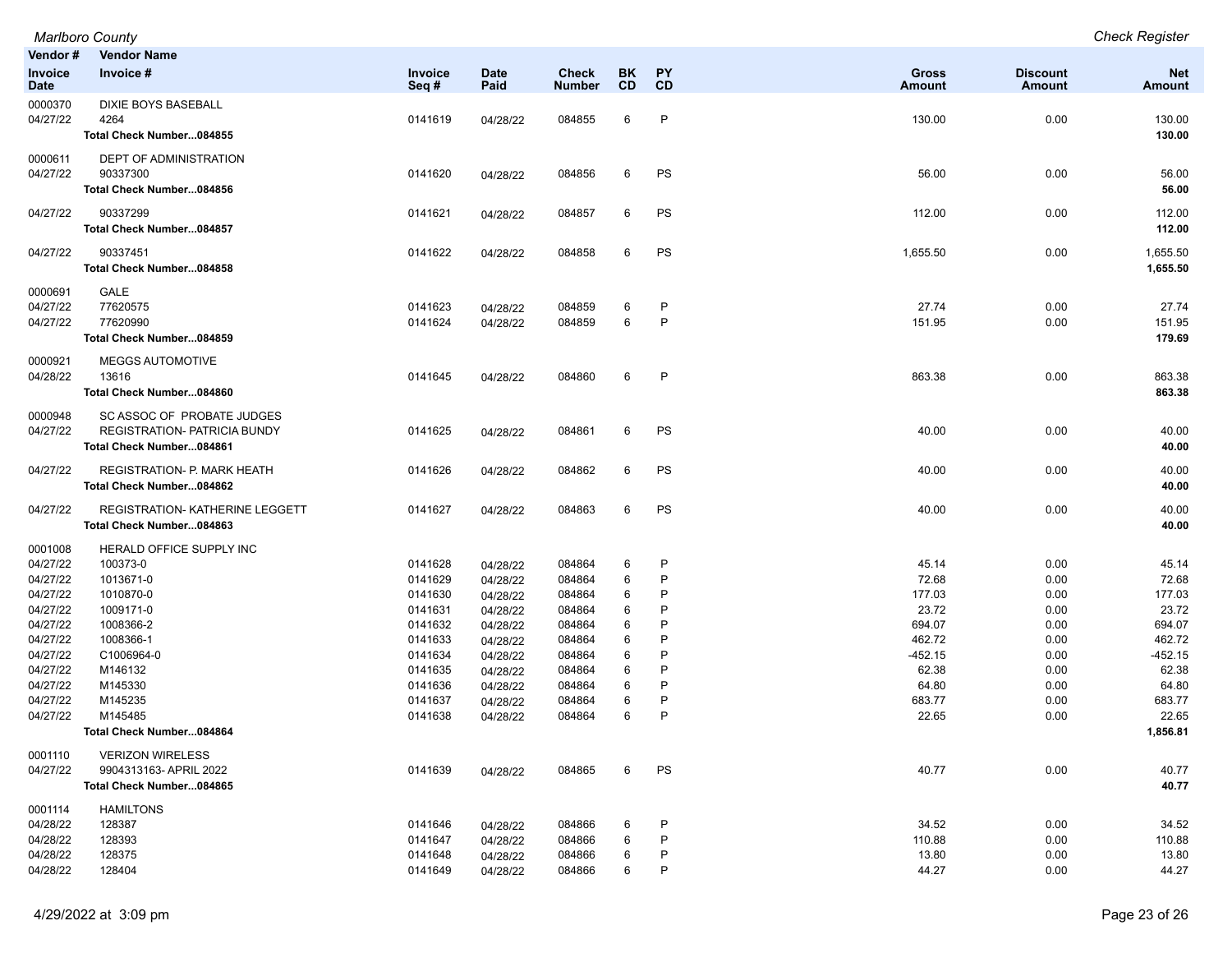| Vendor #                      | <b>Vendor Name</b>                                          |                    |                      |                        |                 |                 |                        |                           |                      |
|-------------------------------|-------------------------------------------------------------|--------------------|----------------------|------------------------|-----------------|-----------------|------------------------|---------------------------|----------------------|
| <b>Invoice</b><br><b>Date</b> | Invoice #                                                   | Invoice<br>Seq#    | <b>Date</b><br>Paid  | Check<br><b>Number</b> | BK<br><b>CD</b> | <b>PY</b><br>CD | <b>Gross</b><br>Amount | <b>Discount</b><br>Amount | <b>Net</b><br>Amount |
| 0000370<br>04/27/22           | DIXIE BOYS BASEBALL<br>4264<br>Total Check Number084855     | 0141619            | 04/28/22             | 084855                 | 6               | P               | 130.00                 | 0.00                      | 130.00<br>130.00     |
|                               |                                                             |                    |                      |                        |                 |                 |                        |                           |                      |
| 0000611                       | DEPT OF ADMINISTRATION                                      |                    |                      |                        |                 |                 |                        |                           |                      |
| 04/27/22                      | 90337300<br>Total Check Number084856                        | 0141620            | 04/28/22             | 084856                 | 6               | PS              | 56.00                  | 0.00                      | 56.00<br>56.00       |
| 04/27/22                      | 90337299<br>Total Check Number084857                        | 0141621            | 04/28/22             | 084857                 | 6               | PS              | 112.00                 | 0.00                      | 112.00<br>112.00     |
| 04/27/22                      | 90337451<br>Total Check Number084858                        | 0141622            | 04/28/22             | 084858                 | 6               | PS              | 1,655.50               | 0.00                      | 1,655.50<br>1,655.50 |
| 0000691                       | GALE                                                        |                    |                      |                        |                 |                 |                        |                           |                      |
| 04/27/22                      | 77620575                                                    | 0141623            | 04/28/22             | 084859                 | 6               | P               | 27.74                  | 0.00                      | 27.74                |
| 04/27/22                      | 77620990                                                    | 0141624            | 04/28/22             | 084859                 | 6               | P               | 151.95                 | 0.00                      | 151.95               |
|                               | Total Check Number084859                                    |                    |                      |                        |                 |                 |                        |                           | 179.69               |
| 0000921                       | <b>MEGGS AUTOMOTIVE</b>                                     |                    |                      |                        |                 |                 |                        |                           |                      |
| 04/28/22                      | 13616                                                       | 0141645            | 04/28/22             | 084860                 | 6               | $\mathsf{P}$    | 863.38                 | 0.00                      | 863.38               |
|                               | Total Check Number084860                                    |                    |                      |                        |                 |                 |                        |                           | 863.38               |
| 0000948                       | SC ASSOC OF PROBATE JUDGES                                  |                    |                      |                        |                 |                 |                        |                           |                      |
| 04/27/22                      | <b>REGISTRATION- PATRICIA BUNDY</b>                         | 0141625            | 04/28/22             | 084861                 | 6               | PS              | 40.00                  | 0.00                      | 40.00                |
|                               | Total Check Number084861                                    |                    |                      |                        |                 |                 |                        |                           | 40.00                |
| 04/27/22                      | <b>REGISTRATION- P. MARK HEATH</b>                          | 0141626            | 04/28/22             | 084862                 | 6               | PS              | 40.00                  | 0.00                      | 40.00                |
|                               | Total Check Number084862                                    |                    |                      |                        |                 |                 |                        |                           | 40.00                |
| 04/27/22                      | REGISTRATION- KATHERINE LEGGETT<br>Total Check Number084863 | 0141627            | 04/28/22             | 084863                 | 6               | PS              | 40.00                  | 0.00                      | 40.00<br>40.00       |
| 0001008                       | HERALD OFFICE SUPPLY INC                                    |                    |                      |                        |                 |                 |                        |                           |                      |
| 04/27/22                      | 100373-0                                                    | 0141628            | 04/28/22             | 084864                 | 6               | P               | 45.14                  | 0.00                      | 45.14                |
| 04/27/22                      | 1013671-0                                                   | 0141629            | 04/28/22             | 084864                 | 6               | P               | 72.68                  | 0.00                      | 72.68                |
| 04/27/22                      | 1010870-0                                                   | 0141630            | 04/28/22             | 084864                 | 6               | P               | 177.03                 | 0.00                      | 177.03               |
| 04/27/22                      | 1009171-0                                                   | 0141631            | 04/28/22             | 084864                 | 6               | P               | 23.72                  | 0.00                      | 23.72                |
| 04/27/22                      | 1008366-2                                                   | 0141632            | 04/28/22             | 084864                 | 6               | P               | 694.07                 | 0.00                      | 694.07               |
| 04/27/22                      | 1008366-1                                                   | 0141633            | 04/28/22             | 084864                 | 6               | P               | 462.72                 | 0.00                      | 462.72               |
| 04/27/22                      | C1006964-0                                                  | 0141634            | 04/28/22             | 084864                 | 6               | P<br>P          | $-452.15$              | 0.00                      | $-452.15$            |
| 04/27/22<br>04/27/22          | M146132<br>M145330                                          | 0141635<br>0141636 | 04/28/22             | 084864                 | 6<br>6          | P               | 62.38<br>64.80         | 0.00                      | 62.38<br>64.80       |
| 04/27/22                      | M145235                                                     | 0141637            | 04/28/22             | 084864<br>084864       | 6               | P               | 683.77                 | 0.00<br>0.00              | 683.77               |
| 04/27/22                      | M145485                                                     | 0141638            | 04/28/22<br>04/28/22 | 084864                 | 6               | P               | 22.65                  | 0.00                      | 22.65                |
|                               | Total Check Number084864                                    |                    |                      |                        |                 |                 |                        |                           | 1,856.81             |
| 0001110                       | <b>VERIZON WIRELESS</b>                                     |                    |                      |                        |                 |                 |                        |                           |                      |
| 04/27/22                      | 9904313163- APRIL 2022                                      | 0141639            | 04/28/22             | 084865                 | 6               | PS              | 40.77                  | 0.00                      | 40.77                |
|                               | Total Check Number084865                                    |                    |                      |                        |                 |                 |                        |                           | 40.77                |
| 0001114                       | <b>HAMILTONS</b>                                            |                    |                      |                        |                 |                 |                        |                           |                      |
| 04/28/22                      | 128387                                                      | 0141646            | 04/28/22             | 084866                 | 6               | P               | 34.52                  | 0.00                      | 34.52                |
| 04/28/22                      | 128393                                                      | 0141647            | 04/28/22             | 084866                 | 6               | $\mathsf{P}$    | 110.88                 | 0.00                      | 110.88               |
| 04/28/22                      | 128375                                                      | 0141648            | 04/28/22             | 084866                 | 6               | P               | 13.80                  | 0.00                      | 13.80                |
| 04/28/22                      | 128404                                                      | 0141649            | 04/28/22             | 084866                 | 6               | $\mathsf{P}$    | 44.27                  | 0.00                      | 44.27                |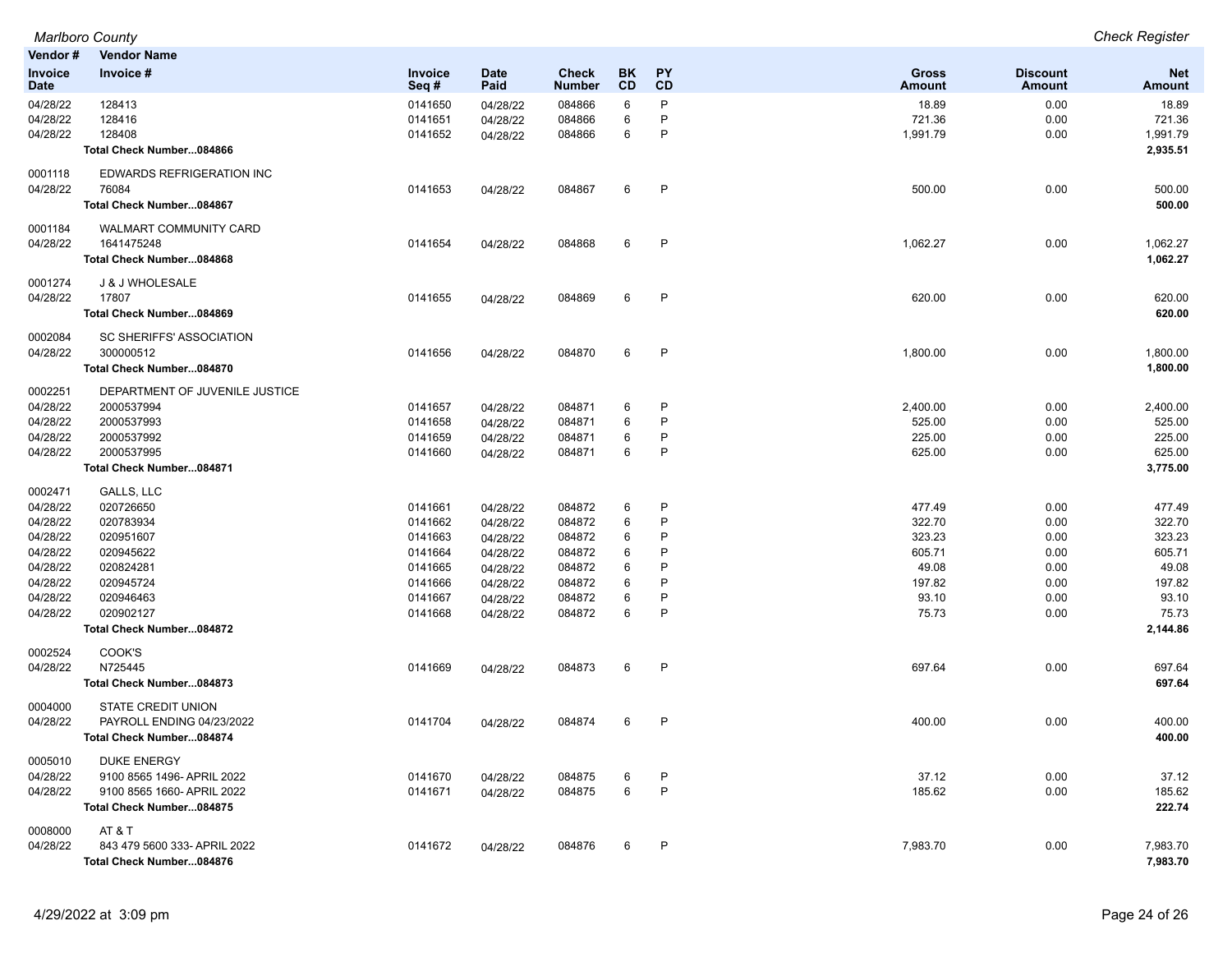| Vendor #             | <b>Vendor Name</b>             |                        |                     |                               |                        |                        |                 |                           |                             |
|----------------------|--------------------------------|------------------------|---------------------|-------------------------------|------------------------|------------------------|-----------------|---------------------------|-----------------------------|
| Invoice<br>Date      | Invoice #                      | <b>Invoice</b><br>Seq# | <b>Date</b><br>Paid | <b>Check</b><br><b>Number</b> | <b>BK</b><br><b>CD</b> | <b>PY</b><br><b>CD</b> | Gross<br>Amount | <b>Discount</b><br>Amount | <b>Net</b><br><b>Amount</b> |
| 04/28/22             | 128413                         | 0141650                | 04/28/22            | 084866                        | 6                      | P                      | 18.89           | 0.00                      | 18.89                       |
| 04/28/22             | 128416                         | 0141651                | 04/28/22            | 084866                        | 6                      | P                      | 721.36          | 0.00                      | 721.36                      |
| 04/28/22             | 128408                         | 0141652                | 04/28/22            | 084866                        | 6                      | P                      | 1,991.79        | 0.00                      | 1,991.79                    |
|                      | Total Check Number084866       |                        |                     |                               |                        |                        |                 |                           | 2,935.51                    |
| 0001118              | EDWARDS REFRIGERATION INC      |                        |                     |                               |                        |                        |                 |                           |                             |
| 04/28/22             | 76084                          | 0141653                | 04/28/22            | 084867                        | 6                      | P                      | 500.00          | 0.00                      | 500.00                      |
|                      | Total Check Number084867       |                        |                     |                               |                        |                        |                 |                           | 500.00                      |
| 0001184              | <b>WALMART COMMUNITY CARD</b>  |                        |                     |                               |                        |                        |                 |                           |                             |
| 04/28/22             | 1641475248                     | 0141654                | 04/28/22            | 084868                        | 6                      | P                      | 1,062.27        | 0.00                      | 1,062.27                    |
|                      | Total Check Number084868       |                        |                     |                               |                        |                        |                 |                           | 1,062.27                    |
| 0001274              | J & J WHOLESALE                |                        |                     |                               |                        |                        |                 |                           |                             |
| 04/28/22             | 17807                          | 0141655                | 04/28/22            | 084869                        | 6                      | P                      | 620.00          | 0.00                      | 620.00                      |
|                      | Total Check Number084869       |                        |                     |                               |                        |                        |                 |                           | 620.00                      |
| 0002084              | SC SHERIFFS' ASSOCIATION       |                        |                     |                               |                        |                        |                 |                           |                             |
| 04/28/22             | 300000512                      | 0141656                | 04/28/22            | 084870                        | 6                      | P                      | 1,800.00        | 0.00                      | 1,800.00                    |
|                      | Total Check Number084870       |                        |                     |                               |                        |                        |                 |                           | 1,800.00                    |
| 0002251              | DEPARTMENT OF JUVENILE JUSTICE |                        |                     |                               |                        |                        |                 |                           |                             |
| 04/28/22             | 2000537994                     | 0141657                | 04/28/22            | 084871                        | 6                      | P                      | 2,400.00        | 0.00                      | 2,400.00                    |
| 04/28/22             | 2000537993                     | 0141658                | 04/28/22            | 084871                        | 6                      | P                      | 525.00          | 0.00                      | 525.00                      |
| 04/28/22             | 2000537992                     | 0141659                | 04/28/22            | 084871                        | 6                      | P                      | 225.00          | 0.00                      | 225.00                      |
| 04/28/22             | 2000537995                     | 0141660                | 04/28/22            | 084871                        | 6                      | P                      | 625.00          | 0.00                      | 625.00                      |
|                      | Total Check Number084871       |                        |                     |                               |                        |                        |                 |                           | 3,775.00                    |
| 0002471              | GALLS, LLC                     |                        |                     |                               |                        |                        |                 |                           |                             |
| 04/28/22             | 020726650                      | 0141661                | 04/28/22            | 084872                        | 6                      | P                      | 477.49          | 0.00                      | 477.49                      |
| 04/28/22             | 020783934                      | 0141662                | 04/28/22            | 084872                        | 6                      | P                      | 322.70          | 0.00                      | 322.70                      |
| 04/28/22             | 020951607                      | 0141663                | 04/28/22            | 084872                        | 6                      | P                      | 323.23          | 0.00                      | 323.23                      |
| 04/28/22             | 020945622                      | 0141664                | 04/28/22            | 084872                        | 6                      | P                      | 605.71          | 0.00                      | 605.71                      |
| 04/28/22             | 020824281                      | 0141665                | 04/28/22            | 084872                        | 6                      | P                      | 49.08           | 0.00                      | 49.08                       |
| 04/28/22             | 020945724<br>020946463         | 0141666                | 04/28/22            | 084872                        | 6<br>6                 | P<br>P                 | 197.82          | 0.00                      | 197.82<br>93.10             |
| 04/28/22<br>04/28/22 | 020902127                      | 0141667<br>0141668     | 04/28/22            | 084872<br>084872              | 6                      | P                      | 93.10<br>75.73  | 0.00<br>0.00              | 75.73                       |
|                      | Total Check Number084872       |                        | 04/28/22            |                               |                        |                        |                 |                           | 2,144.86                    |
| 0002524              | COOK'S                         |                        |                     |                               |                        |                        |                 |                           |                             |
| 04/28/22             | N725445                        | 0141669                | 04/28/22            | 084873                        | 6                      | $\mathsf{P}$           | 697.64          | 0.00                      | 697.64                      |
|                      | Total Check Number084873       |                        |                     |                               |                        |                        |                 |                           | 697.64                      |
| 0004000              | STATE CREDIT UNION             |                        |                     |                               |                        |                        |                 |                           |                             |
| 04/28/22             | PAYROLL ENDING 04/23/2022      | 0141704                | 04/28/22            | 084874                        | 6                      | P                      | 400.00          | 0.00                      | 400.00                      |
|                      | Total Check Number084874       |                        |                     |                               |                        |                        |                 |                           | 400.00                      |
| 0005010              | <b>DUKE ENERGY</b>             |                        |                     |                               |                        |                        |                 |                           |                             |
| 04/28/22             | 9100 8565 1496- APRIL 2022     | 0141670                | 04/28/22            | 084875                        | 6                      | P                      | 37.12           | 0.00                      | 37.12                       |
| 04/28/22             | 9100 8565 1660- APRIL 2022     | 0141671                | 04/28/22            | 084875                        | 6                      | P                      | 185.62          | 0.00                      | 185.62                      |
|                      | Total Check Number084875       |                        |                     |                               |                        |                        |                 |                           | 222.74                      |
| 0008000              | AT&T                           |                        |                     |                               |                        |                        |                 |                           |                             |
| 04/28/22             | 843 479 5600 333- APRIL 2022   | 0141672                | 04/28/22            | 084876                        | 6                      | P                      | 7,983.70        | 0.00                      | 7,983.70                    |
|                      | Total Check Number084876       |                        |                     |                               |                        |                        |                 |                           | 7,983.70                    |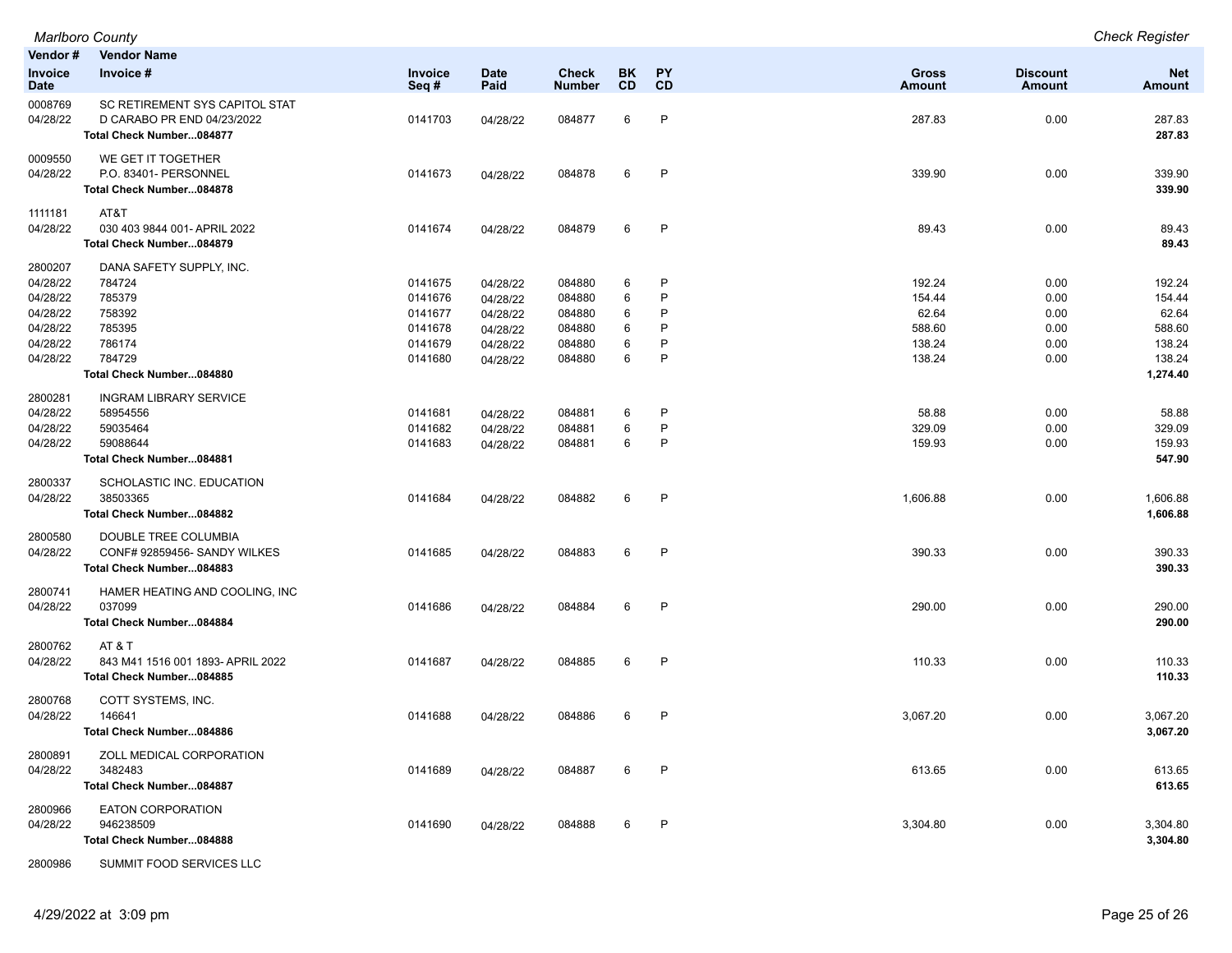| Vendor#                                                                         | <b>Vendor Name</b>                                                                                               |                                                                |                                                                      |                                                          |                            |                                       |                                                         |                                              |                                                                     |
|---------------------------------------------------------------------------------|------------------------------------------------------------------------------------------------------------------|----------------------------------------------------------------|----------------------------------------------------------------------|----------------------------------------------------------|----------------------------|---------------------------------------|---------------------------------------------------------|----------------------------------------------|---------------------------------------------------------------------|
| Invoice<br><b>Date</b>                                                          | Invoice #                                                                                                        | Invoice<br>Seq#                                                | <b>Date</b><br>Paid                                                  | <b>Check</b><br><b>Number</b>                            | BK<br>CD                   | PY<br>CD                              | <b>Gross</b><br>Amount                                  | <b>Discount</b><br>Amount                    | <b>Net</b><br>Amount                                                |
| 0008769<br>04/28/22                                                             | SC RETIREMENT SYS CAPITOL STAT<br>D CARABO PR END 04/23/2022<br>Total Check Number084877                         | 0141703                                                        | 04/28/22                                                             | 084877                                                   | 6                          | $\mathsf{P}$                          | 287.83                                                  | 0.00                                         | 287.83<br>287.83                                                    |
| 0009550<br>04/28/22                                                             | WE GET IT TOGETHER<br>P.O. 83401- PERSONNEL<br>Total Check Number084878                                          | 0141673                                                        | 04/28/22                                                             | 084878                                                   | 6                          | P                                     | 339.90                                                  | 0.00                                         | 339.90<br>339.90                                                    |
| 1111181<br>04/28/22                                                             | AT&T<br>030 403 9844 001- APRIL 2022<br>Total Check Number084879                                                 | 0141674                                                        | 04/28/22                                                             | 084879                                                   | 6                          | P                                     | 89.43                                                   | 0.00                                         | 89.43<br>89.43                                                      |
| 2800207<br>04/28/22<br>04/28/22<br>04/28/22<br>04/28/22<br>04/28/22<br>04/28/22 | DANA SAFETY SUPPLY, INC.<br>784724<br>785379<br>758392<br>785395<br>786174<br>784729<br>Total Check Number084880 | 0141675<br>0141676<br>0141677<br>0141678<br>0141679<br>0141680 | 04/28/22<br>04/28/22<br>04/28/22<br>04/28/22<br>04/28/22<br>04/28/22 | 084880<br>084880<br>084880<br>084880<br>084880<br>084880 | 6<br>6<br>6<br>6<br>6<br>6 | P<br>P<br>P<br>P<br>$\mathsf{P}$<br>P | 192.24<br>154.44<br>62.64<br>588.60<br>138.24<br>138.24 | 0.00<br>0.00<br>0.00<br>0.00<br>0.00<br>0.00 | 192.24<br>154.44<br>62.64<br>588.60<br>138.24<br>138.24<br>1,274.40 |
| 2800281<br>04/28/22<br>04/28/22<br>04/28/22                                     | <b>INGRAM LIBRARY SERVICE</b><br>58954556<br>59035464<br>59088644<br>Total Check Number084881                    | 0141681<br>0141682<br>0141683                                  | 04/28/22<br>04/28/22<br>04/28/22                                     | 084881<br>084881<br>084881                               | 6<br>6<br>6                | P<br>P<br>P                           | 58.88<br>329.09<br>159.93                               | 0.00<br>0.00<br>0.00                         | 58.88<br>329.09<br>159.93<br>547.90                                 |
| 2800337<br>04/28/22                                                             | SCHOLASTIC INC. EDUCATION<br>38503365<br>Total Check Number084882                                                | 0141684                                                        | 04/28/22                                                             | 084882                                                   | 6                          | P                                     | 1,606.88                                                | 0.00                                         | 1,606.88<br>1,606.88                                                |
| 2800580<br>04/28/22                                                             | DOUBLE TREE COLUMBIA<br>CONF# 92859456- SANDY WILKES<br>Total Check Number084883                                 | 0141685                                                        | 04/28/22                                                             | 084883                                                   | 6                          | P                                     | 390.33                                                  | 0.00                                         | 390.33<br>390.33                                                    |
| 2800741<br>04/28/22                                                             | HAMER HEATING AND COOLING, INC<br>037099<br>Total Check Number084884                                             | 0141686                                                        | 04/28/22                                                             | 084884                                                   | 6                          | P                                     | 290.00                                                  | 0.00                                         | 290.00<br>290.00                                                    |
| 2800762<br>04/28/22                                                             | AT&T<br>843 M41 1516 001 1893- APRIL 2022<br>Total Check Number084885                                            | 0141687                                                        | 04/28/22                                                             | 084885                                                   | 6                          | $\mathsf{P}$                          | 110.33                                                  | 0.00                                         | 110.33<br>110.33                                                    |
| 2800768<br>04/28/22                                                             | COTT SYSTEMS, INC.<br>146641<br>Total Check Number084886                                                         | 0141688                                                        | 04/28/22                                                             | 084886                                                   | 6                          | $\mathsf{P}$                          | 3,067.20                                                | 0.00                                         | 3,067.20<br>3,067.20                                                |
| 2800891<br>04/28/22                                                             | ZOLL MEDICAL CORPORATION<br>3482483<br>Total Check Number084887                                                  | 0141689                                                        | 04/28/22                                                             | 084887                                                   | 6                          | P                                     | 613.65                                                  | 0.00                                         | 613.65<br>613.65                                                    |
| 2800966<br>04/28/22                                                             | EATON CORPORATION<br>946238509<br>Total Check Number084888                                                       | 0141690                                                        | 04/28/22                                                             | 084888                                                   | 6                          | P                                     | 3,304.80                                                | 0.00                                         | 3,304.80<br>3,304.80                                                |

2800986 SUMMIT FOOD SERVICES LLC